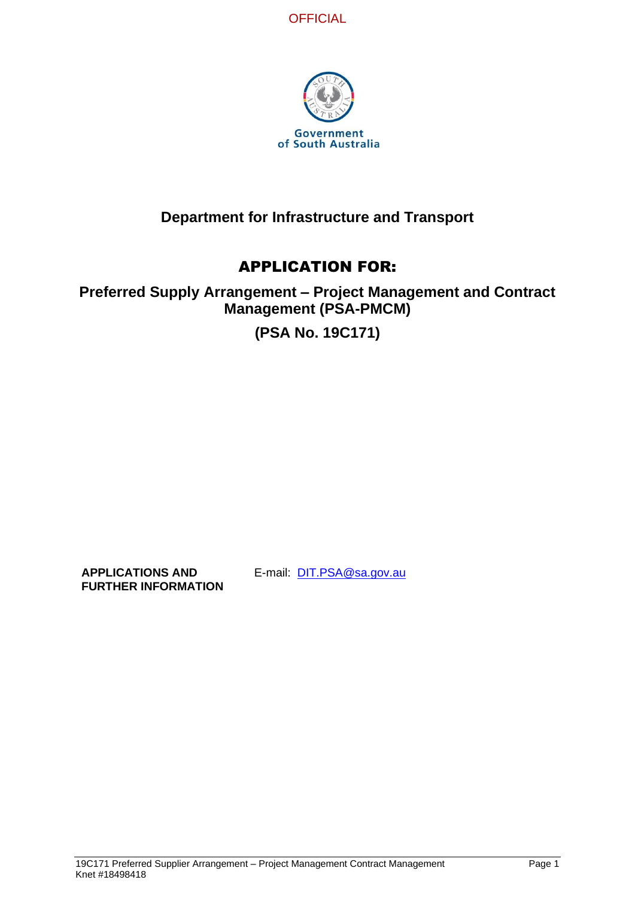



# **Department for Infrastructure and Transport**

# APPLICATION FOR:

# **Preferred Supply Arrangement – Project Management and Contract Management (PSA-PMCM)**

# **(PSA No. 19C171)**

**APPLICATIONS AND FURTHER INFORMATION** E-mail: [DIT.PSA@sa.gov.au](mailto:DIT.PSA@sa.gov.au)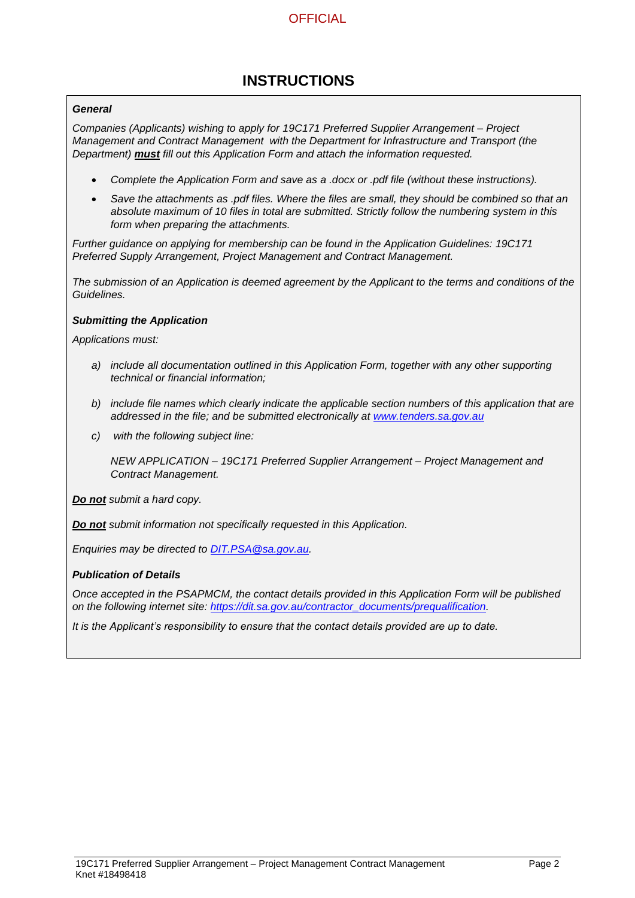# **INSTRUCTIONS**

#### *General*

*Companies (Applicants) wishing to apply for 19C171 Preferred Supplier Arrangement – Project Management and Contract Management with the Department for Infrastructure and Transport (the Department) must fill out this Application Form and attach the information requested.*

- *Complete the Application Form and save as a .docx or .pdf file (without these instructions).*
- *Save the attachments as .pdf files. Where the files are small, they should be combined so that an absolute maximum of 10 files in total are submitted. Strictly follow the numbering system in this form when preparing the attachments.*

*Further guidance on applying for membership can be found in the Application Guidelines: 19C171 Preferred Supply Arrangement, Project Management and Contract Management.*

*The submission of an Application is deemed agreement by the Applicant to the terms and conditions of the Guidelines.*

#### *Submitting the Application*

*Applications must:*

- *a) include all documentation outlined in this Application Form, together with any other supporting technical or financial information;*
- *b) include file names which clearly indicate the applicable section numbers of this application that are addressed in the file; and be submitted electronically at [www.tenders.sa.gov.au](http://www.tenders.sa.gov.au/)*
- *c) with the following subject line:*

*NEW APPLICATION – 19C171 Preferred Supplier Arrangement – Project Management and Contract Management.*

*Do not submit a hard copy.*

*Do not submit information not specifically requested in this Application.*

*Enquiries may be directed to [DIT.PSA@sa.gov.au.](mailto:DIT.PSA@sa.gov.au)*

#### *Publication of Details*

*Once accepted in the PSAPMCM, the contact details provided in this Application Form will be published on the following internet site: [https://dit.sa.gov.au/contractor\\_documents/prequalification.](https://dit.sa.gov.au/contractor_documents/prequalification)*

*It is the Applicant's responsibility to ensure that the contact details provided are up to date.*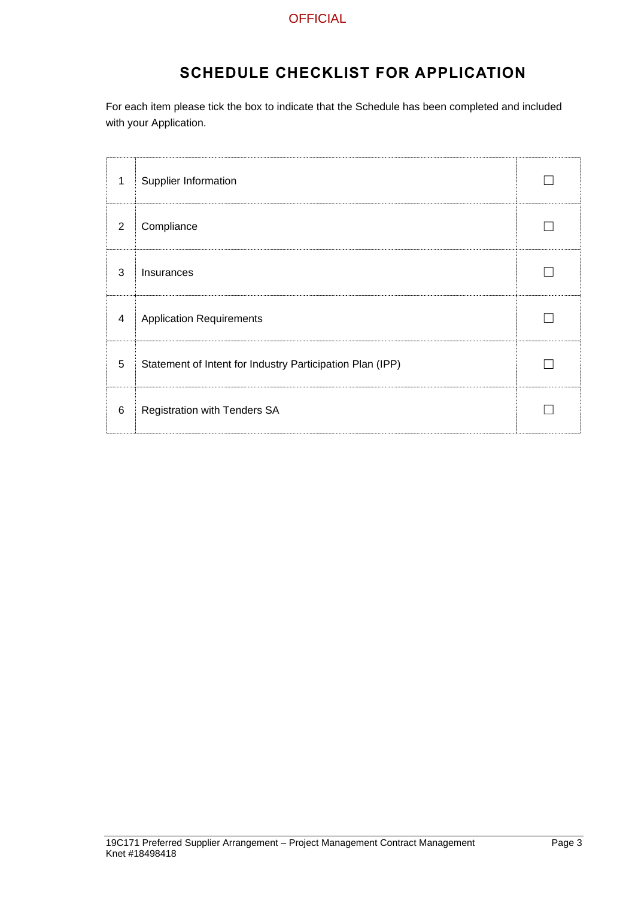# **SCHEDULE CHECKLIST FOR APPLICATION**

For each item please tick the box to indicate that the Schedule has been completed and included with your Application.

| 1 | Supplier Information                                      |  |
|---|-----------------------------------------------------------|--|
| 2 | Compliance                                                |  |
| 3 | Insurances                                                |  |
| 4 | <b>Application Requirements</b>                           |  |
| 5 | Statement of Intent for Industry Participation Plan (IPP) |  |
| 6 | Registration with Tenders SA                              |  |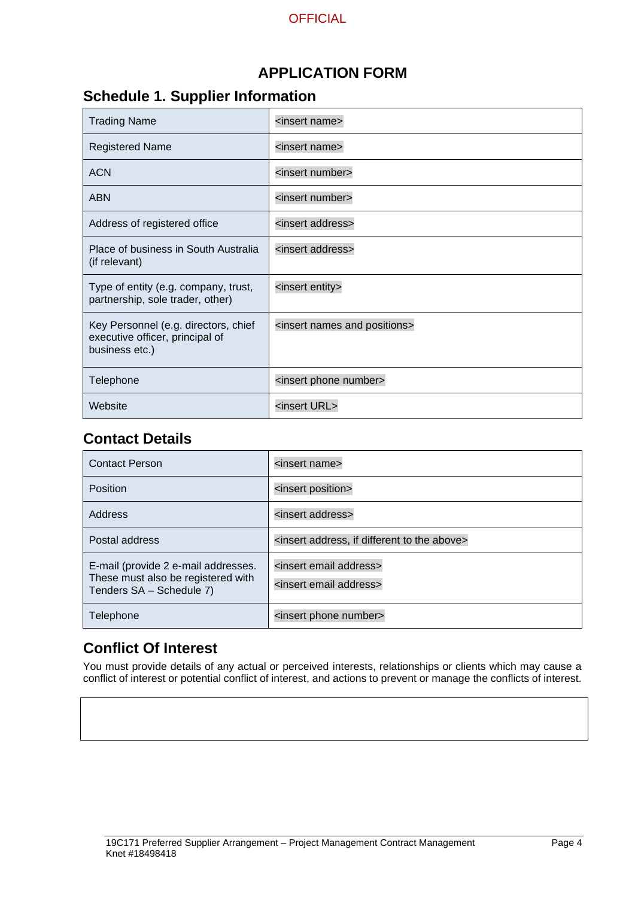# **APPLICATION FORM**

# **Schedule 1. Supplier Information**

| <b>Trading Name</b>                                                                       | <insert name=""></insert>                      |
|-------------------------------------------------------------------------------------------|------------------------------------------------|
| <b>Registered Name</b>                                                                    | <insert name=""></insert>                      |
| <b>ACN</b>                                                                                | <insert number=""></insert>                    |
| <b>ABN</b>                                                                                | <insert number=""></insert>                    |
| Address of registered office                                                              | <insert address=""></insert>                   |
| Place of business in South Australia<br>(if relevant)                                     | <insert address=""></insert>                   |
| Type of entity (e.g. company, trust,<br>partnership, sole trader, other)                  | <insert entity=""></insert>                    |
| Key Personnel (e.g. directors, chief<br>executive officer, principal of<br>business etc.) | <insert and="" names="" positions=""></insert> |
| Telephone                                                                                 | <insert number="" phone=""></insert>           |
| Website                                                                                   | <insert url=""></insert>                       |

# **Contact Details**

| <b>Contact Person</b>                                                                                 | <insert name=""></insert>                                                       |
|-------------------------------------------------------------------------------------------------------|---------------------------------------------------------------------------------|
| Position                                                                                              | <insert position=""></insert>                                                   |
| Address                                                                                               | <insert address=""></insert>                                                    |
| Postal address                                                                                        | <insert above="" address,="" different="" if="" the="" to=""></insert>          |
| E-mail (provide 2 e-mail addresses.<br>These must also be registered with<br>Tenders SA - Schedule 7) | <insert address="" email=""><br/><insert address="" email=""></insert></insert> |
| Telephone                                                                                             | <insert number="" phone=""></insert>                                            |

# **Conflict Of Interest**

You must provide details of any actual or perceived interests, relationships or clients which may cause a conflict of interest or potential conflict of interest, and actions to prevent or manage the conflicts of interest.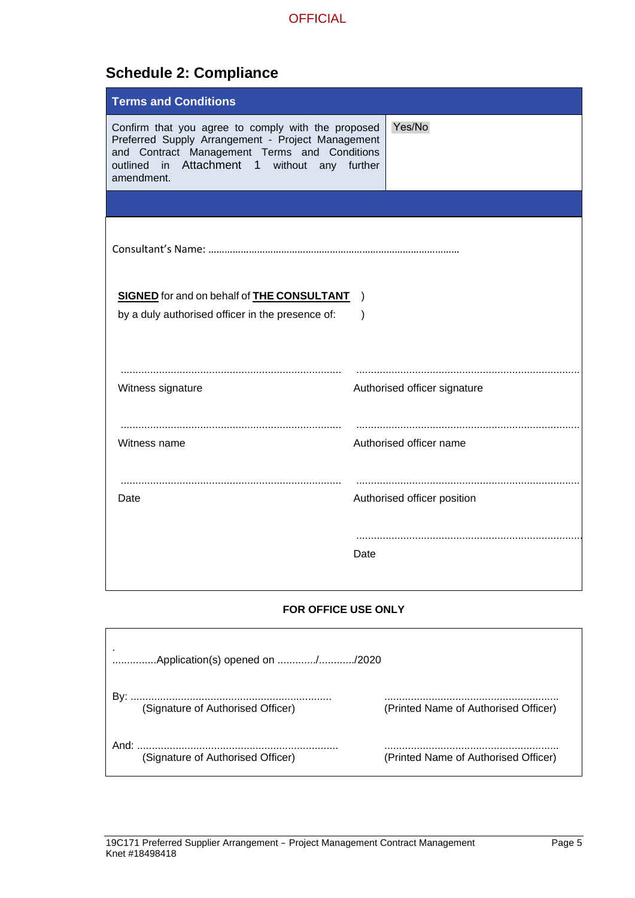# **Schedule 2: Compliance**

| <b>Terms and Conditions</b>                                                                                                                                                                                              |                              |
|--------------------------------------------------------------------------------------------------------------------------------------------------------------------------------------------------------------------------|------------------------------|
| Confirm that you agree to comply with the proposed<br>Preferred Supply Arrangement - Project Management<br>and Contract Management Terms and Conditions<br>outlined in Attachment 1<br>without any further<br>amendment. | Yes/No                       |
|                                                                                                                                                                                                                          |                              |
|                                                                                                                                                                                                                          |                              |
| <b>SIGNED</b> for and on behalf of <b>THE CONSULTANT</b><br>by a duly authorised officer in the presence of:                                                                                                             | $\rightarrow$<br>$\lambda$   |
| Witness signature                                                                                                                                                                                                        | Authorised officer signature |
| Witness name                                                                                                                                                                                                             | Authorised officer name      |
| Date                                                                                                                                                                                                                     | Authorised officer position  |
|                                                                                                                                                                                                                          | Date                         |

### **FOR OFFICE USE ONLY**

|                  | Application(s) opened on //2020   |                                      |
|------------------|-----------------------------------|--------------------------------------|
|                  | (Signature of Authorised Officer) | (Printed Name of Authorised Officer) |
| And <sup>.</sup> | (Signature of Authorised Officer) | (Printed Name of Authorised Officer) |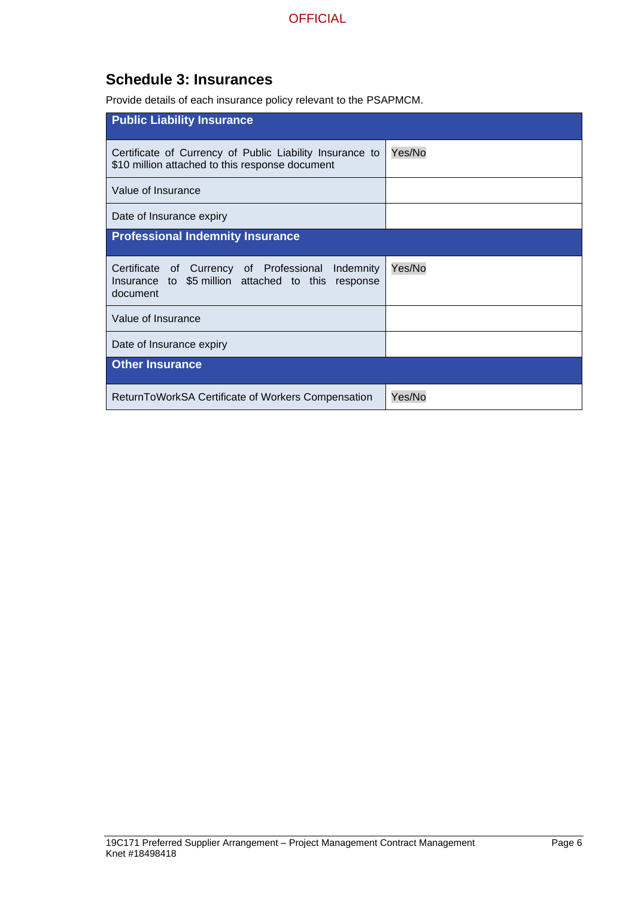# **Schedule 3: Insurances**

Provide details of each insurance policy relevant to the PSAPMCM.

| <b>Public Liability Insurance</b>                                                                                      |        |
|------------------------------------------------------------------------------------------------------------------------|--------|
| Certificate of Currency of Public Liability Insurance to<br>\$10 million attached to this response document            | Yes/No |
| Value of Insurance                                                                                                     |        |
| Date of Insurance expiry                                                                                               |        |
| <b>Professional Indemnity Insurance</b>                                                                                |        |
| Certificate of Currency of Professional<br>Indemnity<br>Insurance to \$5 million attached to this response<br>document | Yes/No |
| Value of Insurance                                                                                                     |        |
| Date of Insurance expiry                                                                                               |        |
| <b>Other Insurance</b>                                                                                                 |        |
| ReturnToWorkSA Certificate of Workers Compensation                                                                     | Yes/No |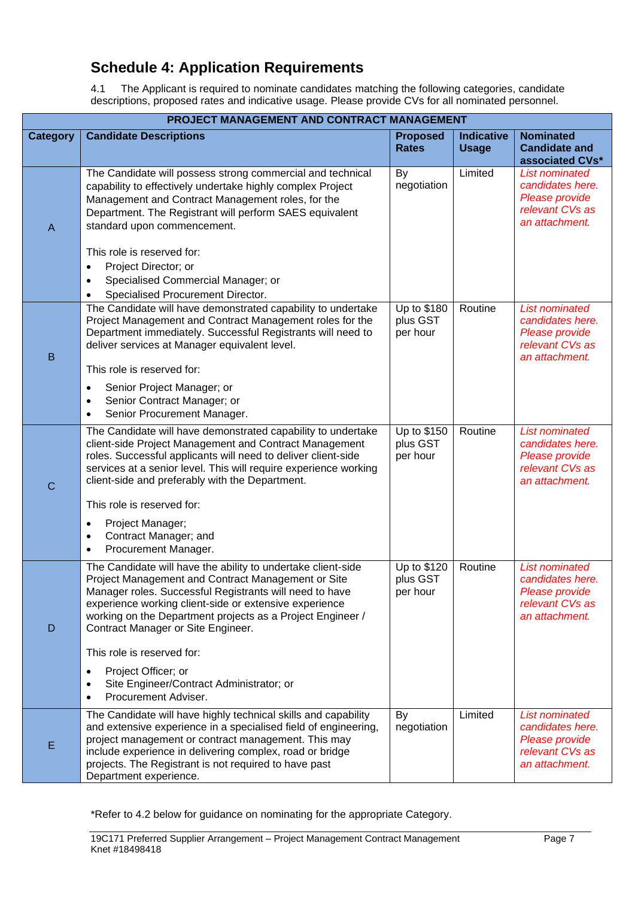# **Schedule 4: Application Requirements**

4.1 The Applicant is required to nominate candidates matching the following categories, candidate descriptions, proposed rates and indicative usage. Please provide CVs for all nominated personnel.

|                 | PROJECT MANAGEMENT AND CONTRACT MANAGEMENT                                                                                                                                                                                                                                                                                                                                                                                                                                                                  |                                     |                                   |                                                                                                  |  |
|-----------------|-------------------------------------------------------------------------------------------------------------------------------------------------------------------------------------------------------------------------------------------------------------------------------------------------------------------------------------------------------------------------------------------------------------------------------------------------------------------------------------------------------------|-------------------------------------|-----------------------------------|--------------------------------------------------------------------------------------------------|--|
| <b>Category</b> | <b>Candidate Descriptions</b>                                                                                                                                                                                                                                                                                                                                                                                                                                                                               | <b>Proposed</b><br><b>Rates</b>     | <b>Indicative</b><br><b>Usage</b> | <b>Nominated</b><br><b>Candidate and</b><br>associated CVs*                                      |  |
| $\mathsf{A}$    | The Candidate will possess strong commercial and technical<br>capability to effectively undertake highly complex Project<br>Management and Contract Management roles, for the<br>Department. The Registrant will perform SAES equivalent<br>standard upon commencement.<br>This role is reserved for:<br>Project Director; or<br>$\bullet$<br>Specialised Commercial Manager; or<br>$\bullet$<br>Specialised Procurement Director.<br>$\bullet$                                                             | By<br>negotiation                   | Limited                           | <b>List nominated</b><br>candidates here.<br>Please provide<br>relevant CVs as<br>an attachment. |  |
| $\sf B$         | The Candidate will have demonstrated capability to undertake<br>Project Management and Contract Management roles for the<br>Department immediately. Successful Registrants will need to<br>deliver services at Manager equivalent level.<br>This role is reserved for:<br>Senior Project Manager; or<br>$\bullet$<br>Senior Contract Manager; or<br>$\bullet$<br>Senior Procurement Manager.<br>$\bullet$                                                                                                   | Up to \$180<br>plus GST<br>per hour | Routine                           | <b>List nominated</b><br>candidates here.<br>Please provide<br>relevant CVs as<br>an attachment. |  |
| $\mathsf C$     | The Candidate will have demonstrated capability to undertake<br>client-side Project Management and Contract Management<br>roles. Successful applicants will need to deliver client-side<br>services at a senior level. This will require experience working<br>client-side and preferably with the Department.<br>This role is reserved for:<br>Project Manager;<br>$\bullet$<br>Contract Manager; and<br>$\bullet$<br>Procurement Manager.<br>$\bullet$                                                    | Up to \$150<br>plus GST<br>per hour | Routine                           | <b>List nominated</b><br>candidates here.<br>Please provide<br>relevant CVs as<br>an attachment. |  |
| D               | The Candidate will have the ability to undertake client-side<br>Project Management and Contract Management or Site<br>Manager roles. Successful Registrants will need to have<br>experience working client-side or extensive experience<br>working on the Department projects as a Project Engineer /<br>Contract Manager or Site Engineer.<br>This role is reserved for:<br>Project Officer; or<br>$\bullet$<br>Site Engineer/Contract Administrator; or<br>$\bullet$<br>Procurement Adviser.<br>$\bullet$ | Up to \$120<br>plus GST<br>per hour | Routine                           | <b>List nominated</b><br>candidates here.<br>Please provide<br>relevant CVs as<br>an attachment. |  |
| E               | The Candidate will have highly technical skills and capability<br>and extensive experience in a specialised field of engineering,<br>project management or contract management. This may<br>include experience in delivering complex, road or bridge<br>projects. The Registrant is not required to have past<br>Department experience.                                                                                                                                                                     | By<br>negotiation                   | Limited                           | <b>List nominated</b><br>candidates here.<br>Please provide<br>relevant CVs as<br>an attachment. |  |

\*Refer to 4.2 below for guidance on nominating for the appropriate Category.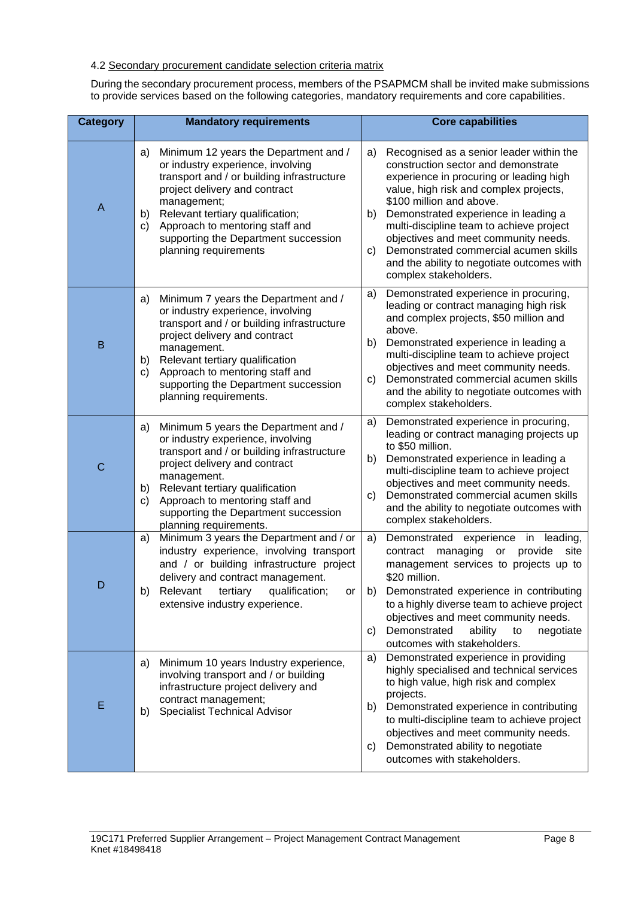### 4.2 Secondary procurement candidate selection criteria matrix

During the secondary procurement process, members of the PSAPMCM shall be invited make submissions to provide services based on the following categories, mandatory requirements and core capabilities.

| <b>Category</b> | <b>Mandatory requirements</b>                                                                                                                                                                                                                                                                                                      | <b>Core capabilities</b>                                                                                                                                                                                                                                                                                                                                                                                                                                       |
|-----------------|------------------------------------------------------------------------------------------------------------------------------------------------------------------------------------------------------------------------------------------------------------------------------------------------------------------------------------|----------------------------------------------------------------------------------------------------------------------------------------------------------------------------------------------------------------------------------------------------------------------------------------------------------------------------------------------------------------------------------------------------------------------------------------------------------------|
| $\overline{A}$  | Minimum 12 years the Department and /<br>a)<br>or industry experience, involving<br>transport and / or building infrastructure<br>project delivery and contract<br>management;<br>Relevant tertiary qualification;<br>b)<br>Approach to mentoring staff and<br>C)<br>supporting the Department succession<br>planning requirements | Recognised as a senior leader within the<br>a)<br>construction sector and demonstrate<br>experience in procuring or leading high<br>value, high risk and complex projects,<br>\$100 million and above.<br>Demonstrated experience in leading a<br>b)<br>multi-discipline team to achieve project<br>objectives and meet community needs.<br>Demonstrated commercial acumen skills<br>C)<br>and the ability to negotiate outcomes with<br>complex stakeholders. |
| B               | Minimum 7 years the Department and /<br>a)<br>or industry experience, involving<br>transport and / or building infrastructure<br>project delivery and contract<br>management.<br>Relevant tertiary qualification<br>b)<br>Approach to mentoring staff and<br>c)<br>supporting the Department succession<br>planning requirements.  | Demonstrated experience in procuring,<br>a)<br>leading or contract managing high risk<br>and complex projects, \$50 million and<br>above.<br>Demonstrated experience in leading a<br>b)<br>multi-discipline team to achieve project<br>objectives and meet community needs.<br>Demonstrated commercial acumen skills<br>C)<br>and the ability to negotiate outcomes with<br>complex stakeholders.                                                              |
| $\mathsf{C}$    | Minimum 5 years the Department and /<br>a)<br>or industry experience, involving<br>transport and / or building infrastructure<br>project delivery and contract<br>management.<br>Relevant tertiary qualification<br>b)<br>Approach to mentoring staff and<br>C)<br>supporting the Department succession<br>planning requirements.  | Demonstrated experience in procuring,<br>a)<br>leading or contract managing projects up<br>to \$50 million.<br>Demonstrated experience in leading a<br>b)<br>multi-discipline team to achieve project<br>objectives and meet community needs.<br>Demonstrated commercial acumen skills<br>C)<br>and the ability to negotiate outcomes with<br>complex stakeholders.                                                                                            |
| D               | Minimum 3 years the Department and / or<br>a)<br>industry experience, involving transport<br>and / or building infrastructure project<br>delivery and contract management.<br>b) Relevant tertiary qualification;<br>$\circ$ or<br>extensive industry experience.                                                                  | Demonstrated experience in<br>leading,<br>a)<br>contract managing<br>provide<br>site<br>or<br>management services to projects up to<br>\$20 million.<br>b) Demonstrated experience in contributing<br>to a highly diverse team to achieve project<br>objectives and meet community needs.<br>Demonstrated<br>ability<br>negotiate<br>to<br>C)<br>outcomes with stakeholders.                                                                                   |
| E               | Minimum 10 years Industry experience,<br>a)<br>involving transport and / or building<br>infrastructure project delivery and<br>contract management;<br><b>Specialist Technical Advisor</b><br>b)                                                                                                                                   | Demonstrated experience in providing<br>a)<br>highly specialised and technical services<br>to high value, high risk and complex<br>projects.<br>Demonstrated experience in contributing<br>b)<br>to multi-discipline team to achieve project<br>objectives and meet community needs.<br>Demonstrated ability to negotiate<br>C)<br>outcomes with stakeholders.                                                                                                 |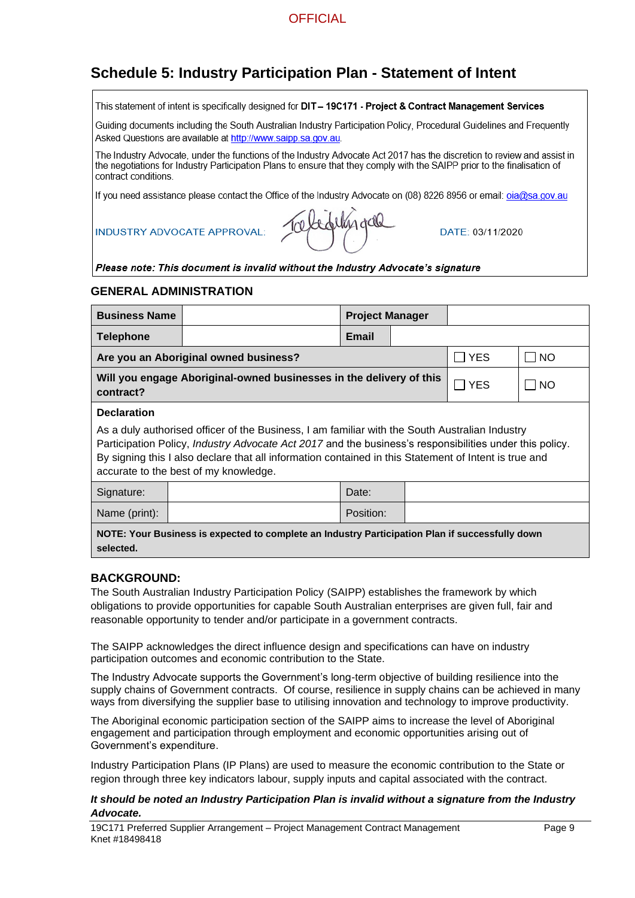# **Schedule 5: Industry Participation Plan - Statement of Intent**

This statement of intent is specifically designed for DIT - 19C171 - Project & Contract Management Services

Guiding documents including the South Australian Industry Participation Policy, Procedural Guidelines and Frequently Asked Questions are available at http://www.saipp.sa.gov.au.

The Industry Advocate, under the functions of the Industry Advocate Act 2017 has the discretion to review and assist in the negotiations for Industry Participation Plans to ensure that they comply with the SAIPP prior to the finalisation of contract conditions.

If you need assistance please contact the Office of the Industry Advocate on (08) 8226 8956 or email: pja@sa.gov.au

**INDUSTRY ADVOCATE APPROVAL:** 

|  | Trebedelingcile |  |
|--|-----------------|--|
|  |                 |  |

DATF: 03/11/2020

#### Please note: This document is invalid without the Industry Advocate's signature

#### **GENERAL ADMINISTRATION**

| <b>Business Name</b><br><b>Project Manager</b>                                                                                                                                                                                                                                                                                                                                           |                                       |           |  |            |           |
|------------------------------------------------------------------------------------------------------------------------------------------------------------------------------------------------------------------------------------------------------------------------------------------------------------------------------------------------------------------------------------------|---------------------------------------|-----------|--|------------|-----------|
| <b>Telephone</b>                                                                                                                                                                                                                                                                                                                                                                         |                                       | Email     |  |            |           |
|                                                                                                                                                                                                                                                                                                                                                                                          | Are you an Aboriginal owned business? |           |  | <b>YES</b> | <b>NO</b> |
| Will you engage Aboriginal-owned businesses in the delivery of this<br><b>YES</b><br><b>NO</b><br>contract?                                                                                                                                                                                                                                                                              |                                       |           |  |            |           |
| <b>Declaration</b><br>As a duly authorised officer of the Business, I am familiar with the South Australian Industry<br>Participation Policy, <i>Industry Advocate Act 2017</i> and the business's responsibilities under this policy.<br>By signing this I also declare that all information contained in this Statement of Intent is true and<br>accurate to the best of my knowledge. |                                       |           |  |            |           |
| Signature:                                                                                                                                                                                                                                                                                                                                                                               |                                       | Date:     |  |            |           |
| Name (print):                                                                                                                                                                                                                                                                                                                                                                            |                                       | Position: |  |            |           |
| NOTE: Your Business is expected to complete an Industry Participation Plan if successfully down<br>selected.                                                                                                                                                                                                                                                                             |                                       |           |  |            |           |

#### **BACKGROUND:**

The South Australian Industry Participation Policy (SAIPP) establishes the framework by which obligations to provide opportunities for capable South Australian enterprises are given full, fair and reasonable opportunity to tender and/or participate in a government contracts.

The SAIPP acknowledges the direct influence design and specifications can have on industry participation outcomes and economic contribution to the State.

The Industry Advocate supports the Government's long-term objective of building resilience into the supply chains of Government contracts. Of course, resilience in supply chains can be achieved in many ways from diversifying the supplier base to utilising innovation and technology to improve productivity.

The Aboriginal economic participation section of the SAIPP aims to increase the level of Aboriginal engagement and participation through employment and economic opportunities arising out of Government's expenditure.

Industry Participation Plans (IP Plans) are used to measure the economic contribution to the State or region through three key indicators labour, supply inputs and capital associated with the contract.

#### *It should be noted an Industry Participation Plan is invalid without a signature from the Industry Advocate.*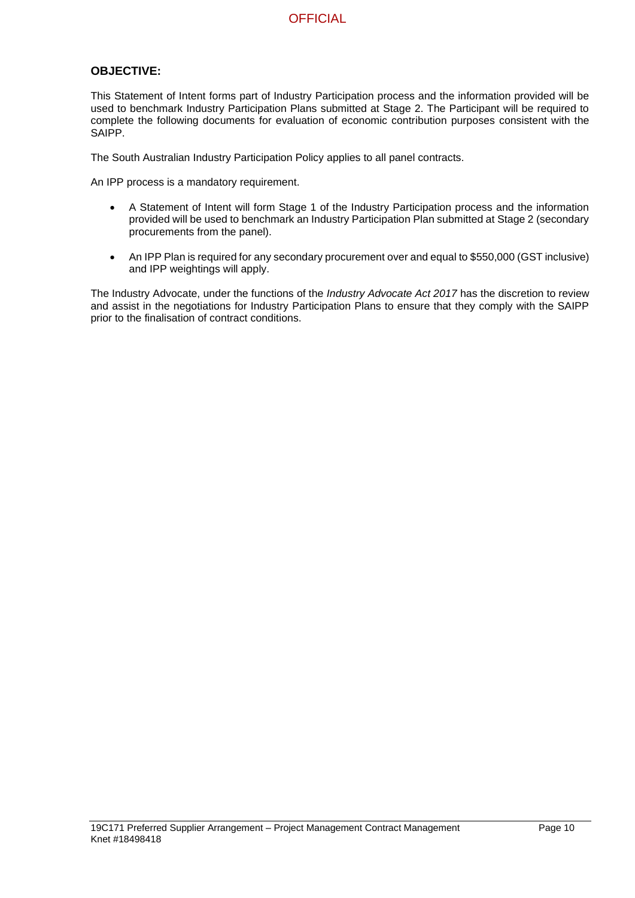### **OBJECTIVE:**

This Statement of Intent forms part of Industry Participation process and the information provided will be used to benchmark Industry Participation Plans submitted at Stage 2. The Participant will be required to complete the following documents for evaluation of economic contribution purposes consistent with the SAIPP.

The South Australian Industry Participation Policy applies to all panel contracts.

An IPP process is a mandatory requirement.

- A Statement of Intent will form Stage 1 of the Industry Participation process and the information provided will be used to benchmark an Industry Participation Plan submitted at Stage 2 (secondary procurements from the panel).
- An IPP Plan is required for any secondary procurement over and equal to \$550,000 (GST inclusive) and IPP weightings will apply.

The Industry Advocate, under the functions of the *Industry Advocate Act 2017* has the discretion to review and assist in the negotiations for Industry Participation Plans to ensure that they comply with the SAIPP prior to the finalisation of contract conditions.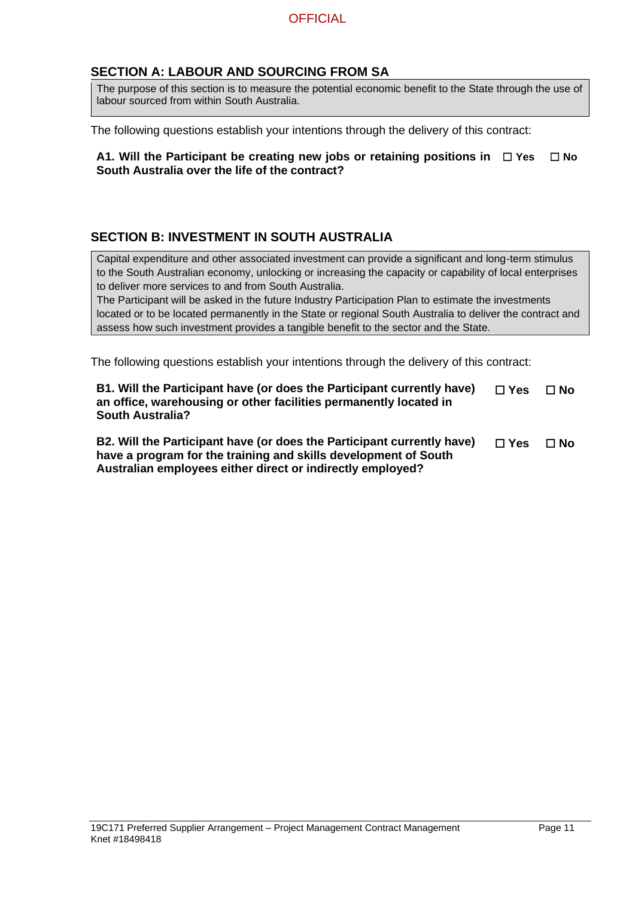### **SECTION A: LABOUR AND SOURCING FROM SA**

The purpose of this section is to measure the potential economic benefit to the State through the use of labour sourced from within South Australia.

The following questions establish your intentions through the delivery of this contract:

| A1. Will the Participant be creating new jobs or retaining positions in $\Box$ Yes $\Box$ No |  |
|----------------------------------------------------------------------------------------------|--|
| South Australia over the life of the contract?                                               |  |

### **SECTION B: INVESTMENT IN SOUTH AUSTRALIA**

Capital expenditure and other associated investment can provide a significant and long-term stimulus to the South Australian economy, unlocking or increasing the capacity or capability of local enterprises to deliver more services to and from South Australia.

The Participant will be asked in the future Industry Participation Plan to estimate the investments located or to be located permanently in the State or regional South Australia to deliver the contract and assess how such investment provides a tangible benefit to the sector and the State.

The following questions establish your intentions through the delivery of this contract:

| B1. Will the Participant have (or does the Participant currently have)<br>an office, warehousing or other facilities permanently located in<br><b>South Australia?</b> |               | $\Box$ No |
|------------------------------------------------------------------------------------------------------------------------------------------------------------------------|---------------|-----------|
| B2. Will the Participant have (or does the Participant currently have)<br>have a program for the training and skills development of South                              | $\square$ Yes | $\Box$ No |

**Australian employees either direct or indirectly employed?**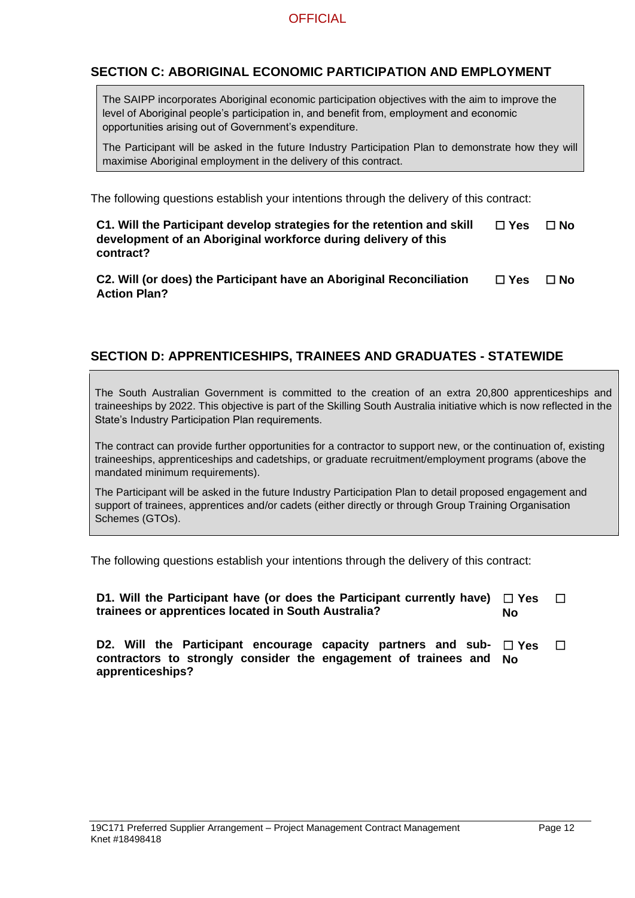### **SECTION C: ABORIGINAL ECONOMIC PARTICIPATION AND EMPLOYMENT**

The SAIPP incorporates Aboriginal economic participation objectives with the aim to improve the level of Aboriginal people's participation in, and benefit from, employment and economic opportunities arising out of Government's expenditure.

The Participant will be asked in the future Industry Participation Plan to demonstrate how they will maximise Aboriginal employment in the delivery of this contract.

The following questions establish your intentions through the delivery of this contract:

| C1. Will the Participant develop strategies for the retention and skill | $\Box$ Yes | $\Box$ No |
|-------------------------------------------------------------------------|------------|-----------|
| development of an Aboriginal workforce during delivery of this          |            |           |
| contract?                                                               |            |           |

**C2. Will (or does) the Participant have an Aboriginal Reconciliation Action Plan?** ☐ **Yes** ☐ **No**

### **SECTION D: APPRENTICESHIPS, TRAINEES AND GRADUATES - STATEWIDE**

The South Australian Government is committed to the creation of an extra 20,800 apprenticeships and traineeships by 2022. This objective is part of the Skilling South Australia initiative which is now reflected in the State's Industry Participation Plan requirements.

The contract can provide further opportunities for a contractor to support new, or the continuation of, existing traineeships, apprenticeships and cadetships, or graduate recruitment/employment programs (above the mandated minimum requirements).

The Participant will be asked in the future Industry Participation Plan to detail proposed engagement and support of trainees, apprentices and/or cadets (either directly or through Group Training Organisation Schemes (GTOs).

The following questions establish your intentions through the delivery of this contract:

| D1. Will the Participant have (or does the Participant currently have) $\Box$ Yes |    |  |
|-----------------------------------------------------------------------------------|----|--|
| trainees or apprentices located in South Australia?                               | No |  |

**D2. Will the Participant encourage capacity partners and sub- □ Yes □ contractors to strongly consider the engagement of trainees and Noapprenticeships?**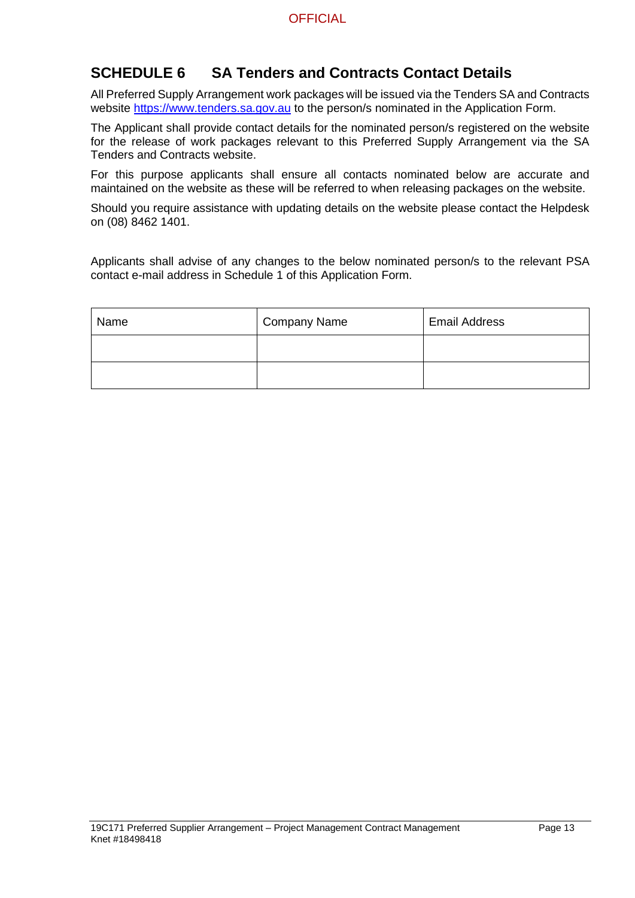# **SCHEDULE 6 SA Tenders and Contracts Contact Details**

All Preferred Supply Arrangement work packages will be issued via the Tenders SA and Contracts website [https://www.tenders.sa.gov.au](https://www.tenders.sa.gov.au/) to the person/s nominated in the Application Form.

The Applicant shall provide contact details for the nominated person/s registered on the website for the release of work packages relevant to this Preferred Supply Arrangement via the SA Tenders and Contracts website.

For this purpose applicants shall ensure all contacts nominated below are accurate and maintained on the website as these will be referred to when releasing packages on the website.

Should you require assistance with updating details on the website please contact the Helpdesk on (08) 8462 1401.

Applicants shall advise of any changes to the below nominated person/s to the relevant PSA contact e-mail address in Schedule 1 of this Application Form.

| Name | <b>Company Name</b> | <b>Email Address</b> |
|------|---------------------|----------------------|
|      |                     |                      |
|      |                     |                      |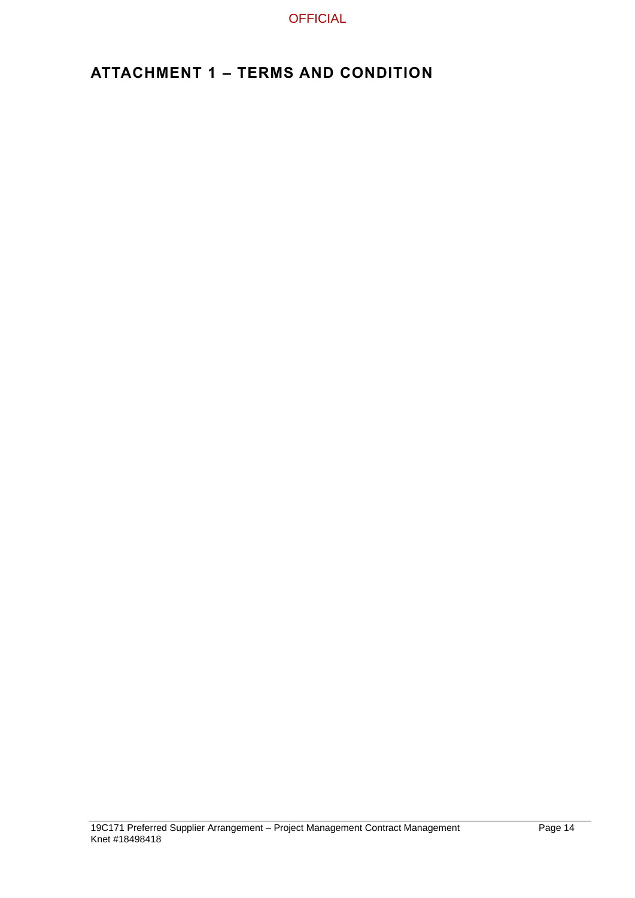# **ATTACHMENT 1 – TERMS AND CONDITION**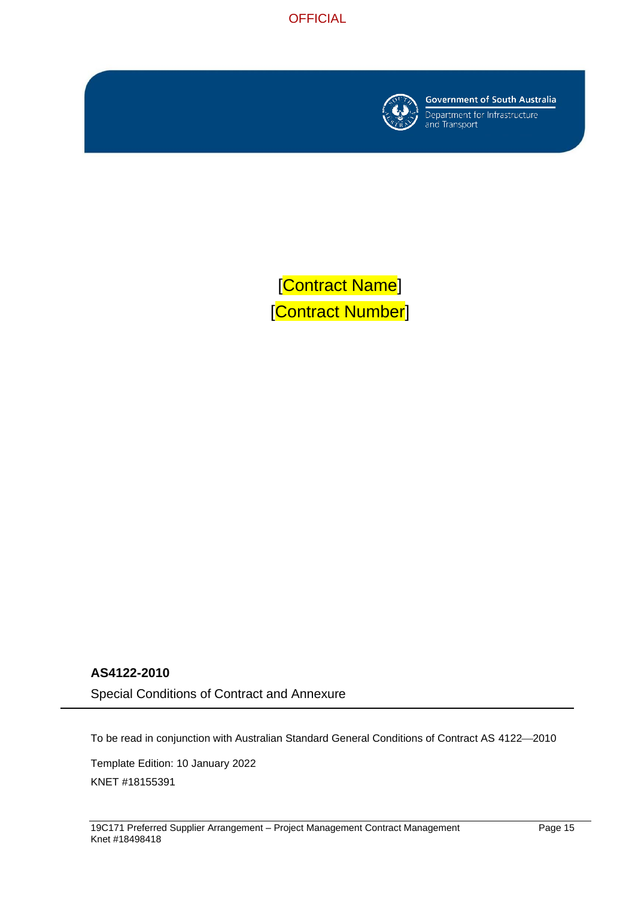



**Government of South Australia** 

Department for Infrastructure<br>and Transport

[Contract Name] [Contract Number]

### **AS4122-2010**

Special Conditions of Contract and Annexure

To be read in conjunction with Australian Standard General Conditions of Contract AS 4122-2010

Template Edition: 10 January 2022 KNET #18155391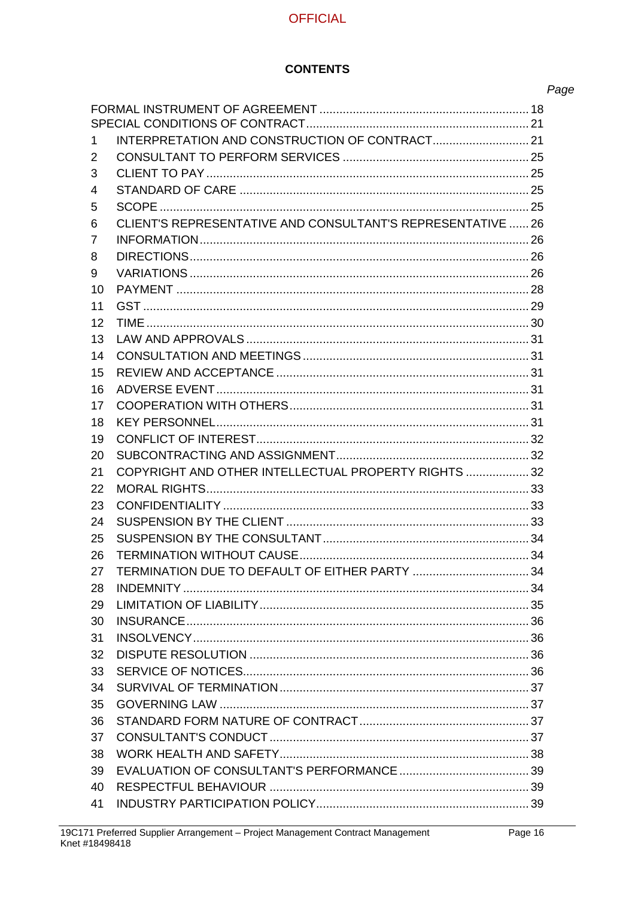## **CONTENTS**

| ×<br>۰, | ×<br>٧ |
|---------|--------|

| 1. |                                                             |  |  |  |
|----|-------------------------------------------------------------|--|--|--|
| 2  |                                                             |  |  |  |
| 3  |                                                             |  |  |  |
| 4  |                                                             |  |  |  |
| 5  |                                                             |  |  |  |
| 6  | CLIENT'S REPRESENTATIVE AND CONSULTANT'S REPRESENTATIVE  26 |  |  |  |
| 7  |                                                             |  |  |  |
| 8  |                                                             |  |  |  |
| 9  |                                                             |  |  |  |
| 10 |                                                             |  |  |  |
| 11 |                                                             |  |  |  |
| 12 |                                                             |  |  |  |
| 13 |                                                             |  |  |  |
| 14 |                                                             |  |  |  |
| 15 |                                                             |  |  |  |
| 16 |                                                             |  |  |  |
| 17 |                                                             |  |  |  |
| 18 |                                                             |  |  |  |
| 19 |                                                             |  |  |  |
| 20 |                                                             |  |  |  |
| 21 | COPYRIGHT AND OTHER INTELLECTUAL PROPERTY RIGHTS  32        |  |  |  |
| 22 |                                                             |  |  |  |
| 23 |                                                             |  |  |  |
| 24 |                                                             |  |  |  |
| 25 |                                                             |  |  |  |
| 26 |                                                             |  |  |  |
| 27 |                                                             |  |  |  |
| 28 |                                                             |  |  |  |
| 29 |                                                             |  |  |  |
| 30 |                                                             |  |  |  |
| 31 |                                                             |  |  |  |
| 32 |                                                             |  |  |  |
| 33 |                                                             |  |  |  |
| 34 |                                                             |  |  |  |
| 35 |                                                             |  |  |  |
| 36 |                                                             |  |  |  |
| 37 |                                                             |  |  |  |
| 38 |                                                             |  |  |  |
| 39 |                                                             |  |  |  |
| 40 |                                                             |  |  |  |
| 41 |                                                             |  |  |  |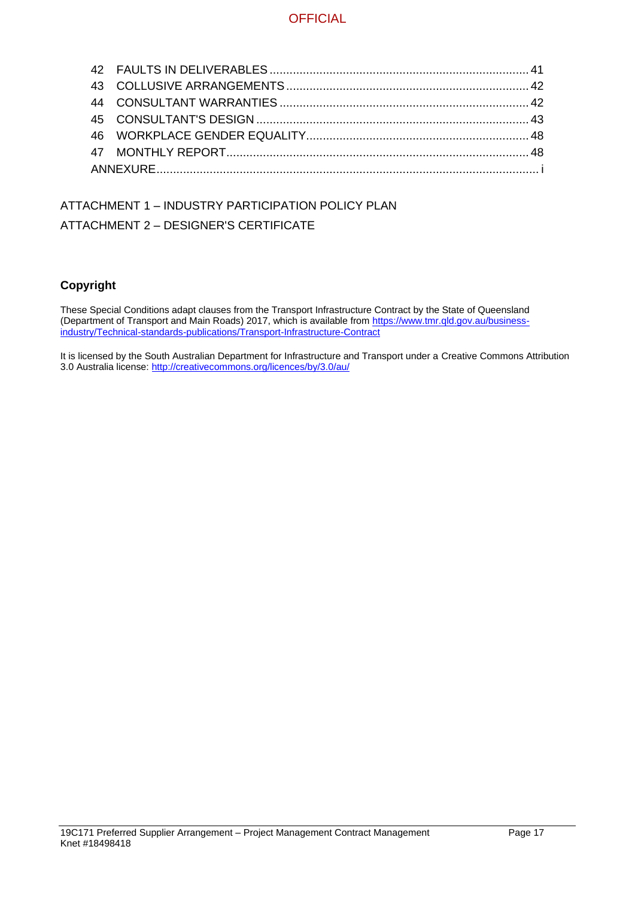# ATTACHMENT 1 – INDUSTRY PARTICIPATION POLICY PLAN ATTACHMENT 2 – DESIGNER'S CERTIFICATE

### **Copyright**

These Special Conditions adapt clauses from the Transport Infrastructure Contract by the State of Queensland (Department of Transport and Main Roads) 2017, which is available from [https://www.tmr.qld.gov.au/business](https://www.tmr.qld.gov.au/business-industry/Technical-standards-publications/Transport-Infrastructure-Contract)[industry/Technical-standards-publications/Transport-Infrastructure-Contract](https://www.tmr.qld.gov.au/business-industry/Technical-standards-publications/Transport-Infrastructure-Contract)

It is licensed by the South Australian Department for Infrastructure and Transport under a Creative Commons Attribution 3.0 Australia license:<http://creativecommons.org/licences/by/3.0/au/>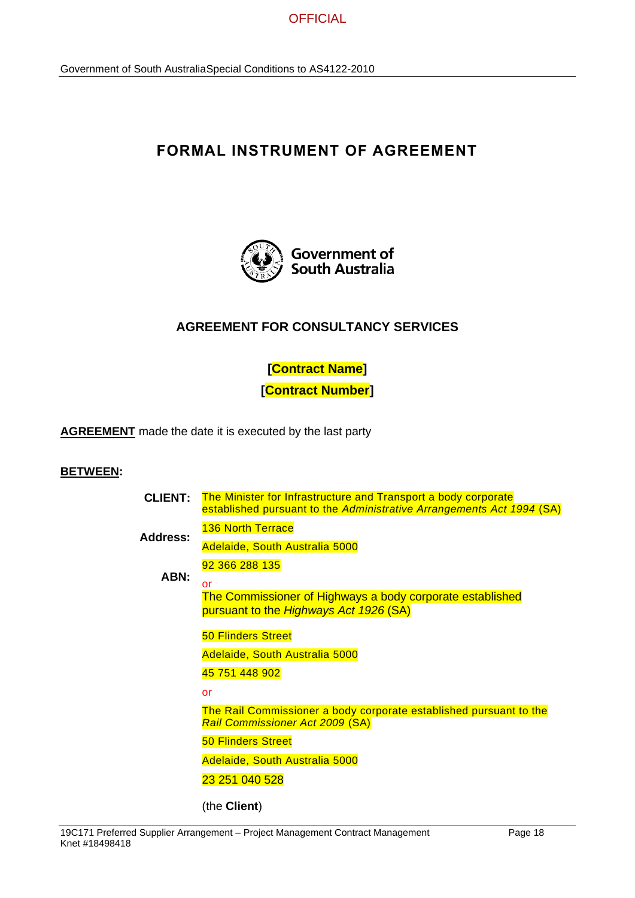

# **FORMAL INSTRUMENT OF AGREEMENT**



### **AGREEMENT FOR CONSULTANCY SERVICES**

**[Contract Name] [Contract Number]**

**AGREEMENT** made the date it is executed by the last party

#### **BETWEEN:**

| <b>CLIENT:</b>  | The Minister for Infrastructure and Transport a body corporate<br>established pursuant to the Administrative Arrangements Act 1994 (SA) |
|-----------------|-----------------------------------------------------------------------------------------------------------------------------------------|
|                 | <b>136 North Terrace</b>                                                                                                                |
| <b>Address:</b> | Adelaide, South Australia 5000                                                                                                          |
|                 | 92 366 288 135                                                                                                                          |
| ABN:            | or                                                                                                                                      |
|                 | The Commissioner of Highways a body corporate established<br>pursuant to the Highways Act 1926 (SA)                                     |
|                 | <b>50 Flinders Street</b>                                                                                                               |
|                 | Adelaide, South Australia 5000                                                                                                          |
|                 | 45 751 448 902                                                                                                                          |
|                 | or                                                                                                                                      |
|                 | The Rail Commissioner a body corporate established pursuant to the<br><b>Rail Commissioner Act 2009 (SA)</b>                            |
|                 | <b>50 Flinders Street</b>                                                                                                               |
|                 | Adelaide, South Australia 5000                                                                                                          |
|                 | 23 251 040 528                                                                                                                          |
|                 | (the <b>Client</b> )                                                                                                                    |

19C171 Preferred Supplier Arrangement – Project Management Contract Management Page 18 Knet #18498418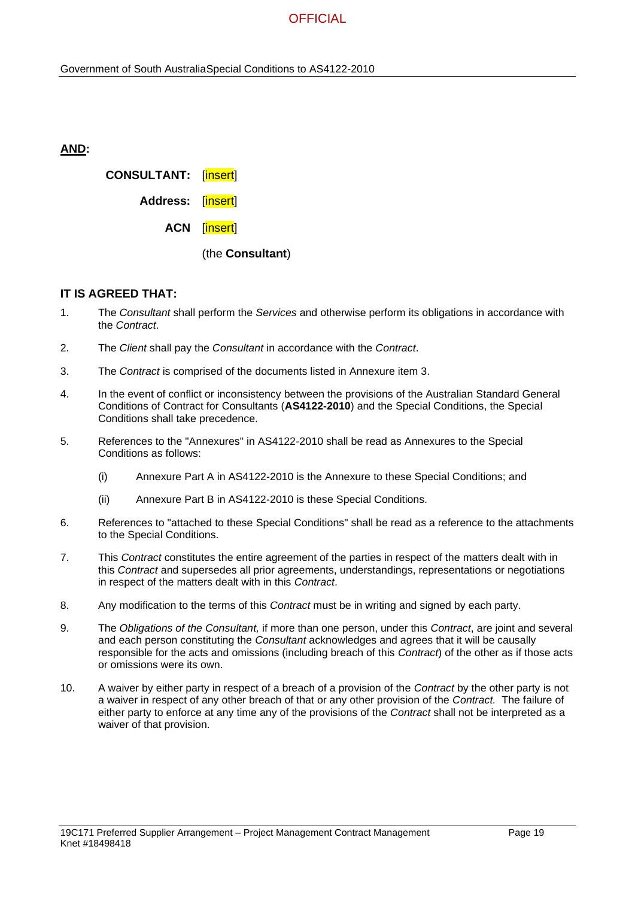| AND: |                             |              |
|------|-----------------------------|--------------|
|      | <b>CONSULTANT:</b> [insert] |              |
|      | Address: [insert]           |              |
|      |                             | ACN [insert] |
|      |                             |              |

(the **Consultant**)

#### **IT IS AGREED THAT:**

- 1. The *Consultant* shall perform the *Services* and otherwise perform its obligations in accordance with the *Contract*.
- 2. The *Client* shall pay the *Consultant* in accordance with the *Contract*.
- 3. The *Contract* is comprised of the documents listed in Annexure item 3.
- 4. In the event of conflict or inconsistency between the provisions of the Australian Standard General Conditions of Contract for Consultants (**AS4122-2010**) and the Special Conditions, the Special Conditions shall take precedence.
- 5. References to the "Annexures" in AS4122-2010 shall be read as Annexures to the Special Conditions as follows:
	- (i) Annexure Part A in AS4122-2010 is the Annexure to these Special Conditions; and
	- (ii) Annexure Part B in AS4122-2010 is these Special Conditions.
- 6. References to "attached to these Special Conditions" shall be read as a reference to the attachments to the Special Conditions.
- 7. This *Contract* constitutes the entire agreement of the parties in respect of the matters dealt with in this *Contract* and supersedes all prior agreements, understandings, representations or negotiations in respect of the matters dealt with in this *Contract*.
- 8. Any modification to the terms of this *Contract* must be in writing and signed by each party.
- 9. The *Obligations of the Consultant,* if more than one person, under this *Contract*, are joint and several and each person constituting the *Consultant* acknowledges and agrees that it will be causally responsible for the acts and omissions (including breach of this *Contract*) of the other as if those acts or omissions were its own.
- 10. A waiver by either party in respect of a breach of a provision of the *Contract* by the other party is not a waiver in respect of any other breach of that or any other provision of the *Contract.* The failure of either party to enforce at any time any of the provisions of the *Contract* shall not be interpreted as a waiver of that provision.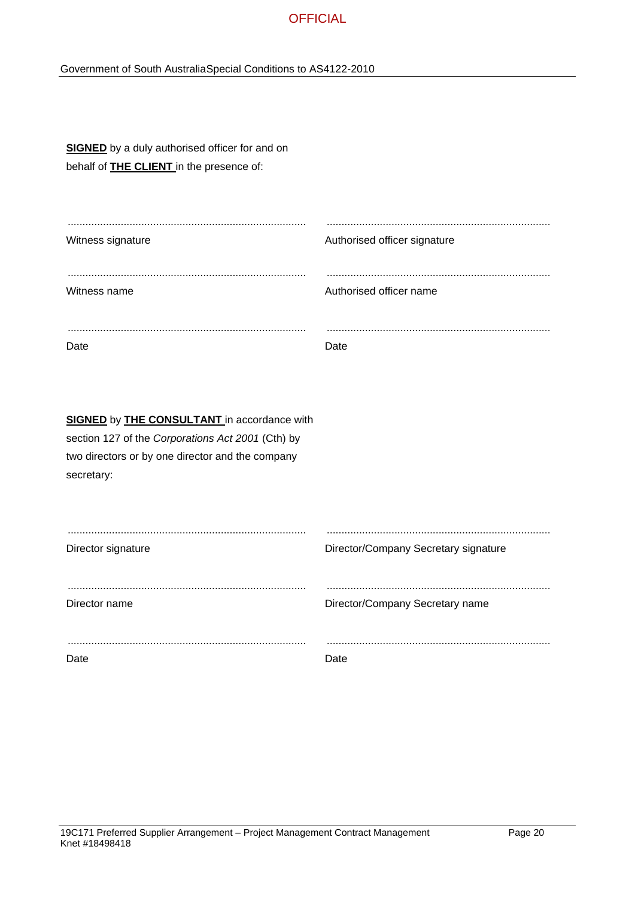### Government of South AustraliaSpecial Conditions to AS4122-2010

| <b>SIGNED</b> by a duly authorised officer for and on<br>behalf of <b>THE CLIENT</b> in the presence of:                                                                         |                                      |
|----------------------------------------------------------------------------------------------------------------------------------------------------------------------------------|--------------------------------------|
| Witness signature                                                                                                                                                                | Authorised officer signature         |
| Witness name                                                                                                                                                                     | Authorised officer name              |
| Date                                                                                                                                                                             | Date                                 |
| <b>SIGNED</b> by <b>THE CONSULTANT</b> in accordance with<br>section 127 of the Corporations Act 2001 (Cth) by<br>two directors or by one director and the company<br>secretary: |                                      |
| Director signature                                                                                                                                                               | Director/Company Secretary signature |
| Director name                                                                                                                                                                    | Director/Company Secretary name      |
| Date                                                                                                                                                                             | Date                                 |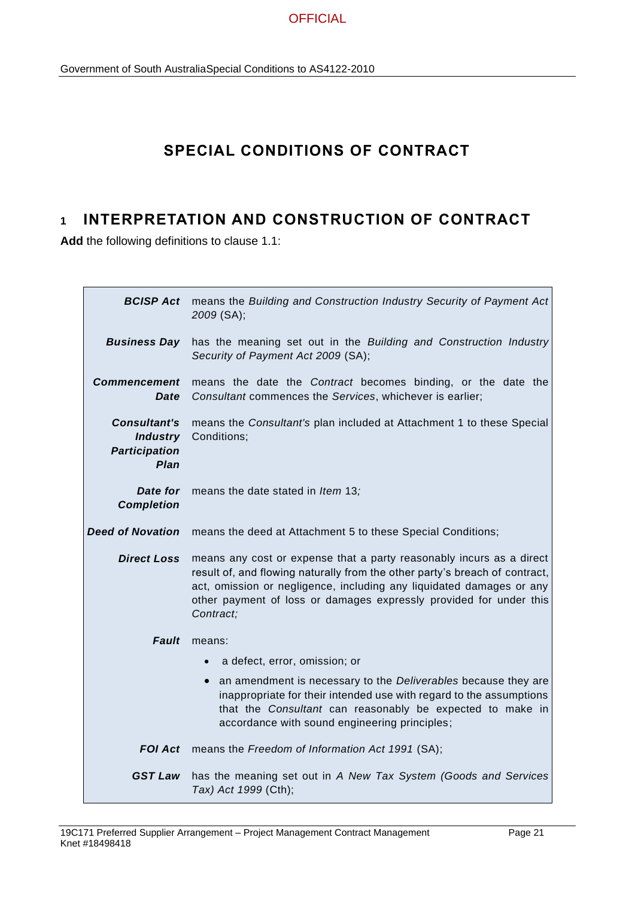# **SPECIAL CONDITIONS OF CONTRACT**

# **1 INTERPRETATION AND CONSTRUCTION OF CONTRACT**

**Add** the following definitions to clause 1.1:

|                                                                               | <b>BCISP Act</b> means the Building and Construction Industry Security of Payment Act<br>2009 (SA);                                                                                                                                                                                                            |  |  |  |  |
|-------------------------------------------------------------------------------|----------------------------------------------------------------------------------------------------------------------------------------------------------------------------------------------------------------------------------------------------------------------------------------------------------------|--|--|--|--|
| <b>Business Day</b>                                                           | has the meaning set out in the Building and Construction Industry<br>Security of Payment Act 2009 (SA);                                                                                                                                                                                                        |  |  |  |  |
| <b>Commencement</b><br><b>Date</b>                                            | means the date the Contract becomes binding, or the date the<br>Consultant commences the Services, whichever is earlier;                                                                                                                                                                                       |  |  |  |  |
| <b>Consultant's</b><br><b>Industry</b><br><b>Participation</b><br><b>Plan</b> | means the Consultant's plan included at Attachment 1 to these Special<br>Conditions;                                                                                                                                                                                                                           |  |  |  |  |
| Date for<br><b>Completion</b>                                                 | means the date stated in Item 13;                                                                                                                                                                                                                                                                              |  |  |  |  |
| <b>Deed of Novation</b>                                                       | means the deed at Attachment 5 to these Special Conditions;                                                                                                                                                                                                                                                    |  |  |  |  |
| <b>Direct Loss</b>                                                            | means any cost or expense that a party reasonably incurs as a direct<br>result of, and flowing naturally from the other party's breach of contract,<br>act, omission or negligence, including any liquidated damages or any<br>other payment of loss or damages expressly provided for under this<br>Contract; |  |  |  |  |
| <b>Fault</b>                                                                  | means:                                                                                                                                                                                                                                                                                                         |  |  |  |  |
|                                                                               | a defect, error, omission; or<br>$\bullet$                                                                                                                                                                                                                                                                     |  |  |  |  |
|                                                                               | an amendment is necessary to the Deliverables because they are<br>$\bullet$<br>inappropriate for their intended use with regard to the assumptions<br>that the Consultant can reasonably be expected to make in<br>accordance with sound engineering principles;                                               |  |  |  |  |
|                                                                               | <b>FOI Act</b> means the Freedom of Information Act 1991 (SA);                                                                                                                                                                                                                                                 |  |  |  |  |
| <b>GST Law</b>                                                                | has the meaning set out in A New Tax System (Goods and Services<br>Tax) Act 1999 (Cth);                                                                                                                                                                                                                        |  |  |  |  |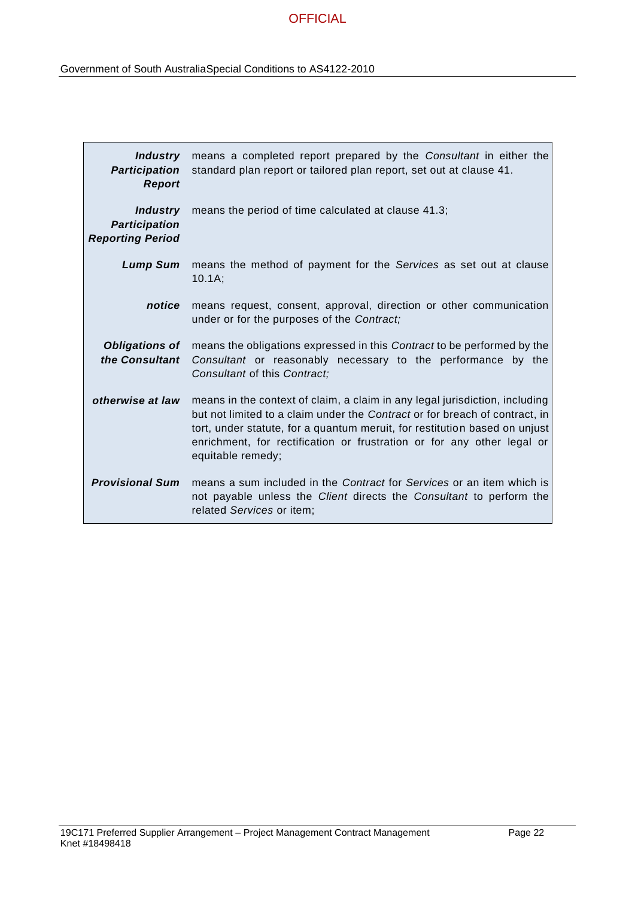| Industry<br><b>Participation</b><br><b>Report</b>                  | means a completed report prepared by the Consultant in either the<br>standard plan report or tailored plan report, set out at clause 41.                                                                                                                                                                                                |
|--------------------------------------------------------------------|-----------------------------------------------------------------------------------------------------------------------------------------------------------------------------------------------------------------------------------------------------------------------------------------------------------------------------------------|
| <b>Industry</b><br><b>Participation</b><br><b>Reporting Period</b> | means the period of time calculated at clause 41.3;                                                                                                                                                                                                                                                                                     |
|                                                                    | <b>Lump Sum</b> means the method of payment for the Services as set out at clause<br>10.1A;                                                                                                                                                                                                                                             |
| notice                                                             | means request, consent, approval, direction or other communication<br>under or for the purposes of the Contract;                                                                                                                                                                                                                        |
| <b>Obligations of</b><br>the Consultant                            | means the obligations expressed in this Contract to be performed by the<br>Consultant or reasonably necessary to the performance by the<br>Consultant of this Contract;                                                                                                                                                                 |
| otherwise at law                                                   | means in the context of claim, a claim in any legal jurisdiction, including<br>but not limited to a claim under the Contract or for breach of contract, in<br>tort, under statute, for a quantum meruit, for restitution based on unjust<br>enrichment, for rectification or frustration or for any other legal or<br>equitable remedy; |
| <b>Provisional Sum</b>                                             | means a sum included in the <i>Contract</i> for <i>Services</i> or an item which is<br>not payable unless the Client directs the Consultant to perform the<br>related Services or item;                                                                                                                                                 |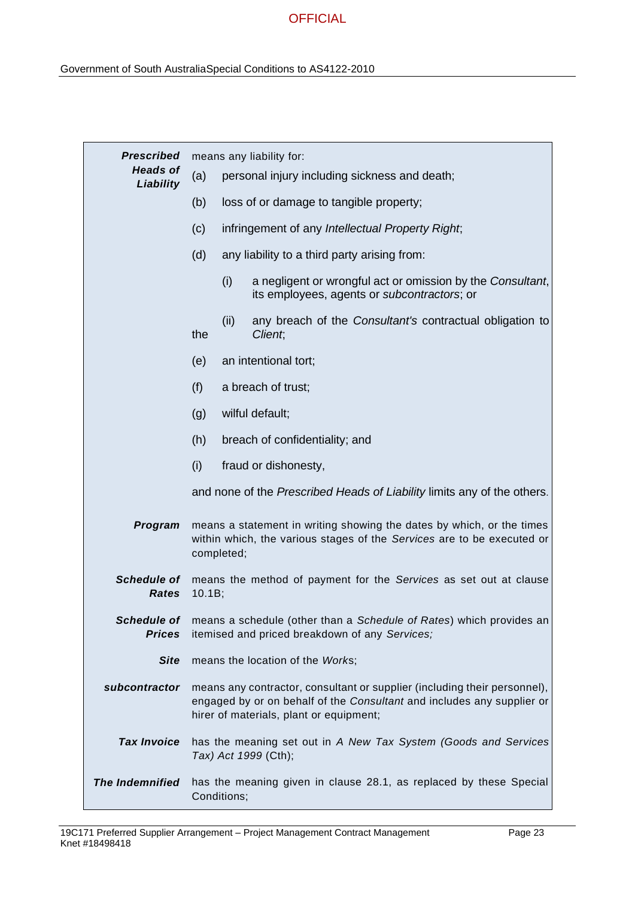| <b>Prescribed</b>                  | means any liability for:                                                                                                                                                                       |                                                                                                                  |                                                                     |  |
|------------------------------------|------------------------------------------------------------------------------------------------------------------------------------------------------------------------------------------------|------------------------------------------------------------------------------------------------------------------|---------------------------------------------------------------------|--|
| <b>Heads of</b><br>Liability       | (a)                                                                                                                                                                                            | personal injury including sickness and death;                                                                    |                                                                     |  |
|                                    | (b)                                                                                                                                                                                            | loss of or damage to tangible property;                                                                          |                                                                     |  |
|                                    | (c)                                                                                                                                                                                            |                                                                                                                  | infringement of any Intellectual Property Right;                    |  |
|                                    | (d)                                                                                                                                                                                            |                                                                                                                  | any liability to a third party arising from:                        |  |
|                                    |                                                                                                                                                                                                | (i)<br>a negligent or wrongful act or omission by the Consultant,<br>its employees, agents or subcontractors; or |                                                                     |  |
|                                    | the                                                                                                                                                                                            | (ii)                                                                                                             | any breach of the Consultant's contractual obligation to<br>Client, |  |
|                                    | (e)                                                                                                                                                                                            |                                                                                                                  | an intentional tort;                                                |  |
|                                    | (f)                                                                                                                                                                                            |                                                                                                                  | a breach of trust;                                                  |  |
|                                    | (g)                                                                                                                                                                                            |                                                                                                                  | wilful default;                                                     |  |
|                                    | (h)                                                                                                                                                                                            |                                                                                                                  | breach of confidentiality; and                                      |  |
|                                    | (i)                                                                                                                                                                                            |                                                                                                                  | fraud or dishonesty,                                                |  |
|                                    |                                                                                                                                                                                                | and none of the Prescribed Heads of Liability limits any of the others.                                          |                                                                     |  |
| Program                            | means a statement in writing showing the dates by which, or the times<br>within which, the various stages of the Services are to be executed or<br>completed;                                  |                                                                                                                  |                                                                     |  |
| <b>Schedule of</b><br><b>Rates</b> | means the method of payment for the Services as set out at clause<br>10.1B;                                                                                                                    |                                                                                                                  |                                                                     |  |
| <b>Prices</b>                      | Schedule of means a schedule (other than a Schedule of Rates) which provides an<br>itemised and priced breakdown of any Services;                                                              |                                                                                                                  |                                                                     |  |
| <b>Site</b>                        | means the location of the Works;                                                                                                                                                               |                                                                                                                  |                                                                     |  |
| subcontractor                      | means any contractor, consultant or supplier (including their personnel),<br>engaged by or on behalf of the Consultant and includes any supplier or<br>hirer of materials, plant or equipment; |                                                                                                                  |                                                                     |  |
| <b>Tax Invoice</b>                 |                                                                                                                                                                                                | has the meaning set out in A New Tax System (Goods and Services<br>Tax) Act 1999 (Cth);                          |                                                                     |  |
| <b>The Indemnified</b>             | has the meaning given in clause 28.1, as replaced by these Special<br>Conditions;                                                                                                              |                                                                                                                  |                                                                     |  |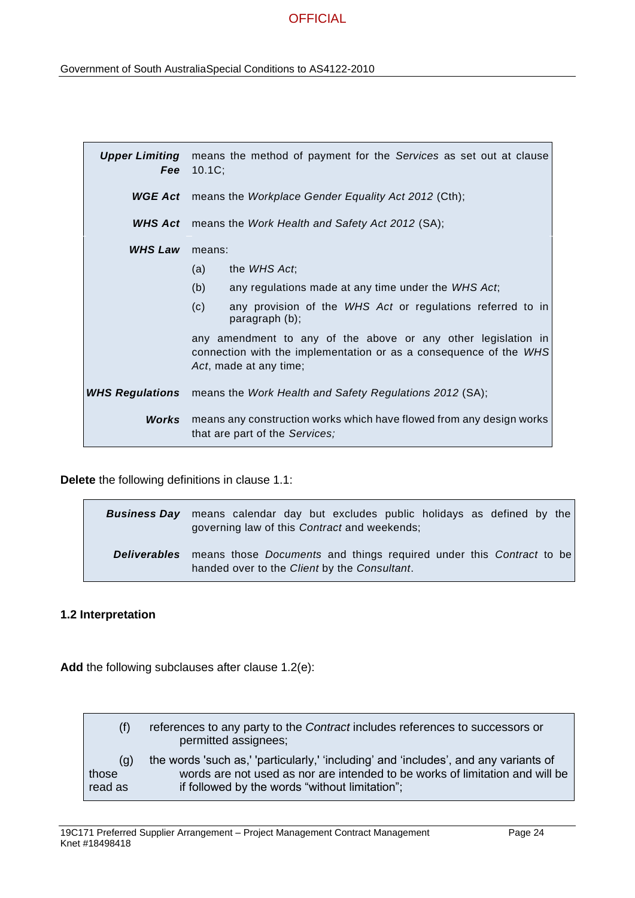| <b>Upper Limiting</b>  | Fee $10.1C$ ;                                                                                                                                                | means the method of payment for the Services as set out at clause            |
|------------------------|--------------------------------------------------------------------------------------------------------------------------------------------------------------|------------------------------------------------------------------------------|
|                        |                                                                                                                                                              | <b>WGE Act</b> means the Workplace Gender Equality Act 2012 (Cth);           |
| WHS Act                | means the Work Health and Safety Act 2012 (SA);                                                                                                              |                                                                              |
| <b>WHS Law</b>         | means:                                                                                                                                                       |                                                                              |
|                        | (a)                                                                                                                                                          | the WHS Act;                                                                 |
|                        | (b)                                                                                                                                                          | any regulations made at any time under the WHS Act;                          |
|                        | (c)                                                                                                                                                          | any provision of the WHS Act or regulations referred to in<br>paragraph (b); |
|                        | any amendment to any of the above or any other legislation in<br>connection with the implementation or as a consequence of the WHS<br>Act, made at any time; |                                                                              |
| <b>WHS Regulations</b> | means the Work Health and Safety Regulations 2012 (SA);                                                                                                      |                                                                              |
| Works                  | means any construction works which have flowed from any design works<br>that are part of the Services;                                                       |                                                                              |

**Delete** the following definitions in clause 1.1:

| <b>Business Day</b> means calendar day but excludes public holidays as defined by the<br>governing law of this Contract and weekends;                 |
|-------------------------------------------------------------------------------------------------------------------------------------------------------|
| <b>Deliverables</b> means those <i>Documents</i> and things required under this <i>Contract</i> to be<br>handed over to the Client by the Consultant. |

### **1.2 Interpretation**

Add the following subclauses after clause 1.2(e):

| (f)     | references to any party to the <i>Contract</i> includes references to successors or<br>permitted assignees; |
|---------|-------------------------------------------------------------------------------------------------------------|
| (g)     | the words 'such as,' 'particularly,' 'including' and 'includes', and any variants of                        |
| those   | words are not used as nor are intended to be works of limitation and will be                                |
| read as | if followed by the words "without limitation";                                                              |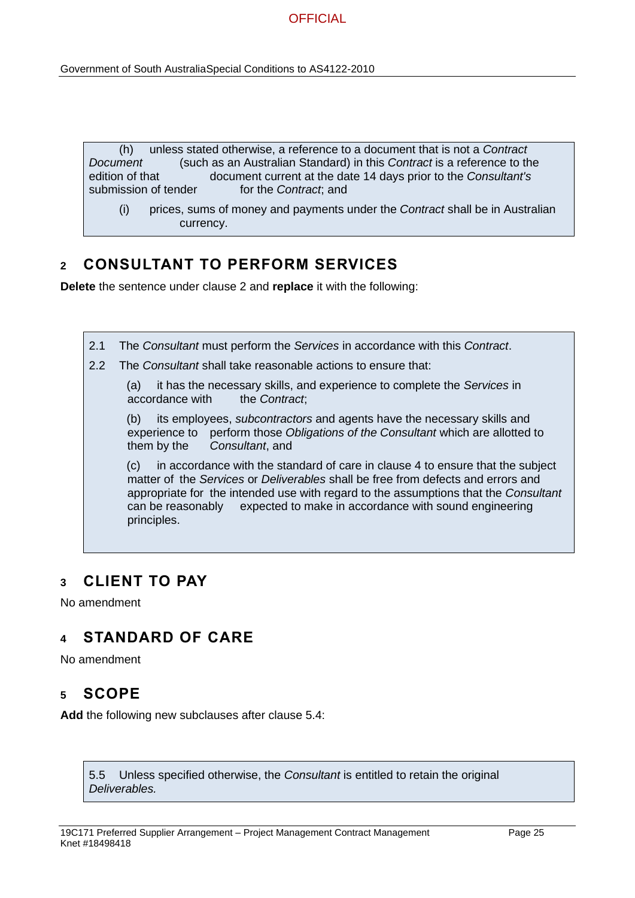(h) unless stated otherwise, a reference to a document that is not a *Contract Document* (such as an Australian Standard) in this *Contract* is a reference to the edition of that document current at the date 14 days prior to the *Consultant's* submission of tender for the *Contract*; and

(i) prices, sums of money and payments under the *Contract* shall be in Australian currency.

## **2 CONSULTANT TO PERFORM SERVICES**

**Delete** the sentence under clause 2 and **replace** it with the following:

2.2 The *Consultant* shall take reasonable actions to ensure that: (a) it has the necessary skills, and experience to complete the *Services* in

2.1 The *Consultant* must perform the *Services* in accordance with this *Contract*.

accordance with the *Contract*;

(b) its employees, *subcontractors* and agents have the necessary skills and experience to perform those *Obligations of the Consultant* which are allotted to them by the *Consultant*, and

(c) in accordance with the standard of care in clause 4 to ensure that the subject matter of the *Services* or *Deliverables* shall be free from defects and errors and appropriate for the intended use with regard to the assumptions that the *Consultant* can be reasonably expected to make in accordance with sound engineering principles.

## **3 CLIENT TO PAY**

No amendment

# **4 STANDARD OF CARE**

No amendment

## **5 SCOPE**

**Add** the following new subclauses after clause 5.4:

5.5 Unless specified otherwise, the *Consultant* is entitled to retain the original *Deliverables.*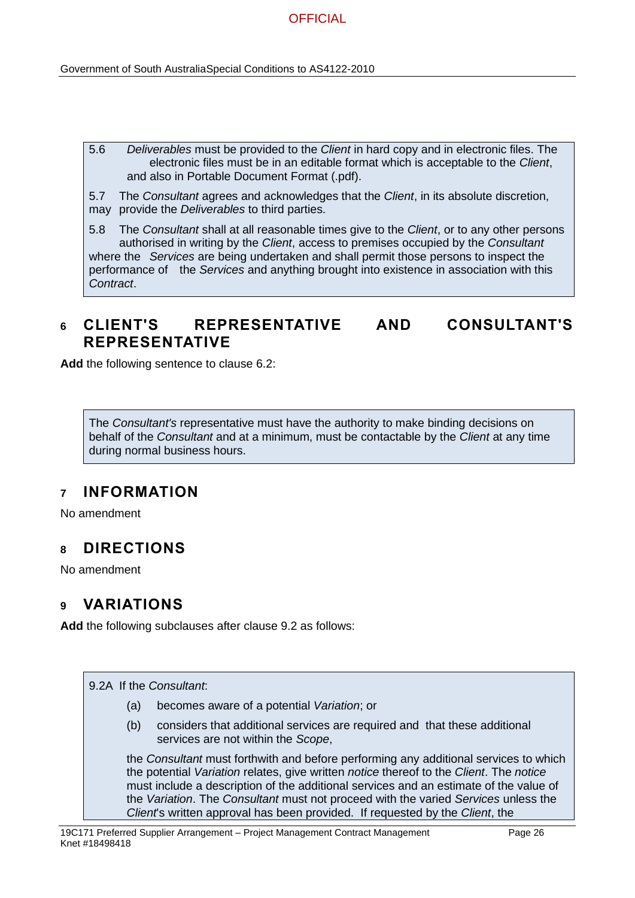5.6 *Deliverables* must be provided to the *Client* in hard copy and in electronic files. The electronic files must be in an editable format which is acceptable to the *Client*, and also in Portable Document Format (.pdf).

5.7 The *Consultant* agrees and acknowledges that the *Client*, in its absolute discretion, may provide the *Deliverables* to third parties.

5.8 The *Consultant* shall at all reasonable times give to the *Client*, or to any other persons authorised in writing by the *Client*, access to premises occupied by the *Consultant* where the *Services* are being undertaken and shall permit those persons to inspect the performance of the *Services* and anything brought into existence in association with this *Contract*.

## **6 CLIENT'S REPRESENTATIVE AND CONSULTANT'S REPRESENTATIVE**

**Add** the following sentence to clause 6.2:

The *Consultant's* representative must have the authority to make binding decisions on behalf of the *Consultant* and at a minimum, must be contactable by the *Client* at any time during normal business hours.

## **7 INFORMATION**

No amendment

## **8 DIRECTIONS**

No amendment

## **9 VARIATIONS**

**Add** the following subclauses after clause 9.2 as follows:

9.2A If the *Consultant*:

- (a) becomes aware of a potential *Variation*; or
- (b) considers that additional services are required and that these additional services are not within the *Scope*,

the *Consultant* must forthwith and before performing any additional services to which the potential *Variation* relates, give written *notice* thereof to the *Client*. The *notice* must include a description of the additional services and an estimate of the value of the *Variation*. The *Consultant* must not proceed with the varied *Services* unless the *Client*'s written approval has been provided. If requested by the *Client*, the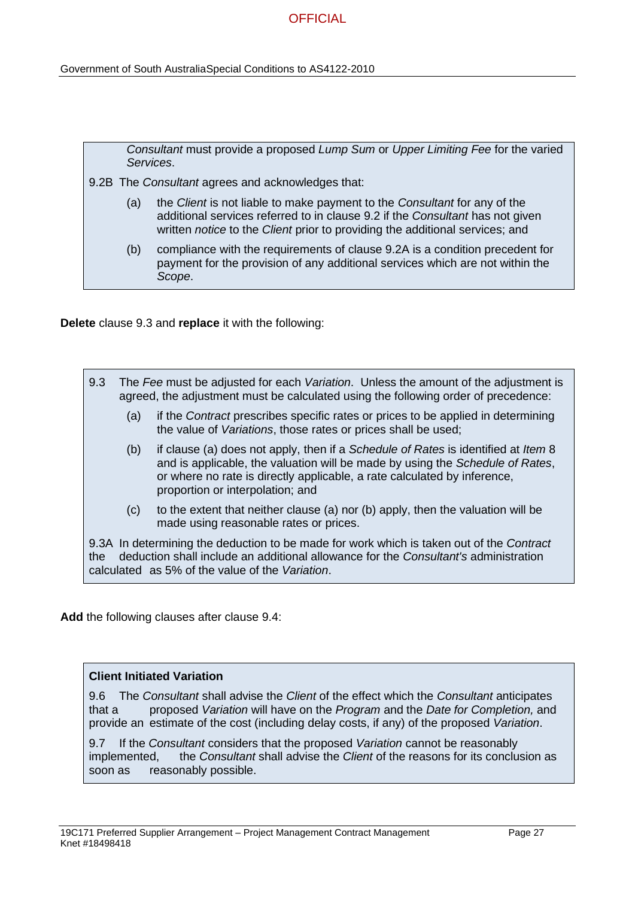Government of South AustraliaSpecial Conditions to AS4122-2010

|     | Consultant must provide a proposed Lump Sum or Upper Limiting Fee for the varied<br>Services.                                                                                                                                              |
|-----|--------------------------------------------------------------------------------------------------------------------------------------------------------------------------------------------------------------------------------------------|
|     | 9.2B The Consultant agrees and acknowledges that:                                                                                                                                                                                          |
| (a) | the Client is not liable to make payment to the Consultant for any of the<br>additional services referred to in clause 9.2 if the Consultant has not given<br>written notice to the Client prior to providing the additional services; and |
| (b) | compliance with the requirements of clause 9.2A is a condition precedent for<br>payment for the provision of any additional services which are not within the<br>Scope.                                                                    |

**Delete** clause 9.3 and **replace** it with the following:

| 9.3                                                                                                                                                                                                                                              | The Fee must be adjusted for each Variation. Unless the amount of the adjustment is<br>agreed, the adjustment must be calculated using the following order of precedence: |                                                                                                                                                                                                                                                                                    |  |
|--------------------------------------------------------------------------------------------------------------------------------------------------------------------------------------------------------------------------------------------------|---------------------------------------------------------------------------------------------------------------------------------------------------------------------------|------------------------------------------------------------------------------------------------------------------------------------------------------------------------------------------------------------------------------------------------------------------------------------|--|
|                                                                                                                                                                                                                                                  | (a)                                                                                                                                                                       | if the Contract prescribes specific rates or prices to be applied in determining<br>the value of Variations, those rates or prices shall be used;                                                                                                                                  |  |
|                                                                                                                                                                                                                                                  | (b)                                                                                                                                                                       | if clause (a) does not apply, then if a Schedule of Rates is identified at Item 8<br>and is applicable, the valuation will be made by using the Schedule of Rates,<br>or where no rate is directly applicable, a rate calculated by inference,<br>proportion or interpolation; and |  |
|                                                                                                                                                                                                                                                  | (c)                                                                                                                                                                       | to the extent that neither clause (a) nor (b) apply, then the valuation will be<br>made using reasonable rates or prices.                                                                                                                                                          |  |
| 9.3A In determining the deduction to be made for work which is taken out of the <i>Contract</i><br>deduction shall include an additional allowance for the Consultant's administration<br>the<br>calculated as 5% of the value of the Variation. |                                                                                                                                                                           |                                                                                                                                                                                                                                                                                    |  |

**Add** the following clauses after clause 9.4:

#### **Client Initiated Variation**

9.6 The *Consultant* shall advise the *Client* of the effect which the *Consultant* anticipates that a proposed *Variation* will have on the *Program* and the *Date for Completion,* and provide an estimate of the cost (including delay costs, if any) of the proposed *Variation*.

9.7 If the *Consultant* considers that the proposed *Variation* cannot be reasonably implemented, the *Consultant* shall advise the *Client* of the reasons for its conclusion as soon as reasonably possible.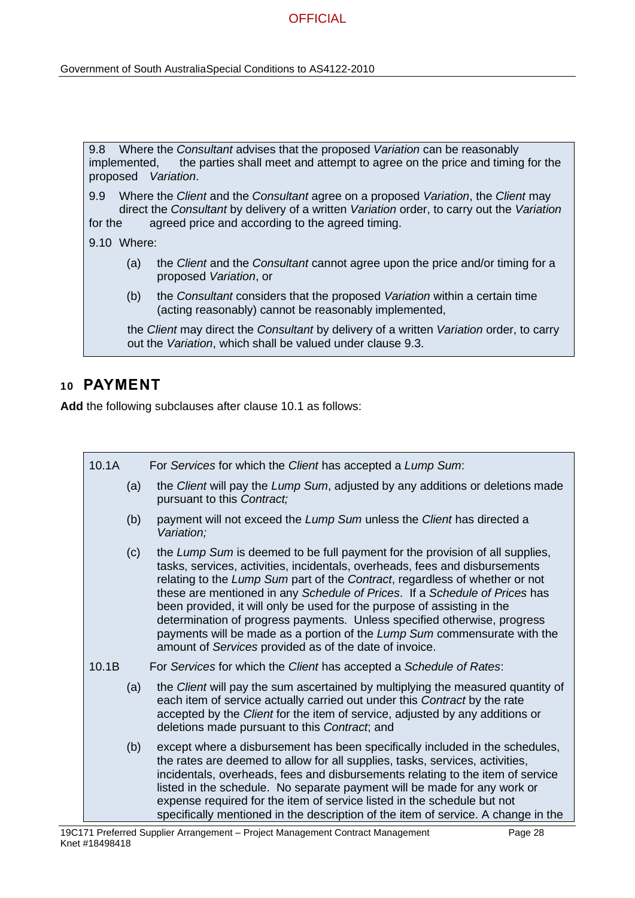Government of South AustraliaSpecial Conditions to AS4122-2010

| implemented, |                                                                                                                                                                                 | 9.8 Where the Consultant advises that the proposed Variation can be reasonably<br>the parties shall meet and attempt to agree on the price and timing for the<br>proposed Variation. |  |
|--------------|---------------------------------------------------------------------------------------------------------------------------------------------------------------------------------|--------------------------------------------------------------------------------------------------------------------------------------------------------------------------------------|--|
| 9.9          | Where the Client and the Consultant agree on a proposed Variation, the Client may<br>direct the Consultant by delivery of a written Variation order, to carry out the Variation |                                                                                                                                                                                      |  |
| for the      |                                                                                                                                                                                 | agreed price and according to the agreed timing.                                                                                                                                     |  |
|              | $9.10$ Where:                                                                                                                                                                   |                                                                                                                                                                                      |  |
|              | (a)                                                                                                                                                                             | the Client and the Consultant cannot agree upon the price and/or timing for a<br>proposed Variation, or                                                                              |  |
|              | (b)                                                                                                                                                                             | the Consultant considers that the proposed Variation within a certain time<br>(acting reasonably) cannot be reasonably implemented,                                                  |  |
|              |                                                                                                                                                                                 | the Client may direct the Consultant by delivery of a written Variation order, to carry<br>out the Variation, which shall be valued under clause 9.3.                                |  |
|              |                                                                                                                                                                                 |                                                                                                                                                                                      |  |

# **10 PAYMENT**

**Add** the following subclauses after clause 10.1 as follows:

| 10.1A | For Services for which the Client has accepted a Lump Sum:                                                                                                                                                                                                                                                                                                                                                                                                                                                                                                                                                            |
|-------|-----------------------------------------------------------------------------------------------------------------------------------------------------------------------------------------------------------------------------------------------------------------------------------------------------------------------------------------------------------------------------------------------------------------------------------------------------------------------------------------------------------------------------------------------------------------------------------------------------------------------|
| (a)   | the Client will pay the Lump Sum, adjusted by any additions or deletions made<br>pursuant to this Contract;                                                                                                                                                                                                                                                                                                                                                                                                                                                                                                           |
| (b)   | payment will not exceed the Lump Sum unless the Client has directed a<br>Variation;                                                                                                                                                                                                                                                                                                                                                                                                                                                                                                                                   |
| (c)   | the Lump Sum is deemed to be full payment for the provision of all supplies,<br>tasks, services, activities, incidentals, overheads, fees and disbursements<br>relating to the Lump Sum part of the Contract, regardless of whether or not<br>these are mentioned in any Schedule of Prices. If a Schedule of Prices has<br>been provided, it will only be used for the purpose of assisting in the<br>determination of progress payments. Unless specified otherwise, progress<br>payments will be made as a portion of the Lump Sum commensurate with the<br>amount of Services provided as of the date of invoice. |
| 10.1B | For Services for which the Client has accepted a Schedule of Rates:                                                                                                                                                                                                                                                                                                                                                                                                                                                                                                                                                   |
| (a)   | the <i>Client</i> will pay the sum ascertained by multiplying the measured quantity of<br>each item of service actually carried out under this Contract by the rate<br>accepted by the Client for the item of service, adjusted by any additions or<br>deletions made pursuant to this Contract, and                                                                                                                                                                                                                                                                                                                  |
| (b)   | except where a disbursement has been specifically included in the schedules,<br>the rates are deemed to allow for all supplies, tasks, services, activities,<br>incidentals, overheads, fees and disbursements relating to the item of service<br>listed in the schedule. No separate payment will be made for any work or<br>expense required for the item of service listed in the schedule but not<br>specifically mentioned in the description of the item of service. A change in the                                                                                                                            |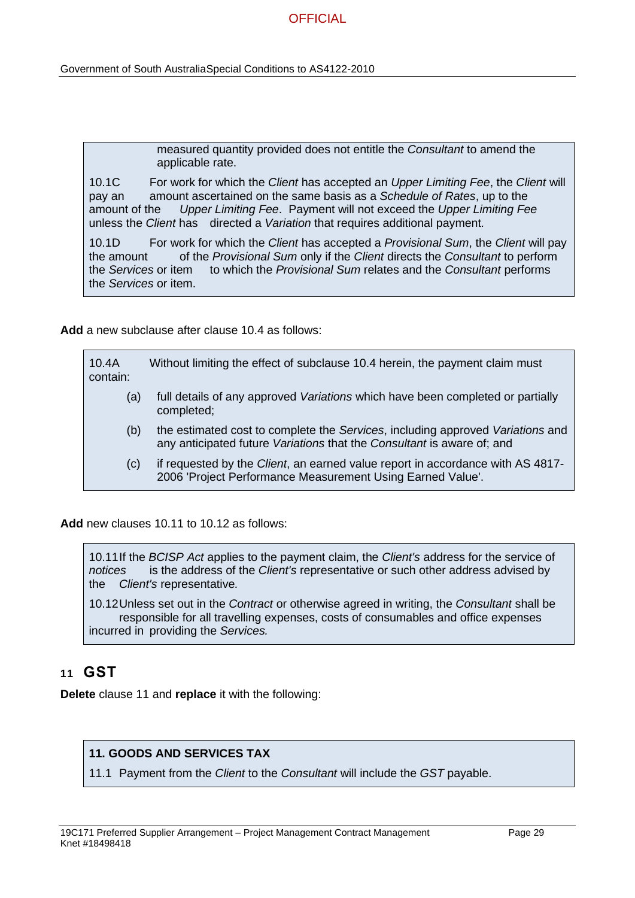Government of South AustraliaSpecial Conditions to AS4122-2010

measured quantity provided does not entitle the *Consultant* to amend the applicable rate.

10.1C For work for which the *Client* has accepted an *Upper Limiting Fee*, the *Client* will pay an amount ascertained on the same basis as a *Schedule of Rates*, up to the amount of the *Upper Limiting Fee*. Payment will not exceed the *Upper Limiting Fee* unless the *Client* has directed a *Variation* that requires additional payment*.*

10.1D For work for which the *Client* has accepted a *Provisional Sum*, the *Client* will pay the amount of the *Provisional Sum* only if the *Client* directs the *Consultant* to perform the *Services* or item to which the *Provisional Sum* relates and the *Consultant* performs the *Services* or item.

**Add** a new subclause after clause 10.4 as follows:

| 10.4A<br>contain: | Without limiting the effect of subclause 10.4 herein, the payment claim must                                                                             |
|-------------------|----------------------------------------------------------------------------------------------------------------------------------------------------------|
| (a)               | full details of any approved Variations which have been completed or partially<br>completed;                                                             |
| (b)               | the estimated cost to complete the Services, including approved Variations and<br>any anticipated future Variations that the Consultant is aware of; and |
| (c)               | if requested by the Client, an earned value report in accordance with AS 4817-<br>2006 'Project Performance Measurement Using Earned Value'.             |

**Add** new clauses 10.11 to 10.12 as follows:

10.11If the *BCISP Act* applies to the payment claim, the *Client's* address for the service of *notices* is the address of the *Client's* representative or such other address advised by the *Client's* representative*.*

10.12Unless set out in the *Contract* or otherwise agreed in writing, the *Consultant* shall be responsible for all travelling expenses, costs of consumables and office expenses incurred in providing the *Services.* 

### **11 GST**

**Delete** clause 11 and **replace** it with the following:

### **11. GOODS AND SERVICES TAX**

11.1 Payment from the *Client* to the *Consultant* will include the *GST* payable.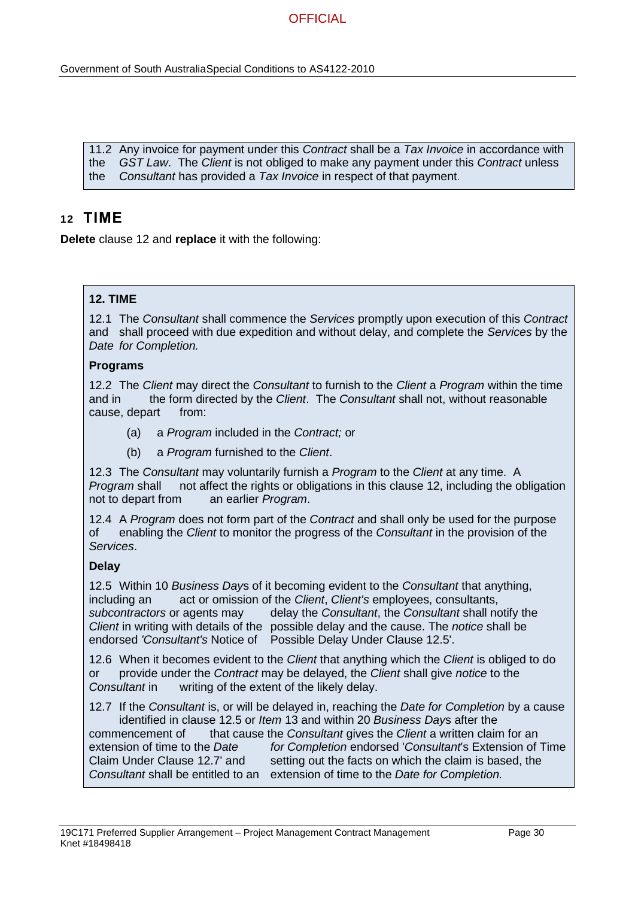Government of South AustraliaSpecial Conditions to AS4122-2010

11.2 Any invoice for payment under this *Contract* shall be a *Tax Invoice* in accordance with the *GST Law*. The *Client* is not obliged to make any payment under this *Contract* unless the *Consultant* has provided a *Tax Invoice* in respect of that payment.

## **12 TIME**

**Delete** clause 12 and **replace** it with the following:

### **12. TIME**

12.1 The *Consultant* shall commence the *Services* promptly upon execution of this *Contract* and shall proceed with due expedition and without delay, and complete the *Services* by the *Date for Completion.* 

#### **Programs**

12.2 The *Client* may direct the *Consultant* to furnish to the *Client* a *Program* within the time and in the form directed by the *Client*. The *Consultant* shall not, without reasonable cause, depart from:

- (a) a *Program* included in the *Contract;* or
- (b) a *Program* furnished to the *Client*.

12.3 The *Consultant* may voluntarily furnish a *Program* to the *Client* at any time. A *Program* shall not affect the rights or obligations in this clause 12, including the obligation not to depart from an earlier *Program*.

12.4 A *Program* does not form part of the *Contract* and shall only be used for the purpose of enabling the *Client* to monitor the progress of the *Consultant* in the provision of the *Services*.

### **Delay**

12.5 Within 10 *Business Day*s of it becoming evident to the *Consultant* that anything, including an act or omission of the *Client*, *Client's* employees, consultants, *subcontractors* or agents may delay the *Consultant*, the *Consultant* shall notify the *Client* in writing with details of the possible delay and the cause. The *notice* shall be endorsed *'Consultant's* Notice of Possible Delay Under Clause 12.5'.

12.6 When it becomes evident to the *Client* that anything which the *Client* is obliged to do or provide under the *Contract* may be delayed, the *Client* shall give *notice* to the *Consultant* in writing of the extent of the likely delay.

12.7 If the *Consultant* is, or will be delayed in, reaching the *Date for Completion* by a cause identified in clause 12.5 or *Item* 13 and within 20 *Business Day*s after the commencement of that cause the *Consultant* gives the *Client* a written claim for an

extension of time to the *Date for Completion* endorsed '*Consultant*'s Extension of Time Claim Under Clause 12.7' and setting out the facts on which the claim is based, the *Consultant* shall be entitled to an extension of time to the *Date for Completion.*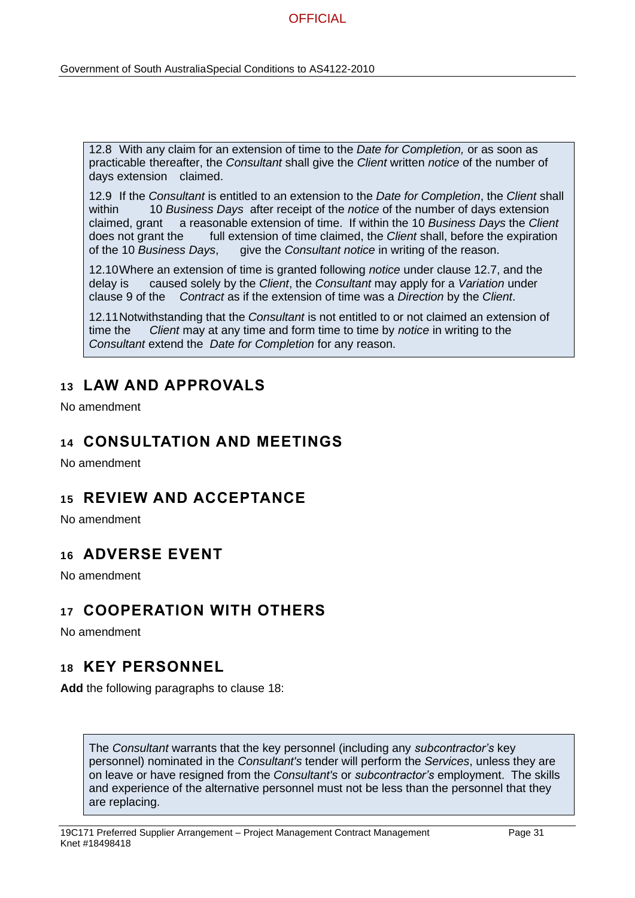12.8 With any claim for an extension of time to the *Date for Completion,* or as soon as practicable thereafter, the *Consultant* shall give the *Client* written *notice* of the number of days extension claimed.

12.9 If the *Consultant* is entitled to an extension to the *Date for Completion*, the *Client* shall within 10 *Business Days* after receipt of the *notice* of the number of days extension claimed, grant a reasonable extension of time. If within the 10 *Business Days* the *Client*  does not grant the full extension of time claimed, the *Client* shall, before the expiration of the 10 *Business Days*, give the *Consultant notice* in writing of the reason.

12.10Where an extension of time is granted following *notice* under clause 12.7, and the delay is caused solely by the *Client*, the *Consultant* may apply for a *Variation* under clause 9 of the *Contract* as if the extension of time was a *Direction* by the *Client*.

12.11Notwithstanding that the *Consultant* is not entitled to or not claimed an extension of time the *Client* may at any time and form time to time by *notice* in writing to the *Consultant* extend the *Date for Completion* for any reason.

# **13 LAW AND APPROVALS**

No amendment

### **14 CONSULTATION AND MEETINGS**

No amendment

## **15 REVIEW AND ACCEPTANCE**

No amendment

## **16 ADVERSE EVENT**

No amendment

# **17 COOPERATION WITH OTHERS**

No amendment

### **18 KEY PERSONNEL**

**Add** the following paragraphs to clause 18:

The *Consultant* warrants that the key personnel (including any *subcontractor's* key personnel) nominated in the *Consultant's* tender will perform the *Services*, unless they are on leave or have resigned from the *Consultant's* or *subcontractor's* employment. The skills and experience of the alternative personnel must not be less than the personnel that they are replacing.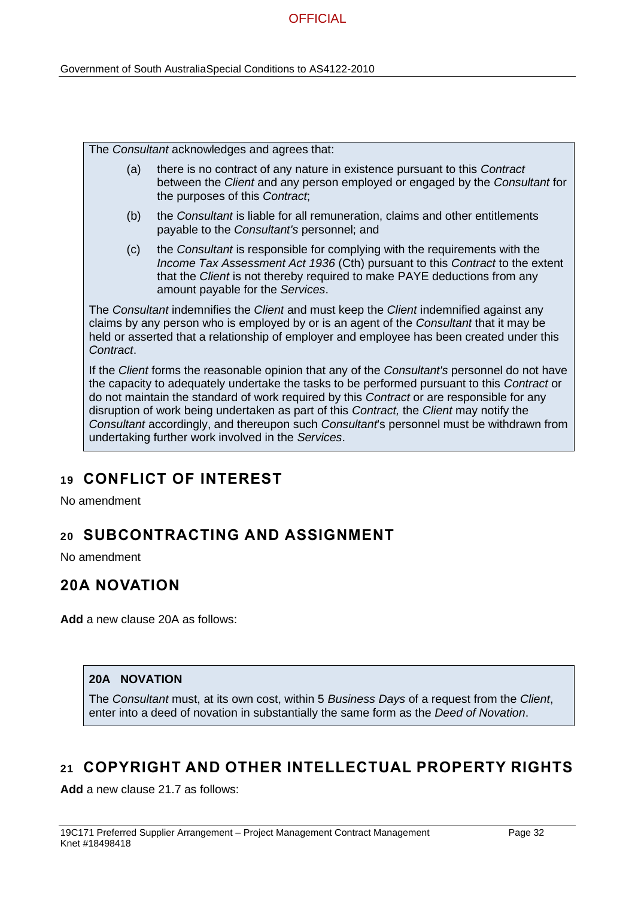The *Consultant* acknowledges and agrees that:

- (a) there is no contract of any nature in existence pursuant to this *Contract*  between the *Client* and any person employed or engaged by the *Consultant* for the purposes of this *Contract*;
- (b) the *Consultant* is liable for all remuneration, claims and other entitlements payable to the *Consultant's* personnel; and
- (c) the *Consultant* is responsible for complying with the requirements with the *Income Tax Assessment Act 1936* (Cth) pursuant to this *Contract* to the extent that the *Client* is not thereby required to make PAYE deductions from any amount payable for the *Services*.

The *Consultant* indemnifies the *Client* and must keep the *Client* indemnified against any claims by any person who is employed by or is an agent of the *Consultant* that it may be held or asserted that a relationship of employer and employee has been created under this *Contract*.

If the *Client* forms the reasonable opinion that any of the *Consultant's* personnel do not have the capacity to adequately undertake the tasks to be performed pursuant to this *Contract* or do not maintain the standard of work required by this *Contract* or are responsible for any disruption of work being undertaken as part of this *Contract,* the *Client* may notify the *Consultant* accordingly, and thereupon such *Consultant*'s personnel must be withdrawn from undertaking further work involved in the *Services*.

# **19 CONFLICT OF INTEREST**

No amendment

# **20 SUBCONTRACTING AND ASSIGNMENT**

No amendment

# **20A NOVATION**

**Add** a new clause 20A as follows:

### **20A NOVATION**

The *Consultant* must, at its own cost, within 5 *Business Days* of a request from the *Client*, enter into a deed of novation in substantially the same form as the *Deed of Novation*.

# **21 COPYRIGHT AND OTHER INTELLECTUAL PROPERTY RIGHTS**

**Add** a new clause 21.7 as follows: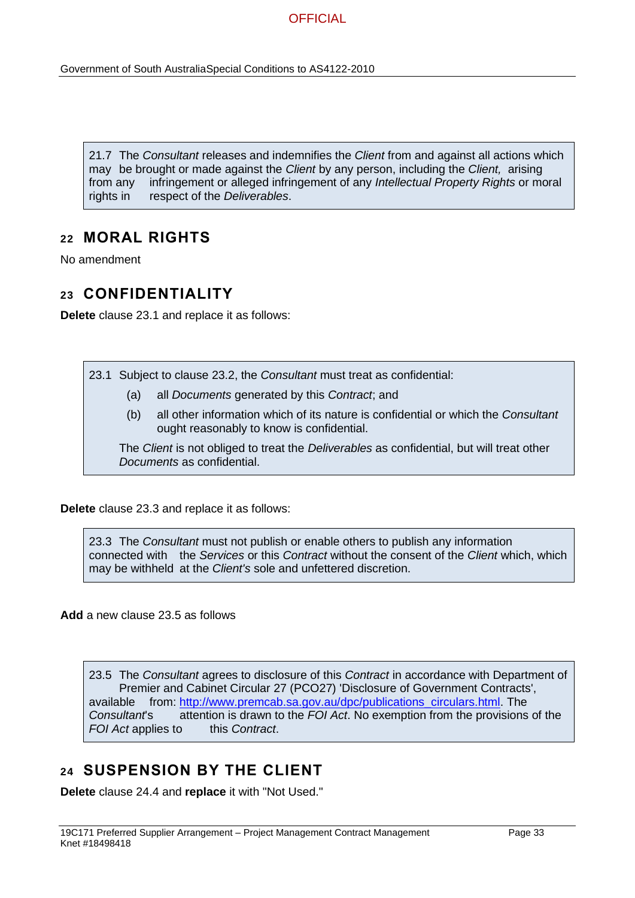21.7 The *Consultant* releases and indemnifies the *Client* from and against all actions which may be brought or made against the *Client* by any person, including the *Client,* arising from any infringement or alleged infringement of any *Intellectual Property Rights* or moral rights in respect of the *Deliverables*.

## **22 MORAL RIGHTS**

No amendment

## **23 CONFIDENTIALITY**

**Delete** clause 23.1 and replace it as follows:

- 23.1 Subject to clause 23.2, the *Consultant* must treat as confidential:
	- (a) all *Documents* generated by this *Contract*; and
	- (b) all other information which of its nature is confidential or which the *Consultant* ought reasonably to know is confidential.

The *Client* is not obliged to treat the *Deliverables* as confidential, but will treat other *Documents* as confidential.

**Delete** clause 23.3 and replace it as follows:

23.3 The *Consultant* must not publish or enable others to publish any information connected with the *Services* or this *Contract* without the consent of the *Client* which, which may be withheld at the *Client's* sole and unfettered discretion.

**Add** a new clause 23.5 as follows

23.5 The *Consultant* agrees to disclosure of this *Contract* in accordance with Department of Premier and Cabinet Circular 27 (PCO27) 'Disclosure of Government Contracts', available from: [http://www.premcab.sa.gov.au/dpc/publications\\_circulars.html.](http://www.premcab.sa.gov.au/dpc/publications_circulars.html) The *Consultant*'s attention is drawn to the *FOI Act*. No exemption from the provisions of the *FOI Act* applies to this *Contract*.

# **24 SUSPENSION BY THE CLIENT**

**Delete** clause 24.4 and **replace** it with "Not Used."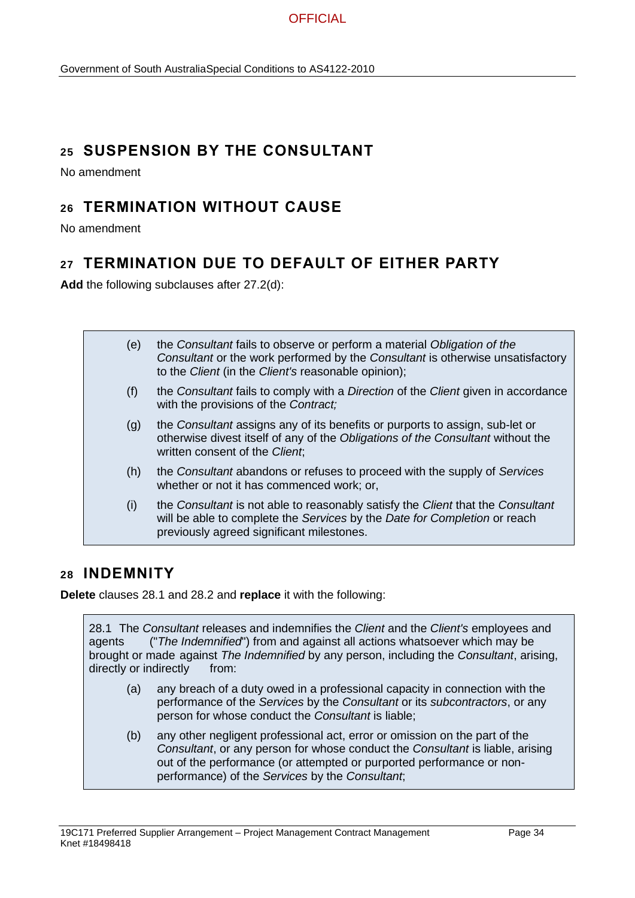# **25 SUSPENSION BY THE CONSULTANT**

No amendment

# **26 TERMINATION WITHOUT CAUSE**

No amendment

# **27 TERMINATION DUE TO DEFAULT OF EITHER PARTY**

**Add** the following subclauses after 27.2(d):

| (e) | the Consultant fails to observe or perform a material Obligation of the<br>Consultant or the work performed by the Consultant is otherwise unsatisfactory<br>to the Client (in the Client's reasonable opinion); |
|-----|------------------------------------------------------------------------------------------------------------------------------------------------------------------------------------------------------------------|
| (f) | the Consultant fails to comply with a Direction of the Client given in accordance<br>with the provisions of the Contract;                                                                                        |
| (g) | the Consultant assigns any of its benefits or purports to assign, sub-let or<br>otherwise divest itself of any of the Obligations of the Consultant without the<br>written consent of the Client;                |
| (h) | the Consultant abandons or refuses to proceed with the supply of Services<br>whether or not it has commenced work; or,                                                                                           |
| (i) | the Consultant is not able to reasonably satisfy the Client that the Consultant<br>will be able to complete the Services by the Date for Completion or reach<br>previously agreed significant milestones.        |

## **28 INDEMNITY**

**Delete** clauses 28.1 and 28.2 and **replace** it with the following:

28.1 The *Consultant* releases and indemnifies the *Client* and the *Client's* employees and agents ("*The Indemnified*") from and against all actions whatsoever which may be brought or made against *The Indemnified* by any person, including the *Consultant*, arising, directly or indirectly from:

- (a) any breach of a duty owed in a professional capacity in connection with the performance of the *Services* by the *Consultant* or its *subcontractors*, or any person for whose conduct the *Consultant* is liable;
- (b) any other negligent professional act, error or omission on the part of the *Consultant*, or any person for whose conduct the *Consultant* is liable, arising out of the performance (or attempted or purported performance or nonperformance) of the *Services* by the *Consultant*;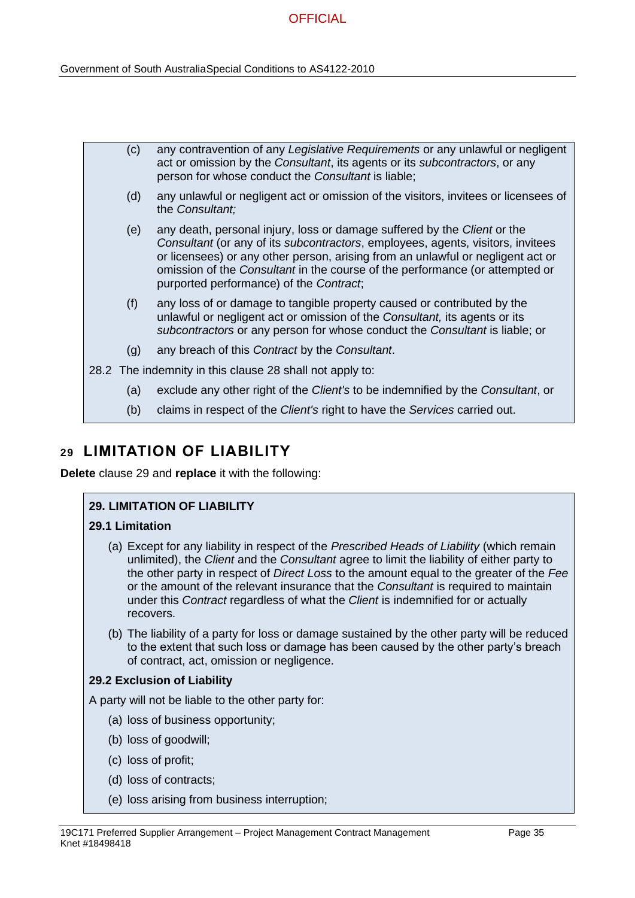| (c) | any contravention of any Legislative Requirements or any unlawful or negligent<br>act or omission by the Consultant, its agents or its subcontractors, or any<br>person for whose conduct the Consultant is liable;                                                                                                                                                              |
|-----|----------------------------------------------------------------------------------------------------------------------------------------------------------------------------------------------------------------------------------------------------------------------------------------------------------------------------------------------------------------------------------|
| (d) | any unlawful or negligent act or omission of the visitors, invitees or licensees of<br>the Consultant;                                                                                                                                                                                                                                                                           |
| (e) | any death, personal injury, loss or damage suffered by the <i>Client</i> or the<br>Consultant (or any of its subcontractors, employees, agents, visitors, invitees<br>or licensees) or any other person, arising from an unlawful or negligent act or<br>omission of the Consultant in the course of the performance (or attempted or<br>purported performance) of the Contract; |
| (f) | any loss of or damage to tangible property caused or contributed by the<br>unlawful or negligent act or omission of the Consultant, its agents or its<br>subcontractors or any person for whose conduct the Consultant is liable; or                                                                                                                                             |
| (g) | any breach of this Contract by the Consultant.                                                                                                                                                                                                                                                                                                                                   |
|     | 28.2 The indemnity in this clause 28 shall not apply to:                                                                                                                                                                                                                                                                                                                         |
| (a) | exclude any other right of the Client's to be indemnified by the Consultant, or                                                                                                                                                                                                                                                                                                  |
| (b) | claims in respect of the Client's right to have the Services carried out.                                                                                                                                                                                                                                                                                                        |

## **29 LIMITATION OF LIABILITY**

**Delete** clause 29 and **replace** it with the following:

### **29. LIMITATION OF LIABILITY**

### **29.1 Limitation**

- (a) Except for any liability in respect of the *Prescribed Heads of Liability* (which remain unlimited), the *Client* and the *Consultant* agree to limit the liability of either party to the other party in respect of *Direct Loss* to the amount equal to the greater of the *Fee* or the amount of the relevant insurance that the *Consultant* is required to maintain under this *Contract* regardless of what the *Client* is indemnified for or actually recovers.
- (b) The liability of a party for loss or damage sustained by the other party will be reduced to the extent that such loss or damage has been caused by the other party's breach of contract, act, omission or negligence.

### **29.2 Exclusion of Liability**

A party will not be liable to the other party for:

- (a) loss of business opportunity;
- (b) loss of goodwill;
- (c) loss of profit;
- (d) loss of contracts;
- (e) loss arising from business interruption;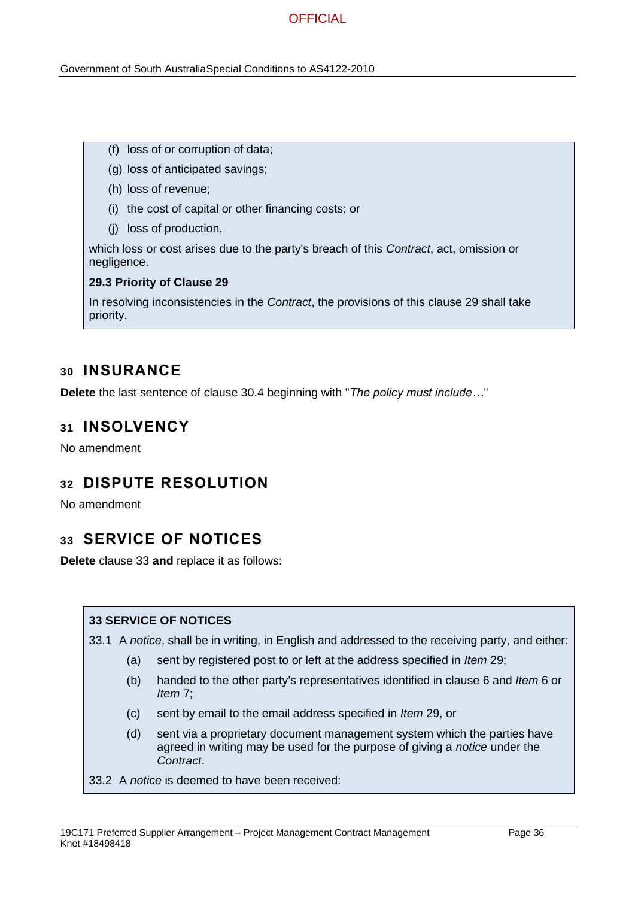Government of South AustraliaSpecial Conditions to AS4122-2010

- (f) loss of or corruption of data;
- (g) loss of anticipated savings;
- (h) loss of revenue;
- (i) the cost of capital or other financing costs; or
- (j) loss of production,

which loss or cost arises due to the party's breach of this *Contract*, act, omission or negligence.

#### **29.3 Priority of Clause 29**

In resolving inconsistencies in the *Contract*, the provisions of this clause 29 shall take priority.

### **30 INSURANCE**

**Delete** the last sentence of clause 30.4 beginning with "*The policy must include…*"

### **31 INSOLVENCY**

No amendment

## **32 DISPUTE RESOLUTION**

No amendment

### **33 SERVICE OF NOTICES**

**Delete** clause 33 **and** replace it as follows:

### **33 SERVICE OF NOTICES**

33.1 A *notice*, shall be in writing, in English and addressed to the receiving party, and either:

- (a) sent by registered post to or left at the address specified in *Item* 29;
- (b) handed to the other party's representatives identified in clause 6 and *Item* 6 or *Item* 7;
- (c) sent by email to the email address specified in *Item* 29, or
- (d) sent via a proprietary document management system which the parties have agreed in writing may be used for the purpose of giving a *notice* under the *Contract*.
- 33.2 A *notice* is deemed to have been received: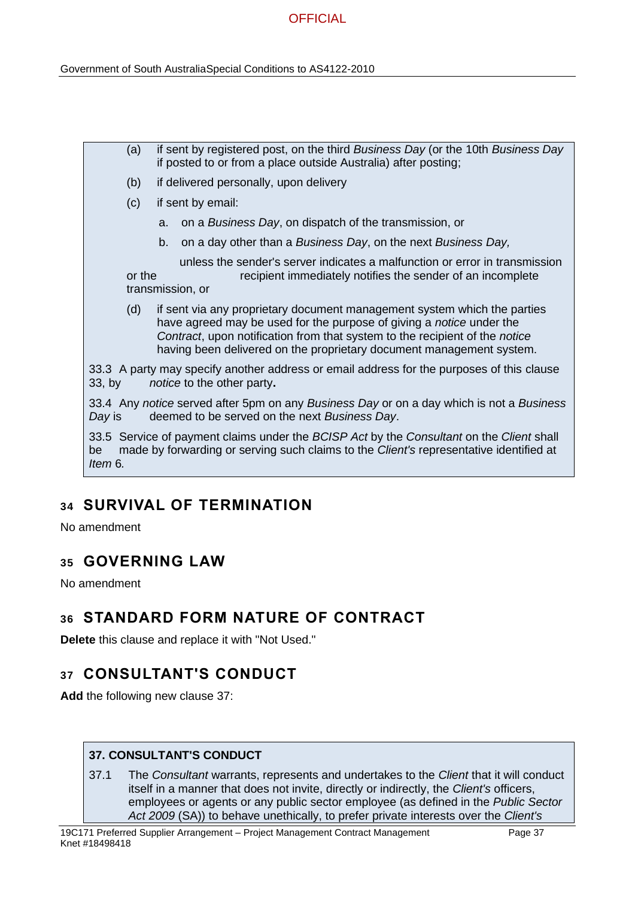(a) if sent by registered post, on the third *Business Day* (or the 10th *Business Day* if posted to or from a place outside Australia) after posting; (b) if delivered personally, upon delivery (c) if sent by email: a. on a *Business Day*, on dispatch of the transmission, or b. on a day other than a *Business Day*, on the next *Business Day,* unless the sender's server indicates a malfunction or error in transmission or the recipient immediately notifies the sender of an incomplete transmission, or (d) if sent via any proprietary document management system which the parties have agreed may be used for the purpose of giving a *notice* under the *Contract*, upon notification from that system to the recipient of the *notice* having been delivered on the proprietary document management system. 33.3 A party may specify another address or email address for the purposes of this clause 33, by *notice* to the other party**.** 33.4 Any *notice* served after 5pm on any *Business Day* or on a day which is not a *Business Day* is deemed to be served on the next *Business Day*. 33.5 Service of payment claims under the *BCISP Act* by the *Consultant* on the *Client* shall be made by forwarding or serving such claims to the *Client's* representative identified at *Item* 6*.*

# **34 SURVIVAL OF TERMINATION**

No amendment

# **35 GOVERNING LAW**

No amendment

# **36 STANDARD FORM NATURE OF CONTRACT**

**Delete** this clause and replace it with "Not Used."

# **37 CONSULTANT'S CONDUCT**

**Add** the following new clause 37:

### **37. CONSULTANT'S CONDUCT**

37.1 The *Consultant* warrants, represents and undertakes to the *Client* that it will conduct itself in a manner that does not invite, directly or indirectly, the *Client's* officers, employees or agents or any public sector employee (as defined in the *Public Sector Act 2009* (SA)) to behave unethically, to prefer private interests over the *Client's*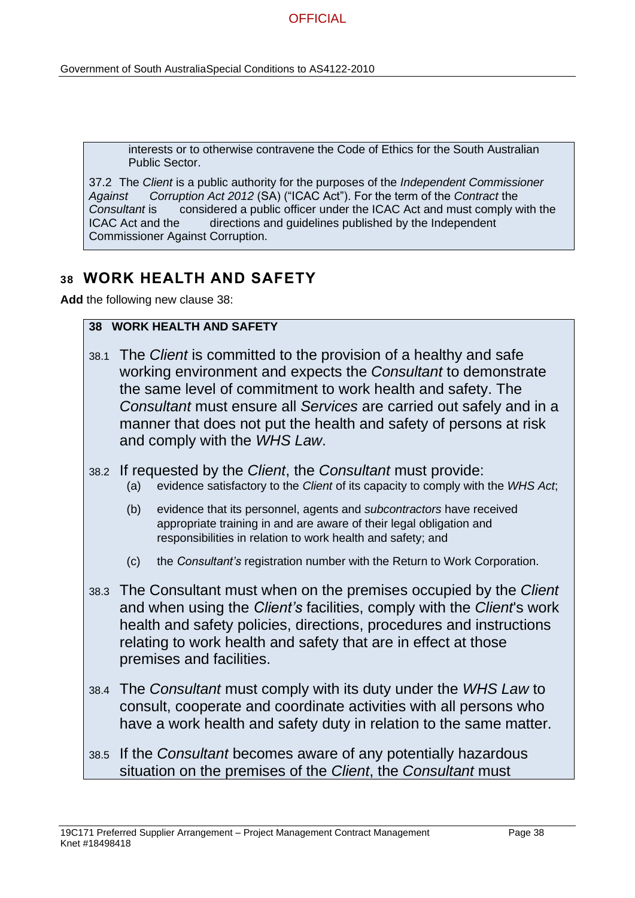Government of South AustraliaSpecial Conditions to AS4122-2010

interests or to otherwise contravene the Code of Ethics for the South Australian Public Sector.

37.2 The *Client* is a public authority for the purposes of the *Independent Commissioner Against Corruption Act 2012* (SA) ("ICAC Act"). For the term of the *Contract* the *Consultant* is considered a public officer under the ICAC Act and must comply with the ICAC Act and the directions and guidelines published by the Independent Commissioner Against Corruption.

# **38 WORK HEALTH AND SAFETY**

**Add** the following new clause 38:

### **38 WORK HEALTH AND SAFETY**

- 38.1 The *Client* is committed to the provision of a healthy and safe working environment and expects the *Consultant* to demonstrate the same level of commitment to work health and safety. The *Consultant* must ensure all *Services* are carried out safely and in a manner that does not put the health and safety of persons at risk and comply with the *WHS Law*.
- 38.2 If requested by the *Client*, the *Consultant* must provide:
	- (a) evidence satisfactory to the *Client* of its capacity to comply with the *WHS Act*;
	- (b) evidence that its personnel, agents and *subcontractors* have received appropriate training in and are aware of their legal obligation and responsibilities in relation to work health and safety; and
	- (c) the *Consultant's* registration number with the Return to Work Corporation.
- 38.3 The Consultant must when on the premises occupied by the *Client*  and when using the *Client's* facilities, comply with the *Client*'s work health and safety policies, directions, procedures and instructions relating to work health and safety that are in effect at those premises and facilities.
- 38.4 The *Consultant* must comply with its duty under the *WHS Law* to consult, cooperate and coordinate activities with all persons who have a work health and safety duty in relation to the same matter.
- 38.5 If the *Consultant* becomes aware of any potentially hazardous situation on the premises of the *Client*, the *Consultant* must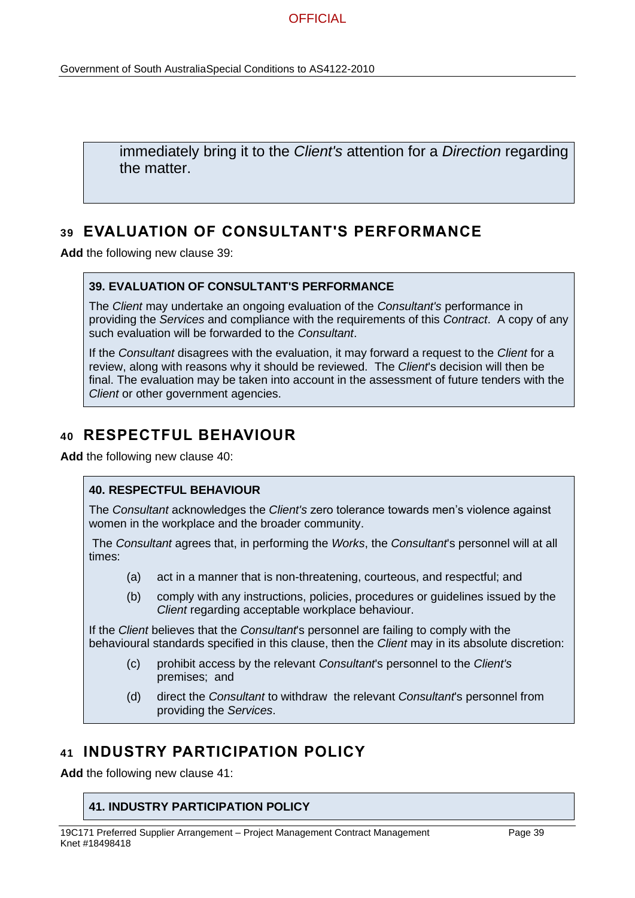immediately bring it to the *Client's* attention for a *Direction* regarding the matter.

# **39 EVALUATION OF CONSULTANT'S PERFORMANCE**

**Add** the following new clause 39:

### **39. EVALUATION OF CONSULTANT'S PERFORMANCE**

The *Client* may undertake an ongoing evaluation of the *Consultant's* performance in providing the *Services* and compliance with the requirements of this *Contract*. A copy of any such evaluation will be forwarded to the *Consultant*.

If the *Consultant* disagrees with the evaluation, it may forward a request to the *Client* for a review, along with reasons why it should be reviewed. The *Client*'s decision will then be final. The evaluation may be taken into account in the assessment of future tenders with the *Client* or other government agencies.

# **40 RESPECTFUL BEHAVIOUR**

**Add** the following new clause 40:

### **40. RESPECTFUL BEHAVIOUR**

The *Consultant* acknowledges the *Client's* zero tolerance towards men's violence against women in the workplace and the broader community.

The *Consultant* agrees that, in performing the *Works*, the *Consultant*'s personnel will at all times:

- (a) act in a manner that is non-threatening, courteous, and respectful; and
- (b) comply with any instructions, policies, procedures or guidelines issued by the *Client* regarding acceptable workplace behaviour.

If the *Client* believes that the *Consultant*'s personnel are failing to comply with the behavioural standards specified in this clause, then the *Client* may in its absolute discretion:

- (c) prohibit access by the relevant *Consultant*'s personnel to the *Client's* premises; and
- (d) direct the *Consultant* to withdraw the relevant *Consultant*'s personnel from providing the *Services*.

# **41 INDUSTRY PARTICIPATION POLICY**

**Add** the following new clause 41:

### **41. INDUSTRY PARTICIPATION POLICY**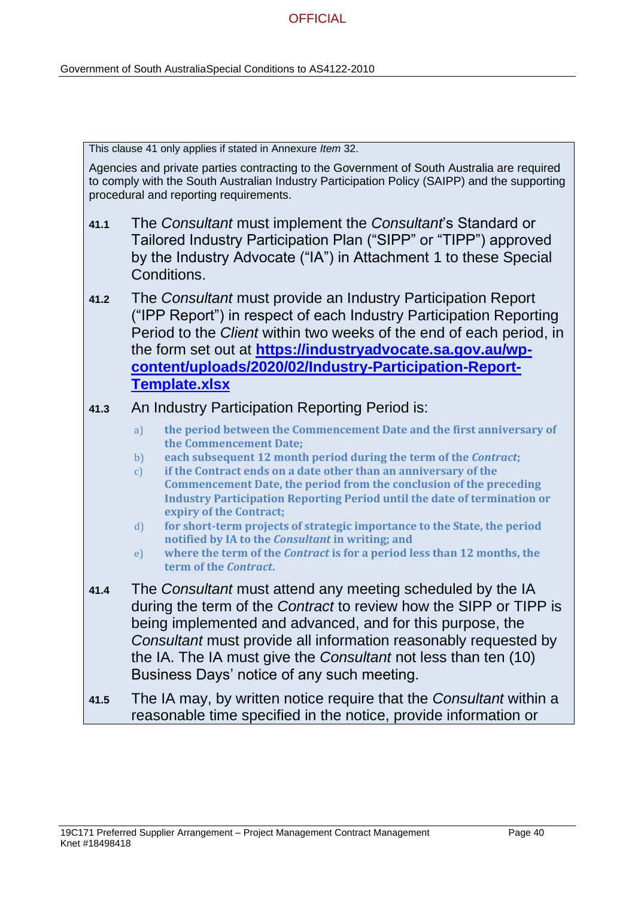This clause 41 only applies if stated in Annexure *Item* 32.

Agencies and private parties contracting to the Government of South Australia are required to comply with the South Australian Industry Participation Policy (SAIPP) and the supporting procedural and reporting requirements.

- **41.1** The *Consultant* must implement the *Consultant*'s Standard or Tailored Industry Participation Plan ("SIPP" or "TIPP") approved by the Industry Advocate ("IA") in Attachment 1 to these Special Conditions.
- **41.2** The *Consultant* must provide an Industry Participation Report ("IPP Report") in respect of each Industry Participation Reporting Period to the *Client* within two weeks of the end of each period, in the form set out at **[https://industryadvocate.sa.gov.au/wp](https://industryadvocate.sa.gov.au/wp-content/uploads/2020/02/Industry-Participation-Report-Template.xlsx)[content/uploads/2020/02/Industry-Participation-Report-](https://industryadvocate.sa.gov.au/wp-content/uploads/2020/02/Industry-Participation-Report-Template.xlsx)[Template.xlsx](https://industryadvocate.sa.gov.au/wp-content/uploads/2020/02/Industry-Participation-Report-Template.xlsx)**

## **41.3** An Industry Participation Reporting Period is:

- a) **the period between the Commencement Date and the first anniversary of the Commencement Date;**
- b) **each subsequent 12 month period during the term of the** *Contract***;**
- c) **if the Contract ends on a date other than an anniversary of the Commencement Date, the period from the conclusion of the preceding Industry Participation Reporting Period until the date of termination or expiry of the Contract;**
- d) **for short-term projects of strategic importance to the State, the period notified by IA to the** *Consultant* **in writing; and**
- e) **where the term of the** *Contract* **is for a period less than 12 months, the term of the** *Contract***.**
- **41.4** The *Consultant* must attend any meeting scheduled by the IA during the term of the *Contract* to review how the SIPP or TIPP is being implemented and advanced, and for this purpose, the *Consultant* must provide all information reasonably requested by the IA. The IA must give the *Consultant* not less than ten (10) Business Days' notice of any such meeting.
- **41.5** The IA may, by written notice require that the *Consultant* within a reasonable time specified in the notice, provide information or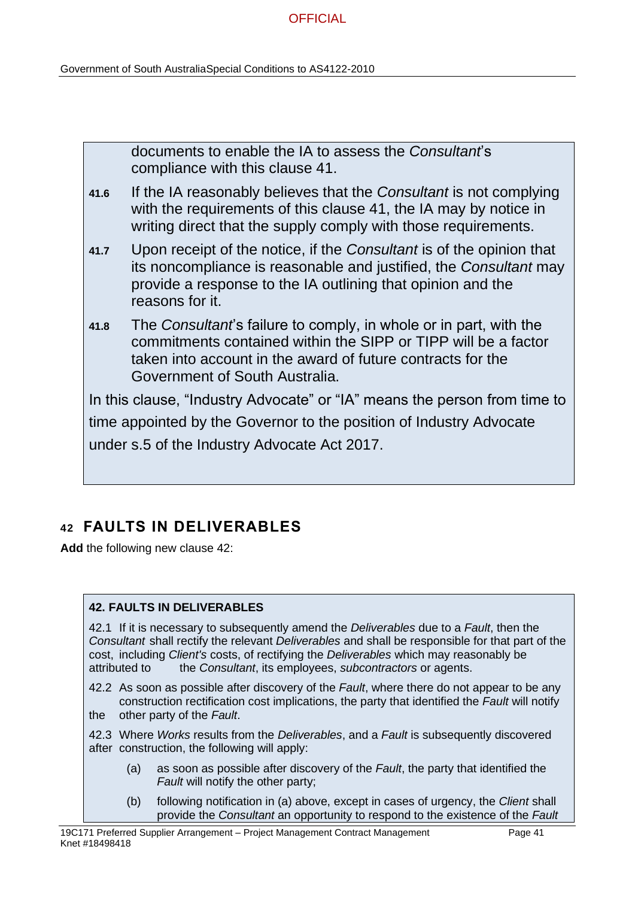documents to enable the IA to assess the *Consultant*'s compliance with this clause 41.

- **41.6** If the IA reasonably believes that the *Consultant* is not complying with the requirements of this clause 41, the IA may by notice in writing direct that the supply comply with those requirements.
- **41.7** Upon receipt of the notice, if the *Consultant* is of the opinion that its noncompliance is reasonable and justified, the *Consultant* may provide a response to the IA outlining that opinion and the reasons for it.
- **41.8** The *Consultant*'s failure to comply, in whole or in part, with the commitments contained within the SIPP or TIPP will be a factor taken into account in the award of future contracts for the Government of South Australia.

In this clause, "Industry Advocate" or "IA" means the person from time to time appointed by the Governor to the position of Industry Advocate under s.5 of the Industry Advocate Act 2017.

# **42 FAULTS IN DELIVERABLES**

**Add** the following new clause 42:

### **42. FAULTS IN DELIVERABLES**

42.1 If it is necessary to subsequently amend the *Deliverables* due to a *Fault*, then the *Consultant* shall rectify the relevant *Deliverables* and shall be responsible for that part of the cost, including *Client's* costs, of rectifying the *Deliverables* which may reasonably be attributed to the *Consultant*, its employees, *subcontractors* or agents.

42.2 As soon as possible after discovery of the *Fault*, where there do not appear to be any construction rectification cost implications, the party that identified the *Fault* will notify the other party of the *Fault*.

42.3 Where *Works* results from the *Deliverables*, and a *Fault* is subsequently discovered after construction, the following will apply:

- (a) as soon as possible after discovery of the *Fault*, the party that identified the *Fault* will notify the other party;
- (b) following notification in (a) above, except in cases of urgency, the *Client* shall provide the *Consultant* an opportunity to respond to the existence of the *Fault*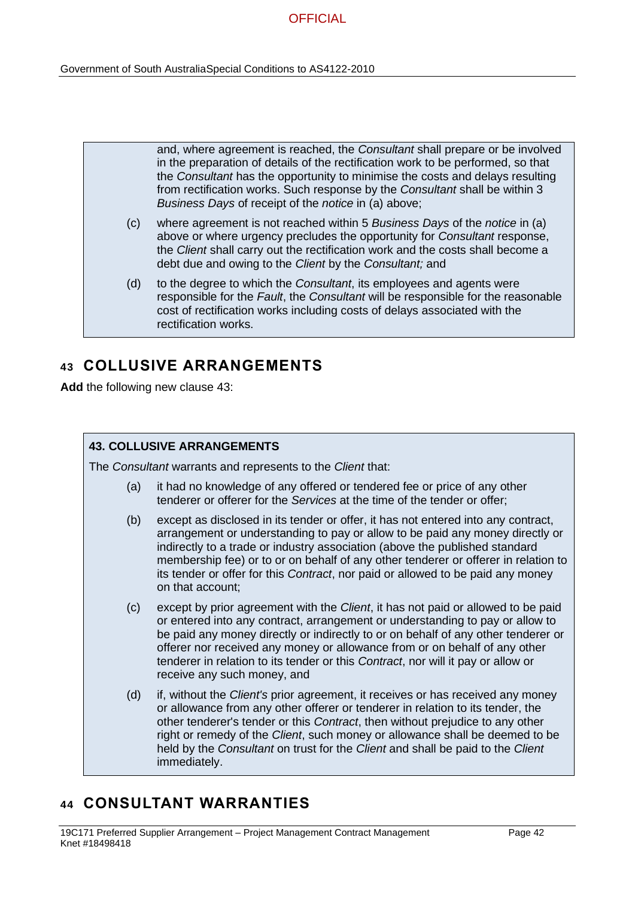|     | and, where agreement is reached, the Consultant shall prepare or be involved<br>in the preparation of details of the rectification work to be performed, so that<br>the Consultant has the opportunity to minimise the costs and delays resulting<br>from rectification works. Such response by the Consultant shall be within 3<br>Business Days of receipt of the notice in (a) above; |
|-----|------------------------------------------------------------------------------------------------------------------------------------------------------------------------------------------------------------------------------------------------------------------------------------------------------------------------------------------------------------------------------------------|
| (c) | where agreement is not reached within 5 Business Days of the notice in (a)<br>above or where urgency precludes the opportunity for <i>Consultant</i> response,<br>the Client shall carry out the rectification work and the costs shall become a<br>debt due and owing to the Client by the Consultant; and                                                                              |
| (d) | to the degree to which the Consultant, its employees and agents were<br>responsible for the Fault, the Consultant will be responsible for the reasonable<br>cost of rectification works including costs of delays associated with the                                                                                                                                                    |

# **43 COLLUSIVE ARRANGEMENTS**

rectification works.

**Add** the following new clause 43:

### **43. COLLUSIVE ARRANGEMENTS**

The *Consultant* warrants and represents to the *Client* that:

- (a) it had no knowledge of any offered or tendered fee or price of any other tenderer or offerer for the *Services* at the time of the tender or offer;
- (b) except as disclosed in its tender or offer, it has not entered into any contract, arrangement or understanding to pay or allow to be paid any money directly or indirectly to a trade or industry association (above the published standard membership fee) or to or on behalf of any other tenderer or offerer in relation to its tender or offer for this *Contract*, nor paid or allowed to be paid any money on that account;
- (c) except by prior agreement with the *Client*, it has not paid or allowed to be paid or entered into any contract, arrangement or understanding to pay or allow to be paid any money directly or indirectly to or on behalf of any other tenderer or offerer nor received any money or allowance from or on behalf of any other tenderer in relation to its tender or this *Contract*, nor will it pay or allow or receive any such money, and
- (d) if, without the *Client's* prior agreement, it receives or has received any money or allowance from any other offerer or tenderer in relation to its tender, the other tenderer's tender or this *Contract*, then without prejudice to any other right or remedy of the *Client*, such money or allowance shall be deemed to be held by the *Consultant* on trust for the *Client* and shall be paid to the *Client* immediately.

# **44 CONSULTANT WARRANTIES**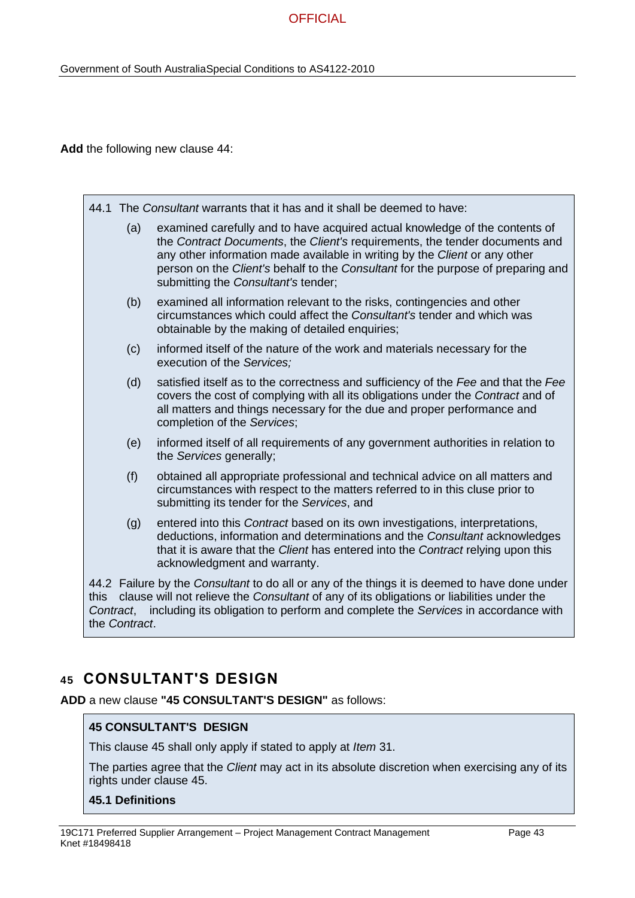**Add** the following new clause 44:

|                                                                                                                                                                                                                                                                                                                      | 44.1 The Consultant warrants that it has and it shall be deemed to have:                                                                                                                                                                                                                                                                                            |  |
|----------------------------------------------------------------------------------------------------------------------------------------------------------------------------------------------------------------------------------------------------------------------------------------------------------------------|---------------------------------------------------------------------------------------------------------------------------------------------------------------------------------------------------------------------------------------------------------------------------------------------------------------------------------------------------------------------|--|
| (a)                                                                                                                                                                                                                                                                                                                  | examined carefully and to have acquired actual knowledge of the contents of<br>the Contract Documents, the Client's requirements, the tender documents and<br>any other information made available in writing by the Client or any other<br>person on the Client's behalf to the Consultant for the purpose of preparing and<br>submitting the Consultant's tender; |  |
| (b)                                                                                                                                                                                                                                                                                                                  | examined all information relevant to the risks, contingencies and other<br>circumstances which could affect the Consultant's tender and which was<br>obtainable by the making of detailed enquiries;                                                                                                                                                                |  |
| (c)                                                                                                                                                                                                                                                                                                                  | informed itself of the nature of the work and materials necessary for the<br>execution of the Services;                                                                                                                                                                                                                                                             |  |
| (d)                                                                                                                                                                                                                                                                                                                  | satisfied itself as to the correctness and sufficiency of the Fee and that the Fee<br>covers the cost of complying with all its obligations under the Contract and of<br>all matters and things necessary for the due and proper performance and<br>completion of the Services;                                                                                     |  |
| (e)                                                                                                                                                                                                                                                                                                                  | informed itself of all requirements of any government authorities in relation to<br>the Services generally;                                                                                                                                                                                                                                                         |  |
| (f)                                                                                                                                                                                                                                                                                                                  | obtained all appropriate professional and technical advice on all matters and<br>circumstances with respect to the matters referred to in this cluse prior to<br>submitting its tender for the Services, and                                                                                                                                                        |  |
| (g)                                                                                                                                                                                                                                                                                                                  | entered into this Contract based on its own investigations, interpretations,<br>deductions, information and determinations and the Consultant acknowledges<br>that it is aware that the Client has entered into the Contract relying upon this<br>acknowledgment and warranty.                                                                                      |  |
| 44.2 Failure by the Consultant to do all or any of the things it is deemed to have done under<br>clause will not relieve the Consultant of any of its obligations or liabilities under the<br>this<br>including its obligation to perform and complete the Services in accordance with<br>Contract,<br>the Contract. |                                                                                                                                                                                                                                                                                                                                                                     |  |

# **45 CONSULTANT'S DESIGN**

**ADD** a new clause **"45 CONSULTANT'S DESIGN"** as follows:

### **45 CONSULTANT'S DESIGN**

This clause 45 shall only apply if stated to apply at *Item* 31.

The parties agree that the *Client* may act in its absolute discretion when exercising any of its rights under clause 45.

### **45.1 Definitions**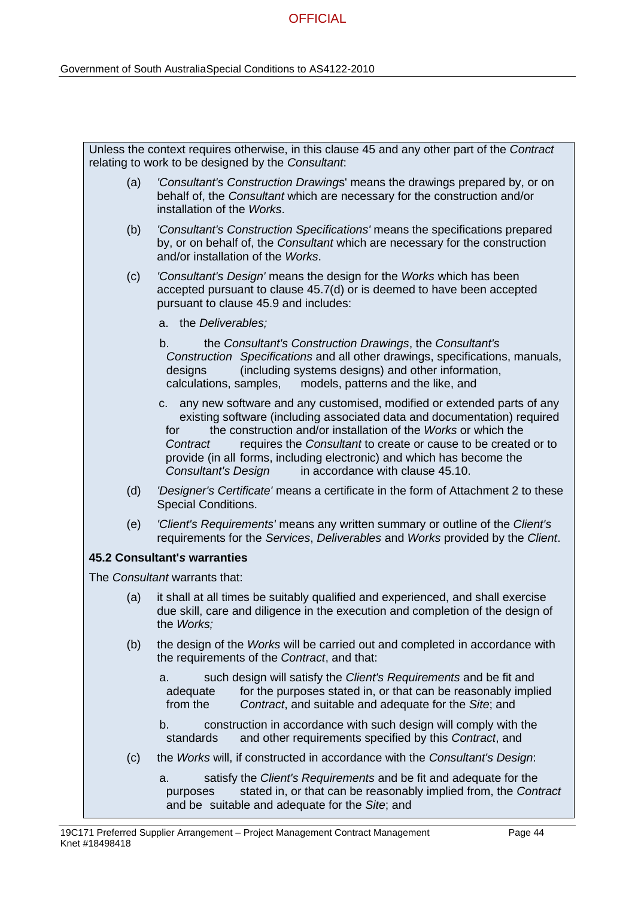|     | Unless the context requires otherwise, in this clause 45 and any other part of the Contract<br>relating to work to be designed by the Consultant.                                                                                                                                                                                                                                                                                                       |  |
|-----|---------------------------------------------------------------------------------------------------------------------------------------------------------------------------------------------------------------------------------------------------------------------------------------------------------------------------------------------------------------------------------------------------------------------------------------------------------|--|
| (a) | 'Consultant's Construction Drawings' means the drawings prepared by, or on<br>behalf of, the Consultant which are necessary for the construction and/or<br>installation of the Works.                                                                                                                                                                                                                                                                   |  |
| (b) | 'Consultant's Construction Specifications' means the specifications prepared<br>by, or on behalf of, the Consultant which are necessary for the construction<br>and/or installation of the Works.                                                                                                                                                                                                                                                       |  |
| (c) | 'Consultant's Design' means the design for the Works which has been<br>accepted pursuant to clause 45.7(d) or is deemed to have been accepted<br>pursuant to clause 45.9 and includes:                                                                                                                                                                                                                                                                  |  |
|     | a. the Deliverables;                                                                                                                                                                                                                                                                                                                                                                                                                                    |  |
|     | the Consultant's Construction Drawings, the Consultant's<br>b.<br>Construction Specifications and all other drawings, specifications, manuals,<br>(including systems designs) and other information,<br>designs<br>models, patterns and the like, and<br>calculations, samples,                                                                                                                                                                         |  |
|     | c. any new software and any customised, modified or extended parts of any<br>existing software (including associated data and documentation) required<br>the construction and/or installation of the Works or which the<br>for<br>requires the Consultant to create or cause to be created or to<br>Contract<br>provide (in all forms, including electronic) and which has become the<br><b>Consultant's Design</b><br>in accordance with clause 45.10. |  |
| (d) | 'Designer's Certificate' means a certificate in the form of Attachment 2 to these<br><b>Special Conditions.</b>                                                                                                                                                                                                                                                                                                                                         |  |
| (e) | 'Client's Requirements' means any written summary or outline of the Client's<br>requirements for the Services, Deliverables and Works provided by the Client.                                                                                                                                                                                                                                                                                           |  |
|     | <b>45.2 Consultant's warranties</b>                                                                                                                                                                                                                                                                                                                                                                                                                     |  |
|     | The Consultant warrants that:                                                                                                                                                                                                                                                                                                                                                                                                                           |  |
| (a) | it shall at all times be suitably qualified and experienced, and shall exercise<br>due skill, care and diligence in the execution and completion of the design of<br>the Works;                                                                                                                                                                                                                                                                         |  |
| (b) | the design of the Works will be carried out and completed in accordance with<br>the requirements of the Contract, and that:                                                                                                                                                                                                                                                                                                                             |  |
|     | such design will satisfy the Client's Requirements and be fit and<br>a.<br>for the purposes stated in, or that can be reasonably implied<br>adequate<br>from the<br>Contract, and suitable and adequate for the Site; and                                                                                                                                                                                                                               |  |
|     | b.<br>construction in accordance with such design will comply with the<br>standards<br>and other requirements specified by this Contract, and                                                                                                                                                                                                                                                                                                           |  |
| (c) | the Works will, if constructed in accordance with the Consultant's Design:                                                                                                                                                                                                                                                                                                                                                                              |  |
|     | satisfy the Client's Requirements and be fit and adequate for the<br>a.<br>stated in, or that can be reasonably implied from, the Contract<br>purposes<br>and be suitable and adequate for the Site; and                                                                                                                                                                                                                                                |  |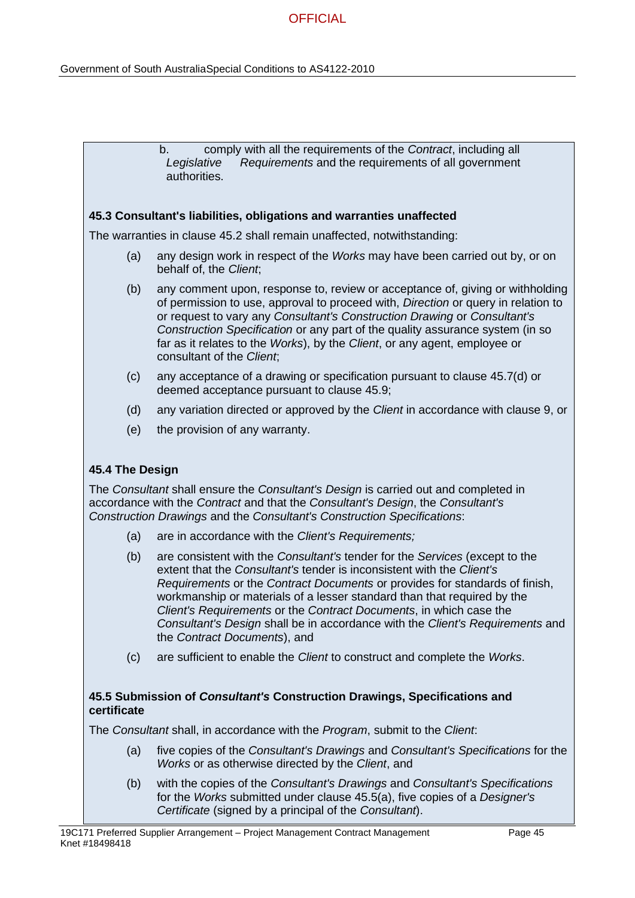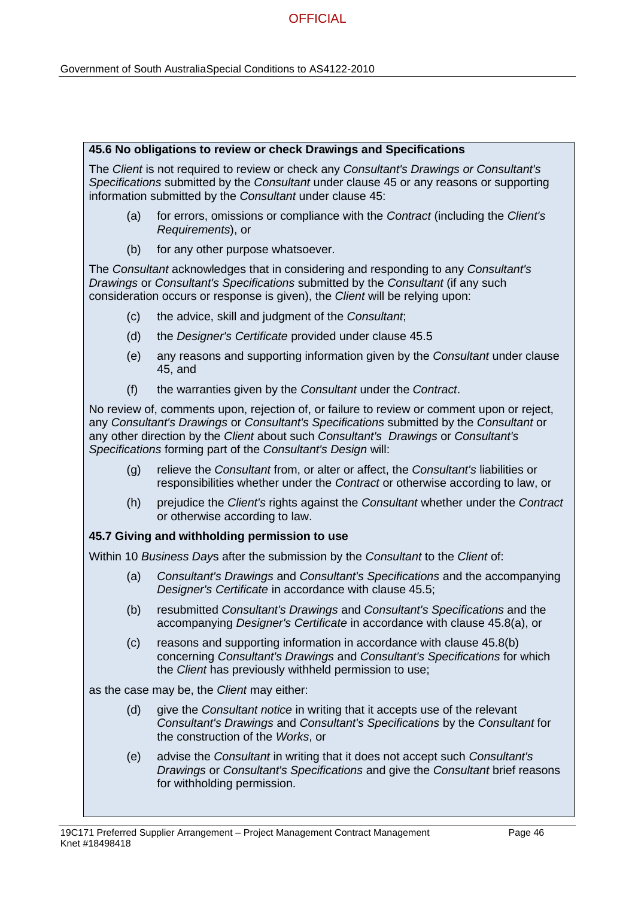#### **45.6 No obligations to review or check Drawings and Specifications**

The *Client* is not required to review or check any *Consultant's Drawings or Consultant's Specifications* submitted by the *Consultant* under clause 45 or any reasons or supporting information submitted by the *Consultant* under clause 45:

- (a) for errors, omissions or compliance with the *Contract* (including the *Client's Requirements*), or
- (b) for any other purpose whatsoever.

The *Consultant* acknowledges that in considering and responding to any *Consultant's Drawings* or *Consultant's Specifications* submitted by the *Consultant* (if any such consideration occurs or response is given), the *Client* will be relying upon:

- (c) the advice, skill and judgment of the *Consultant*;
- (d) the *Designer's Certificate* provided under clause 45.5
- (e) any reasons and supporting information given by the *Consultant* under clause 45, and
- (f) the warranties given by the *Consultant* under the *Contract*.

No review of, comments upon, rejection of, or failure to review or comment upon or reject, any *Consultant's Drawings* or *Consultant's Specifications* submitted by the *Consultant* or any other direction by the *Client* about such *Consultant's Drawings* or *Consultant's Specifications* forming part of the *Consultant's Design* will:

- (g) relieve the *Consultant* from, or alter or affect, the *Consultant's* liabilities or responsibilities whether under the *Contract* or otherwise according to law, or
- (h) prejudice the *Client's* rights against the *Consultant* whether under the *Contract* or otherwise according to law.

### **45.7 Giving and withholding permission to use**

Within 10 *Business Day*s after the submission by the *Consultant* to the *Client* of:

- (a) *Consultant's Drawings* and *Consultant's Specifications* and the accompanying *Designer's Certificate* in accordance with clause 45.5;
- (b) resubmitted *Consultant's Drawings* and *Consultant's Specifications* and the accompanying *Designer's Certificate* in accordance with clause 45.8(a), or
- (c) reasons and supporting information in accordance with clause 45.8(b) concerning *Consultant's Drawings* and *Consultant's Specifications* for which the *Client* has previously withheld permission to use;

as the case may be, the *Client* may either:

- (d) give the *Consultant notice* in writing that it accepts use of the relevant *Consultant's Drawings* and *Consultant's Specifications* by the *Consultant* for the construction of the *Works*, or
- (e) advise the *Consultant* in writing that it does not accept such *Consultant's Drawings* or *Consultant's Specifications* and give the *Consultant* brief reasons for withholding permission.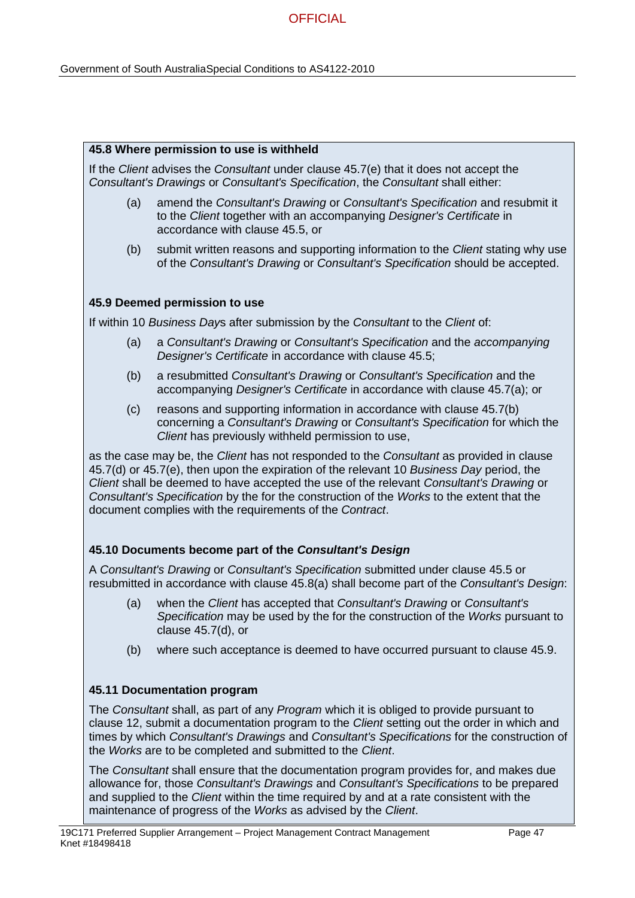#### **45.8 Where permission to use is withheld**

If the *Client* advises the *Consultant* under clause 45.7(e) that it does not accept the *Consultant's Drawings* or *Consultant's Specification*, the *Consultant* shall either:

- (a) amend the *Consultant's Drawing* or *Consultant's Specification* and resubmit it to the *Client* together with an accompanying *Designer's Certificate* in accordance with clause 45.5, or
- (b) submit written reasons and supporting information to the *Client* stating why use of the *Consultant's Drawing* or *Consultant's Specification* should be accepted.

### **45.9 Deemed permission to use**

If within 10 *Business Day*s after submission by the *Consultant* to the *Client* of:

- (a) a *Consultant's Drawing* or *Consultant's Specification* and the *accompanying Designer's Certificate* in accordance with clause 45.5;
- (b) a resubmitted *Consultant's Drawing* or *Consultant's Specification* and the accompanying *Designer's Certificate* in accordance with clause 45.7(a); or
- (c) reasons and supporting information in accordance with clause 45.7(b) concerning a *Consultant's Drawing* or *Consultant's Specification* for which the *Client* has previously withheld permission to use,

as the case may be, the *Client* has not responded to the *Consultant* as provided in clause 45.7(d) or 45.7(e), then upon the expiration of the relevant 10 *Business Day* period, the *Client* shall be deemed to have accepted the use of the relevant *Consultant's Drawing* or *Consultant's Specification* by the for the construction of the *Works* to the extent that the document complies with the requirements of the *Contract*.

### **45.10 Documents become part of the** *Consultant's Design*

A *Consultant's Drawing* or *Consultant's Specification* submitted under clause 45.5 or resubmitted in accordance with clause 45.8(a) shall become part of the *Consultant's Design*:

- (a) when the *Client* has accepted that *Consultant's Drawing* or *Consultant's Specification* may be used by the for the construction of the *Works* pursuant to clause 45.7(d), or
- (b) where such acceptance is deemed to have occurred pursuant to clause 45.9.

### **45.11 Documentation program**

The *Consultant* shall, as part of any *Program* which it is obliged to provide pursuant to clause 12, submit a documentation program to the *Client* setting out the order in which and times by which *Consultant's Drawings* and *Consultant's Specifications* for the construction of the *Works* are to be completed and submitted to the *Client*.

The *Consultant* shall ensure that the documentation program provides for, and makes due allowance for, those *Consultant's Drawings* and *Consultant's Specifications* to be prepared and supplied to the *Client* within the time required by and at a rate consistent with the maintenance of progress of the *Works* as advised by the *Client*.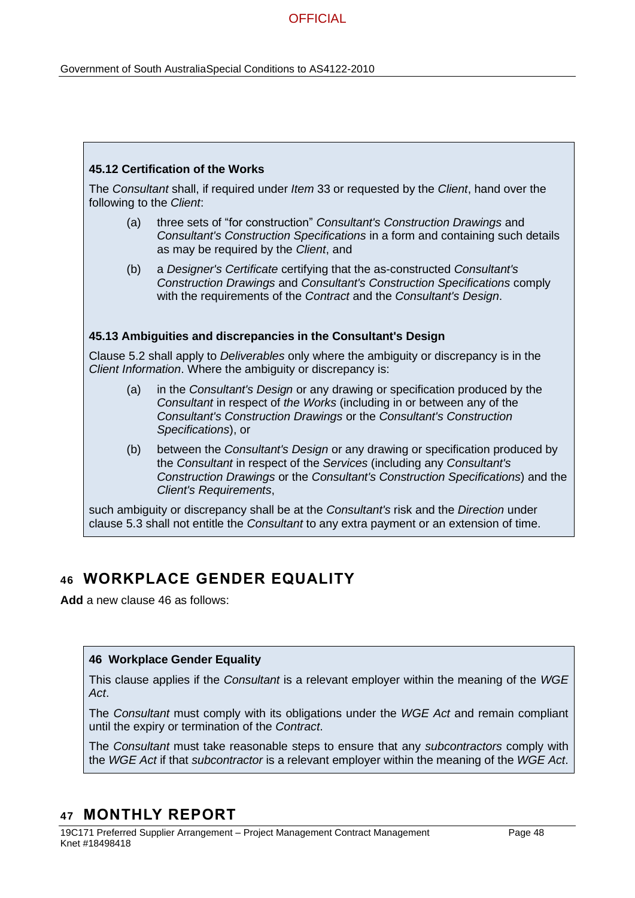#### **45.12 Certification of the Works**

The *Consultant* shall, if required under *Item* 33 or requested by the *Client*, hand over the following to the *Client*:

- (a) three sets of "for construction" *Consultant's Construction Drawings* and *Consultant's Construction Specifications* in a form and containing such details as may be required by the *Client*, and
- (b) a *Designer's Certificate* certifying that the as-constructed *Consultant's Construction Drawings* and *Consultant's Construction Specifications* comply with the requirements of the *Contract* and the *Consultant's Design*.

#### **45.13 Ambiguities and discrepancies in the Consultant's Design**

Clause 5.2 shall apply to *Deliverables* only where the ambiguity or discrepancy is in the *Client Information*. Where the ambiguity or discrepancy is:

- (a) in the *Consultant's Design* or any drawing or specification produced by the *Consultant* in respect of *the Works* (including in or between any of the *Consultant's Construction Drawings* or the *Consultant's Construction Specifications*), or
- (b) between the *Consultant's Design* or any drawing or specification produced by the *Consultant* in respect of the *Services* (including any *Consultant's Construction Drawings* or the *Consultant's Construction Specifications*) and the *Client's Requirements*,

such ambiguity or discrepancy shall be at the *Consultant's* risk and the *Direction* under clause 5.3 shall not entitle the *Consultant* to any extra payment or an extension of time.

## **46 WORKPLACE GENDER EQUALITY**

**Add** a new clause 46 as follows:

#### **46 Workplace Gender Equality**

This clause applies if the *Consultant* is a relevant employer within the meaning of the *WGE Act*.

The *Consultant* must comply with its obligations under the *WGE Act* and remain compliant until the expiry or termination of the *Contract*.

The *Consultant* must take reasonable steps to ensure that any *subcontractors* comply with the *WGE Act* if that *subcontractor* is a relevant employer within the meaning of the *WGE Act*.

### **47 MONTHLY REPORT**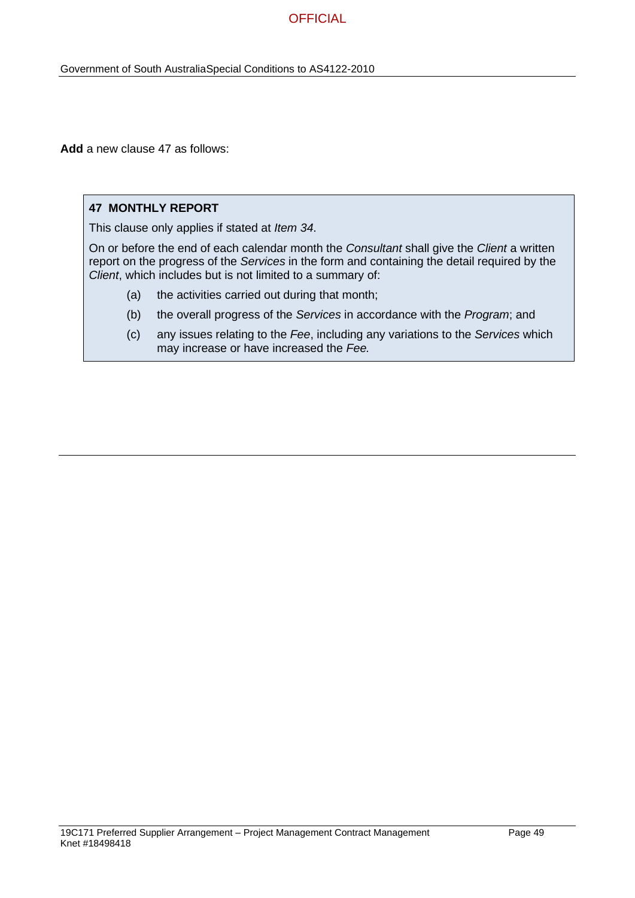**Add** a new clause 47 as follows:

#### **47 MONTHLY REPORT**

This clause only applies if stated at *Item 34*.

On or before the end of each calendar month the *Consultant* shall give the *Client* a written report on the progress of the *Services* in the form and containing the detail required by the *Client*, which includes but is not limited to a summary of:

- (a) the activities carried out during that month;
- (b) the overall progress of the *Services* in accordance with the *Program*; and
- (c) any issues relating to the *Fee*, including any variations to the *Services* which may increase or have increased the *Fee.*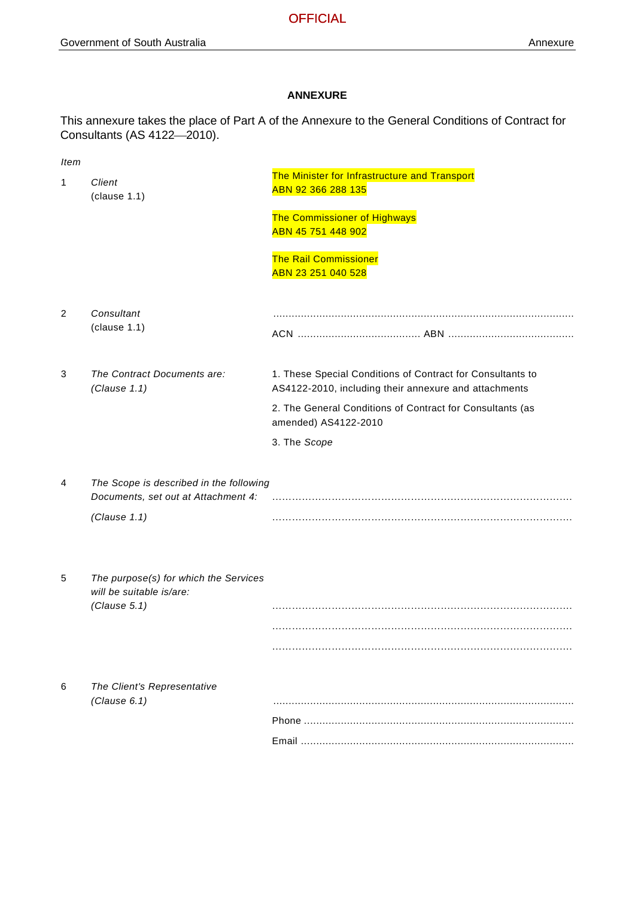#### **ANNEXURE**

This annexure takes the place of Part A of the Annexure to the General Conditions of Contract for Consultants (AS 4122-2010).

| <b>Item</b> |                                                                                   |                                                                                                                     |
|-------------|-----------------------------------------------------------------------------------|---------------------------------------------------------------------------------------------------------------------|
| 1           | Client<br>clause 1.1)                                                             | The Minister for Infrastructure and Transport<br>ABN 92 366 288 135                                                 |
|             |                                                                                   | <b>The Commissioner of Highways</b><br>ABN 45 751 448 902                                                           |
|             |                                                                                   | <b>The Rail Commissioner</b><br>ABN 23 251 040 528                                                                  |
| 2           | Consultant<br>(clause 1.1)                                                        |                                                                                                                     |
| 3           | The Contract Documents are:<br>(Clause 1.1)                                       | 1. These Special Conditions of Contract for Consultants to<br>AS4122-2010, including their annexure and attachments |
|             |                                                                                   | 2. The General Conditions of Contract for Consultants (as<br>amended) AS4122-2010                                   |
|             |                                                                                   | 3. The Scope                                                                                                        |
| 4           | The Scope is described in the following<br>Documents, set out at Attachment 4:    |                                                                                                                     |
|             | (Clause 1.1)                                                                      |                                                                                                                     |
|             |                                                                                   |                                                                                                                     |
| 5           | The purpose(s) for which the Services<br>will be suitable is/are:<br>(Clause 5.1) |                                                                                                                     |
|             |                                                                                   |                                                                                                                     |
|             |                                                                                   |                                                                                                                     |
| 6           | The Client's Representative<br>(Clause 6.1)                                       |                                                                                                                     |
|             |                                                                                   |                                                                                                                     |
|             |                                                                                   |                                                                                                                     |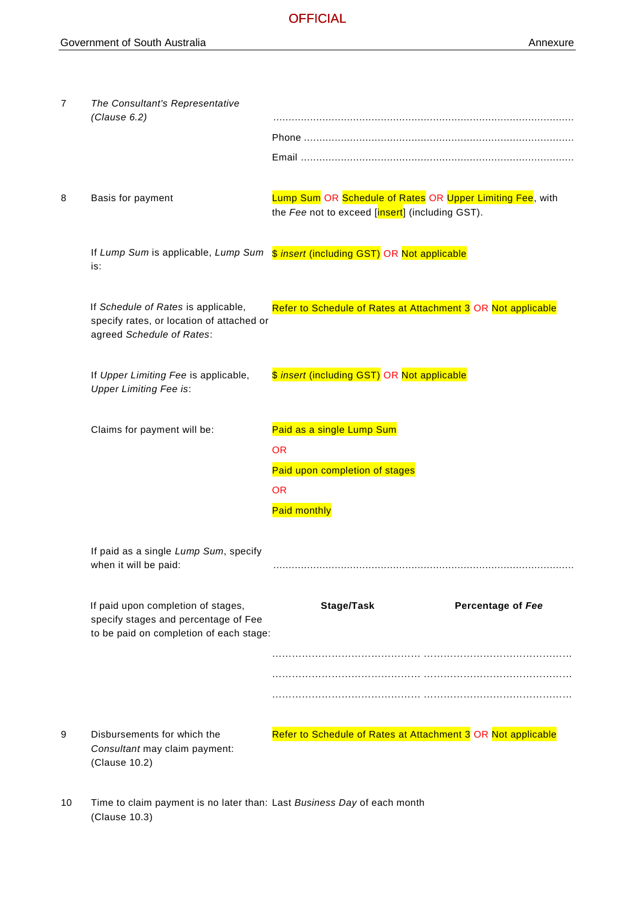| $\overline{7}$ | The Consultant's Representative<br>(Clause 6.2)                                                                       |                                                                                                              |
|----------------|-----------------------------------------------------------------------------------------------------------------------|--------------------------------------------------------------------------------------------------------------|
| 8              | Basis for payment                                                                                                     | Lump Sum OR Schedule of Rates OR Upper Limiting Fee, with<br>the Fee not to exceed [insert] (including GST). |
|                | is:                                                                                                                   | If Lump Sum is applicable, Lump Sum \$ insert (including GST) OR Not applicable                              |
|                | If Schedule of Rates is applicable,<br>specify rates, or location of attached or<br>agreed Schedule of Rates:         | Refer to Schedule of Rates at Attachment 3 OR Not applicable                                                 |
|                | If Upper Limiting Fee is applicable,<br><b>Upper Limiting Fee is:</b>                                                 | \$ insert (including GST) OR Not applicable                                                                  |
|                | Claims for payment will be:                                                                                           | Paid as a single Lump Sum<br>OR.<br>Paid upon completion of stages<br><b>OR</b><br><b>Paid monthly</b>       |
|                | If paid as a single Lump Sum, specify<br>when it will be paid:                                                        |                                                                                                              |
|                | If paid upon completion of stages,<br>specify stages and percentage of Fee<br>to be paid on completion of each stage: | Stage/Task<br>Percentage of Fee                                                                              |
| 9              | Disbursements for which the<br>Consultant may claim payment:<br>(Clause 10.2)                                         | Refer to Schedule of Rates at Attachment 3 OR Not applicable                                                 |

10 Time to claim payment is no later than: Last *Business Day* of each month(Clause 10.3)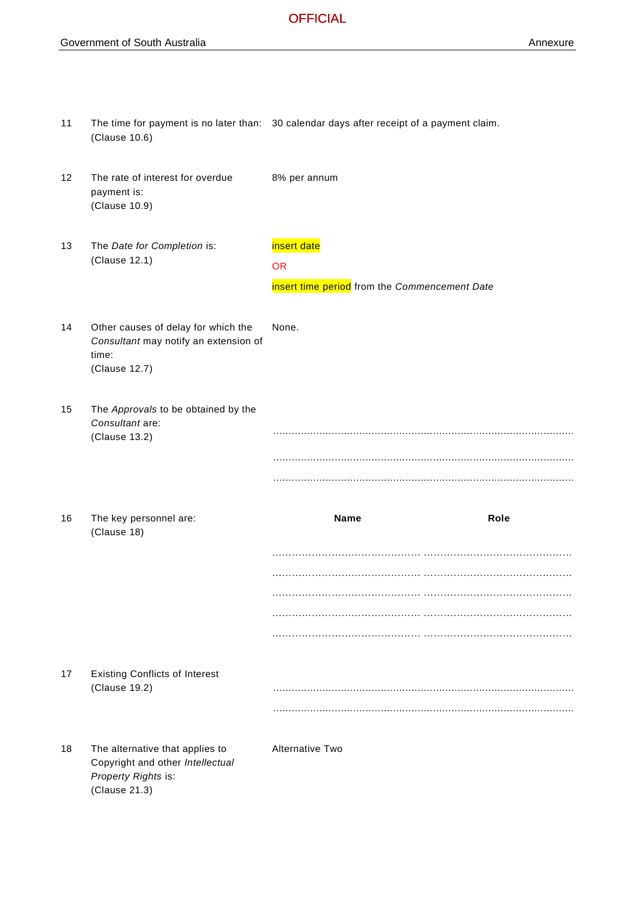11 The time for payment is no later than: 30 calendar days after receipt of a payment claim. (Clause 10.6)

| 12 | The rate of interest for overdue<br>payment is:<br>(Clause 10.9)                                       | 8% per annum                                  |
|----|--------------------------------------------------------------------------------------------------------|-----------------------------------------------|
| 13 | The Date for Completion is:<br>(Clause 12.1)                                                           | insert date<br><b>OR</b>                      |
|    |                                                                                                        | insert time period from the Commencement Date |
| 14 | Other causes of delay for which the<br>Consultant may notify an extension of<br>time:<br>(Clause 12.7) | None.                                         |
| 15 | The Approvals to be obtained by the<br>Consultant are:<br>(Clause 13.2)                                |                                               |
| 16 | The key personnel are:<br>(Clause 18)                                                                  | Name<br>Role                                  |
|    |                                                                                                        |                                               |
|    |                                                                                                        |                                               |
|    |                                                                                                        |                                               |
|    |                                                                                                        |                                               |
|    |                                                                                                        |                                               |
| 17 | <b>Existing Conflicts of Interest</b><br>(Clause 19.2)                                                 |                                               |
|    |                                                                                                        |                                               |
| 18 | The alternative that applies to                                                                        | <b>Alternative Two</b>                        |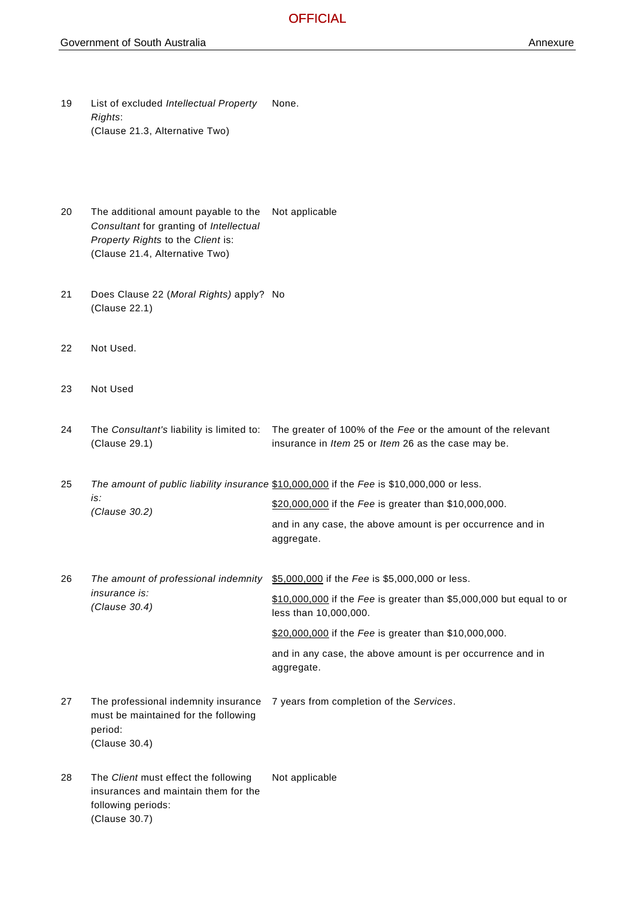- 19 List of excluded *Intellectual Property Rights*: (Clause 21.3, Alternative Two) None.
- 20 The additional amount payable to the *Consultant* for granting of *Intellectual Property Rights* to the *Client* is: (Clause 21.4, Alternative Two) Not applicable
- 21 Does Clause 22 (*Moral Rights)* apply? No (Clause 22.1)
- 22 Not Used.
- 23 Not Used
- 24 The *Consultant's* liability is limited to: The greater of 100% of the *Fee* or the amount of the relevant (Clause 29.1) insurance in *Item* 25 or *Item* 26 as the case may be.
- 25 *The amount of public liability insurance*  \$10,000,000 if the *Fee* is \$10,000,000 or less. *is: (Clause 30.2)* \$20,000,000 if the *Fee* is greater than \$10,000,000.
	- and in any case, the above amount is per occurrence and in aggregate.
- 26 The amount of professional indemnity  $$5,000,000$  if the *Fee* is \$5,000,000 or less. *insurance is:* \$10,000,000 if the *Fee* is greater than \$5,000,000 but equal to or
- *(Clause 30.4)* less than 10,000,000. \$20,000,000 if the *Fee* is greater than \$10,000,000.
	- and in any case, the above amount is per occurrence and in aggregate.
- 27 The professional indemnity insurance 7 years from completion of the *Services*. must be maintained for the following period: (Clause 30.4)
- 28 The *Client* must effect the following insurances and maintain them for the following periods: (Clause 30.7) Not applicable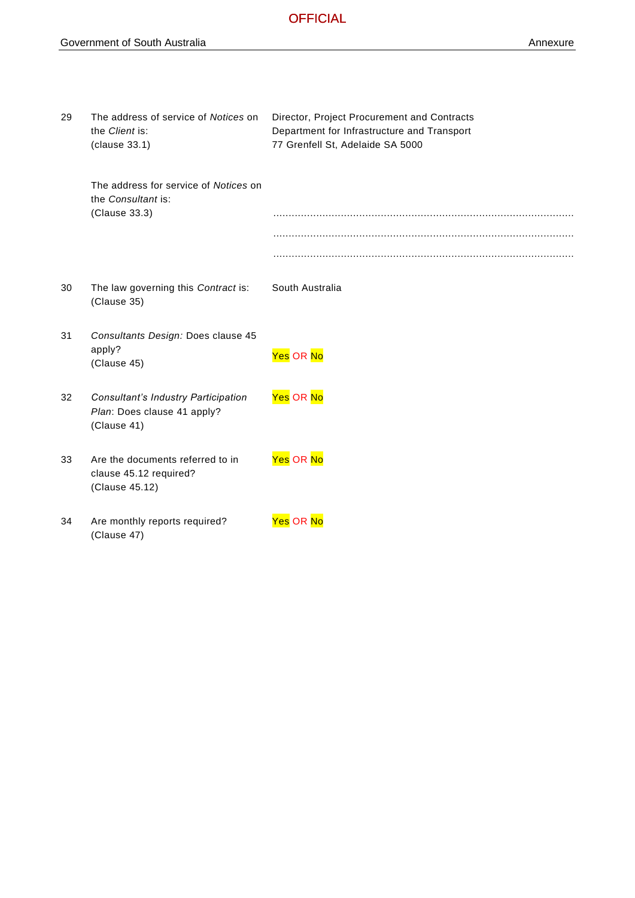| 29 | The address of service of Notices on                                              | Director, Project Procurement and Contracts |
|----|-----------------------------------------------------------------------------------|---------------------------------------------|
|    | the Client is:                                                                    | Department for Infrastructure and Transport |
|    | (clause 33.1)                                                                     | 77 Grenfell St, Adelaide SA 5000            |
|    | The address for service of Notices on<br>the Consultant is:                       |                                             |
|    | (Clause 33.3)                                                                     |                                             |
|    |                                                                                   |                                             |
|    |                                                                                   |                                             |
| 30 | The law governing this Contract is:<br>(Clause 35)                                | South Australia                             |
| 31 | Consultants Design: Does clause 45<br>apply?<br>(Clause 45)                       | Yes OR <mark>No</mark>                      |
| 32 | Consultant's Industry Participation<br>Plan: Does clause 41 apply?<br>(Clause 41) | Yes OR <mark>No</mark>                      |
| 33 | Are the documents referred to in<br>clause 45.12 required?<br>(Clause 45.12)      | Yes OR No                                   |
| 34 | Are monthly reports required?<br>(Clause 47)                                      | Yes OR No                                   |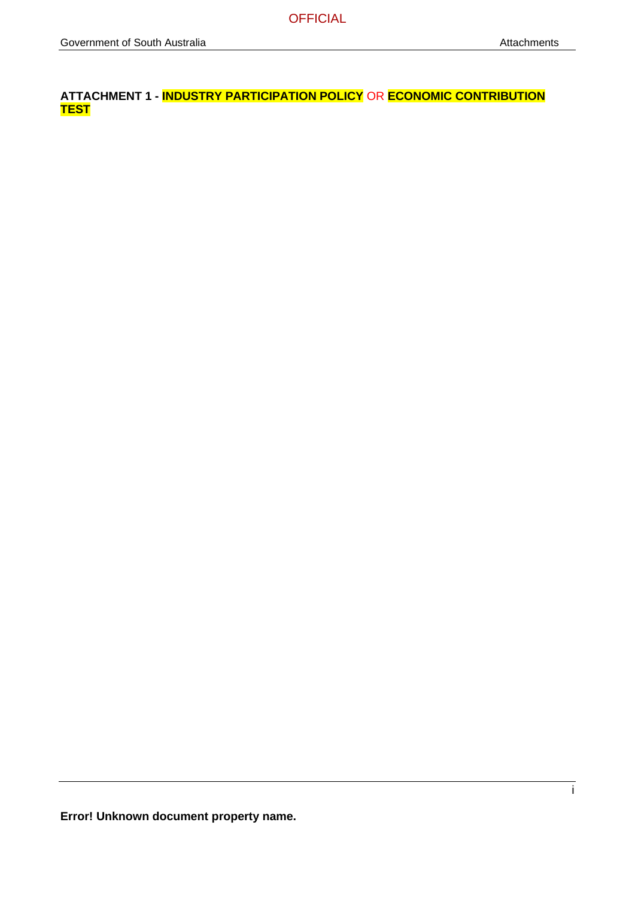**ATTACHMENT 1 - INDUSTRY PARTICIPATION POLICY** OR **ECONOMIC CONTRIBUTION TEST**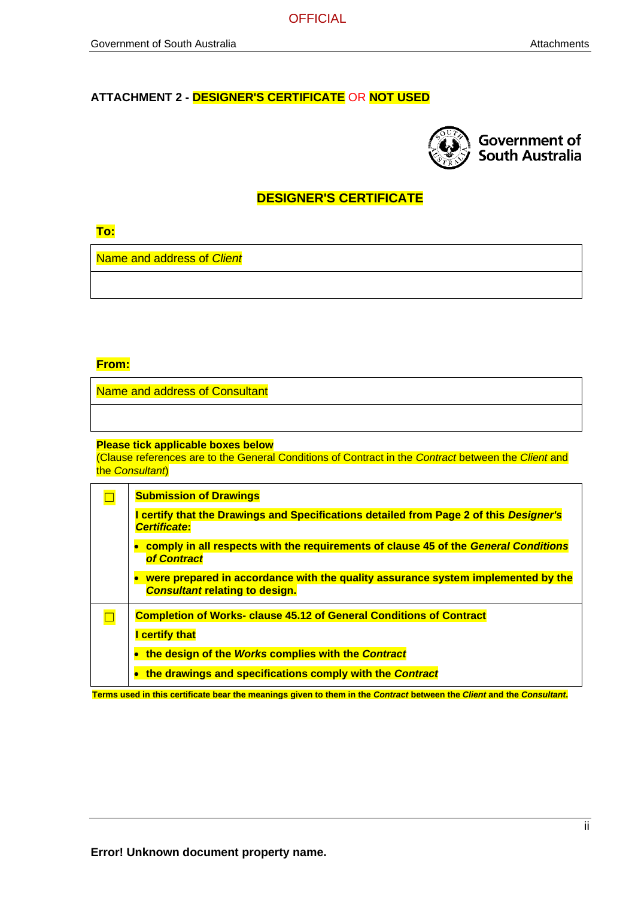### **ATTACHMENT 2 - DESIGNER'S CERTIFICATE** OR **NOT USED**



### **DESIGNER'S CERTIFICATE**

| and the state of the state of the state of the state of the state of the state of the state of the state of th        | <b>CONTRACTOR</b>                                                                                                                                                                                                                                                                                  | and the state of the state of the state of the state of the state of the state of the state of the state of th                                                                                                                                 |
|-----------------------------------------------------------------------------------------------------------------------|----------------------------------------------------------------------------------------------------------------------------------------------------------------------------------------------------------------------------------------------------------------------------------------------------|------------------------------------------------------------------------------------------------------------------------------------------------------------------------------------------------------------------------------------------------|
| <b>Service Service</b>                                                                                                |                                                                                                                                                                                                                                                                                                    | <b>Contract Contract Contract Contract Contract Contract Contract Contract Contract Contract Contract Contract Co</b>                                                                                                                          |
| <b>Contract Contract Contract Contract Contract Contract Contract Contract Contract Contract Contract Contract Co</b> | ٠                                                                                                                                                                                                                                                                                                  | <b>Contract Contract Contract Contract Contract Contract Contract Contract Contract Contract Contract Contract Co</b>                                                                                                                          |
| <b>Contract Contract Contract Contract Contract Contract Contract Contract Contract Contract Contract Contract Co</b> | <b>CONTRACTOR</b><br>-<br>and the state of the state of the state of the state of the state of the state of the state of the state of th<br>$\mathcal{L}(\mathcal{L})$ and $\mathcal{L}(\mathcal{L})$ and $\mathcal{L}(\mathcal{L})$ and $\mathcal{L}(\mathcal{L})$ and $\mathcal{L}(\mathcal{L})$ | <b>Contract Contract Contract Contract Contract Contract Contract Contract Contract Contract Contract Contract Co</b><br><b>Contract Contract Contract Contract Contract Contract Contract Contract Contract Contract Contract Contract Co</b> |

Name and address of *Client*

#### **From:**

Name and address of Consultant

#### **Please tick applicable boxes below**

(Clause references are to the General Conditions of Contract in the *Contract* between the *Client* and the *Consultant*)

| <b>Submission of Drawings</b><br>certify that the Drawings and Specifications detailed from Page 2 of this Designer's<br><b>Certificate:</b> |
|----------------------------------------------------------------------------------------------------------------------------------------------|
| comply in all respects with the requirements of clause 45 of the General Conditions<br><b>of Contract</b>                                    |
| were prepared in accordance with the quality assurance system implemented by the<br><b>Consultant relating to design.</b>                    |
| <b>Completion of Works- clause 45.12 of General Conditions of Contract</b><br>certify that                                                   |
| the design of the Works complies with the Contract                                                                                           |
| the drawings and specifications comply with the Contract                                                                                     |

**Terms used in this certificate bear the meanings given to them in the** *Contract* **between the** *Client* **and the** *Consultant***.**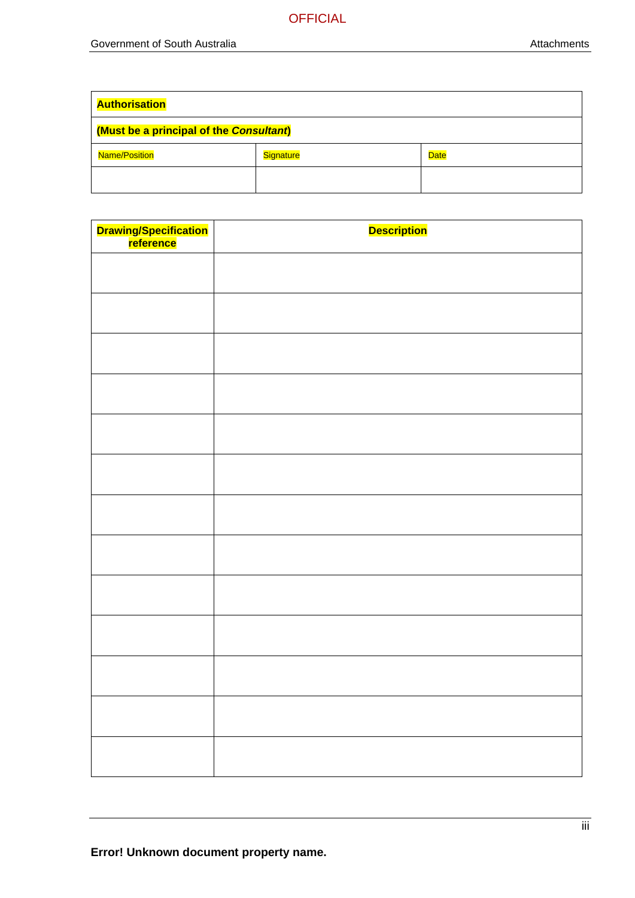| <b>Authorisation</b>                    |           |             |
|-----------------------------------------|-----------|-------------|
| (Must be a principal of the Consultant) |           |             |
| <b>Name/Position</b>                    | Signature | <b>Date</b> |
|                                         |           |             |

| Drawing/Specification<br>reference | <b>Description</b> |
|------------------------------------|--------------------|
|                                    |                    |
|                                    |                    |
|                                    |                    |
|                                    |                    |
|                                    |                    |
|                                    |                    |
|                                    |                    |
|                                    |                    |
|                                    |                    |
|                                    |                    |
|                                    |                    |
|                                    |                    |
|                                    |                    |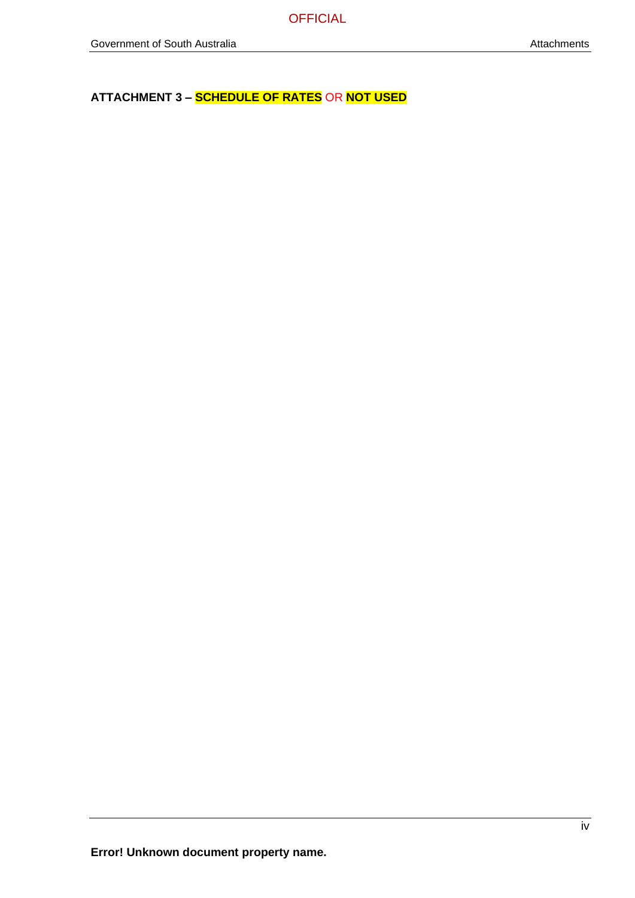**ATTACHMENT 3 – SCHEDULE OF RATES** OR **NOT USED**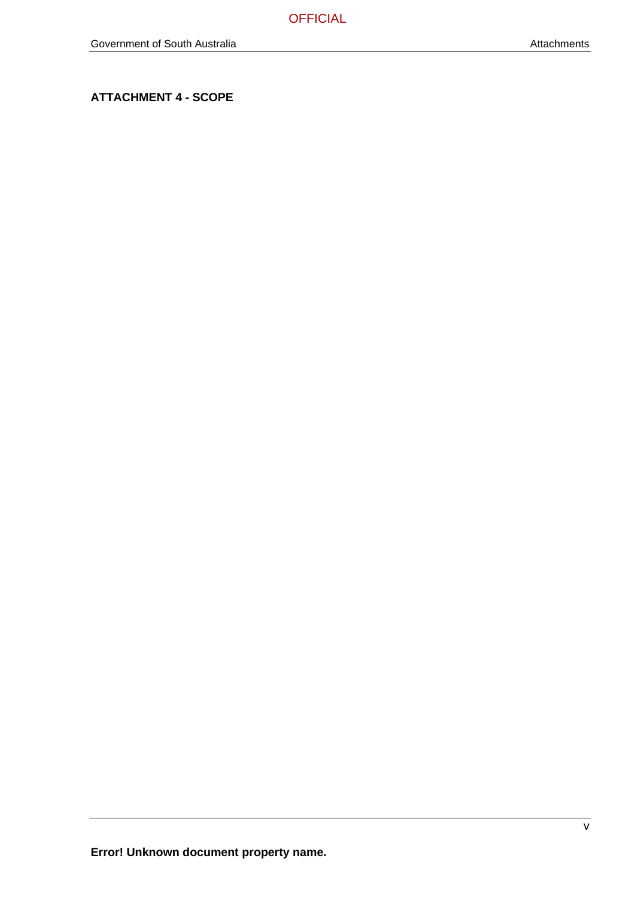**ATTACHMENT 4 - SCOPE**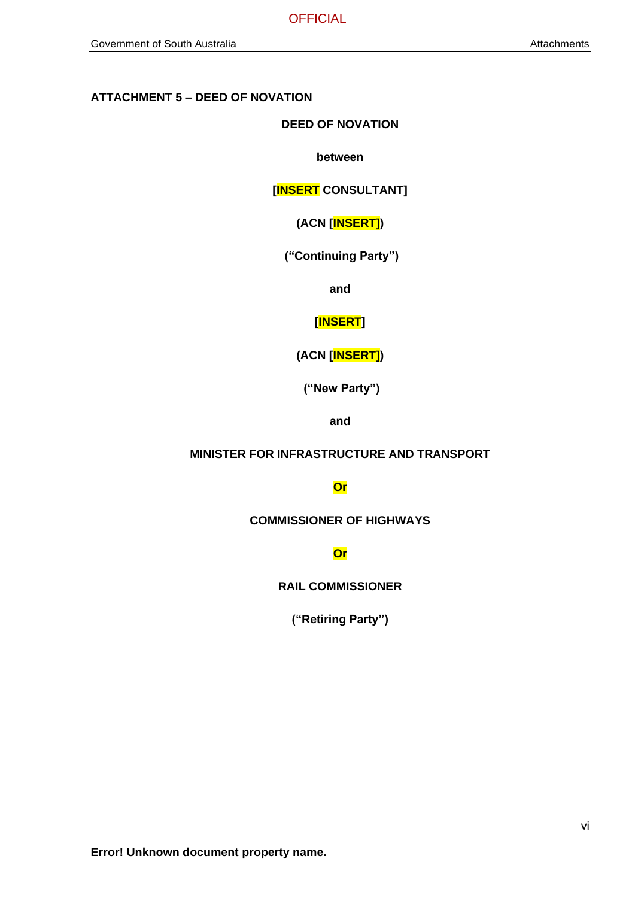### **ATTACHMENT 5 – DEED OF NOVATION**

**DEED OF NOVATION**

**between**

**[INSERT CONSULTANT]**

**(ACN [INSERT])**

**("Continuing Party")**

**and**

**[INSERT]**

**(ACN [INSERT])**

**("New Party")**

**and**

### **MINISTER FOR INFRASTRUCTURE AND TRANSPORT**

**Or**

**COMMISSIONER OF HIGHWAYS**

**Or**

**RAIL COMMISSIONER**

**("Retiring Party")**

**Error! Unknown document property name.**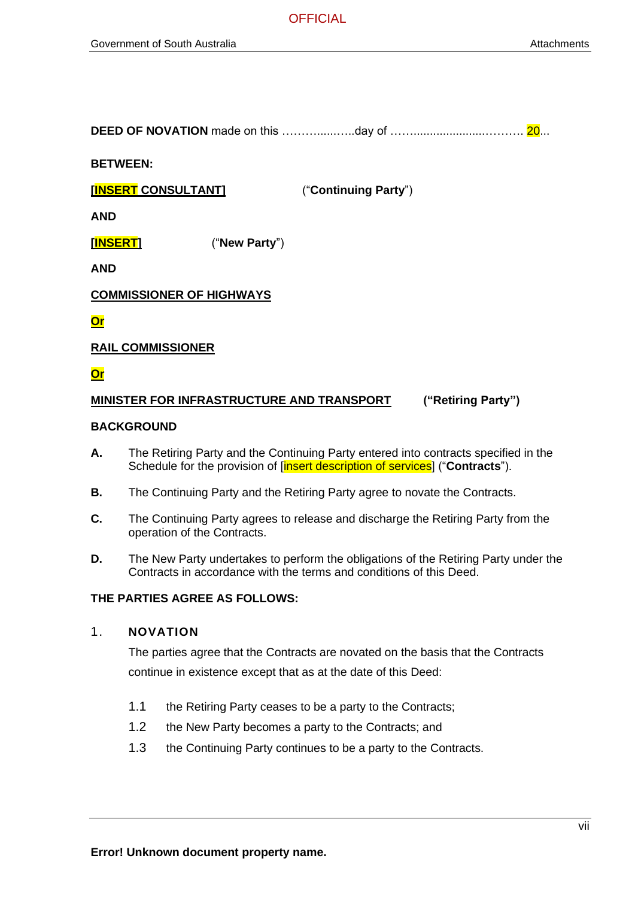**DEED OF NOVATION** made on this ………………..day of ……………………………………… 20...

**BETWEEN:**

**[INSERT CONSULTANT]** ("**Continuing Party**")

**AND**

**[INSERT]** ("**New Party**")

**AND**

**COMMISSIONER OF HIGHWAYS**

**Or**

#### **RAIL COMMISSIONER**

### **Or**

#### **MINISTER FOR INFRASTRUCTURE AND TRANSPORT ("Retiring Party")**

#### **BACKGROUND**

- **A.** The Retiring Party and the Continuing Party entered into contracts specified in the Schedule for the provision of [insert description of services] ("**Contracts**").
- **B.** The Continuing Party and the Retiring Party agree to novate the Contracts.
- **C.** The Continuing Party agrees to release and discharge the Retiring Party from the operation of the Contracts.
- **D.** The New Party undertakes to perform the obligations of the Retiring Party under the Contracts in accordance with the terms and conditions of this Deed.

#### **THE PARTIES AGREE AS FOLLOWS:**

#### 1. **NOVATION**

The parties agree that the Contracts are novated on the basis that the Contracts continue in existence except that as at the date of this Deed:

- 1.1 the Retiring Party ceases to be a party to the Contracts;
- 1.2 the New Party becomes a party to the Contracts; and
- 1.3 the Continuing Party continues to be a party to the Contracts.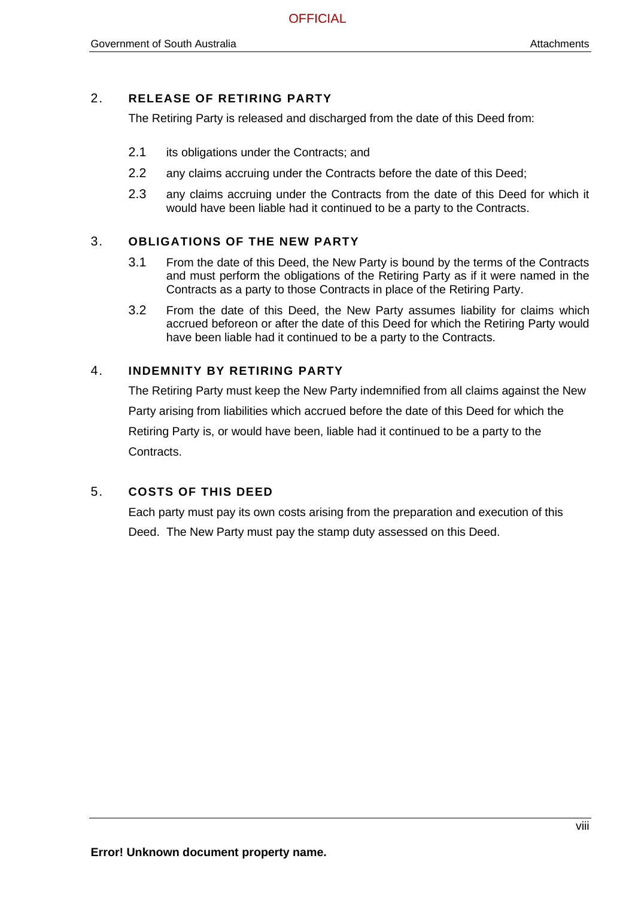### 2. **RELEASE OF RETIRING PARTY**

The Retiring Party is released and discharged from the date of this Deed from:

- 2.1 its obligations under the Contracts; and
- 2.2 any claims accruing under the Contracts before the date of this Deed;
- 2.3 any claims accruing under the Contracts from the date of this Deed for which it would have been liable had it continued to be a party to the Contracts.

### 3. **OBLIGATIONS OF THE NEW PARTY**

- 3.1 From the date of this Deed, the New Party is bound by the terms of the Contracts and must perform the obligations of the Retiring Party as if it were named in the Contracts as a party to those Contracts in place of the Retiring Party.
- 3.2 From the date of this Deed, the New Party assumes liability for claims which accrued beforeon or after the date of this Deed for which the Retiring Party would have been liable had it continued to be a party to the Contracts.

### 4. **INDEMNITY BY RETIRING PARTY**

The Retiring Party must keep the New Party indemnified from all claims against the New Party arising from liabilities which accrued before the date of this Deed for which the Retiring Party is, or would have been, liable had it continued to be a party to the Contracts.

### 5. **COSTS OF THIS DEED**

Each party must pay its own costs arising from the preparation and execution of this Deed. The New Party must pay the stamp duty assessed on this Deed.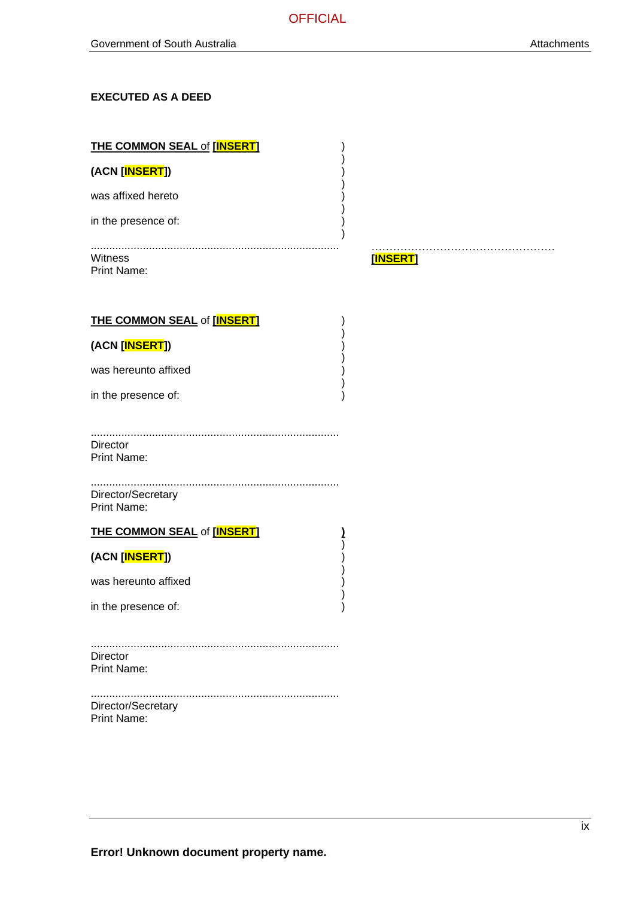### **EXECUTED AS A DEED**

| <b>THE COMMON SEAL of [INSERT]</b>       |               |
|------------------------------------------|---------------|
| (ACN [INSERT])                           |               |
| was affixed hereto                       |               |
| in the presence of:                      |               |
| Witness<br><b>Print Name:</b>            | .<br>[INSERT] |
| <b>THE COMMON SEAL of [INSERT]</b>       |               |
| (ACN [INSERT])                           |               |
| was hereunto affixed                     |               |
| in the presence of:                      |               |
| Director<br><b>Print Name:</b>           |               |
| Director/Secretary<br><b>Print Name:</b> |               |
| <b>THE COMMON SEAL of [INSERT]</b>       |               |
| (ACN [INSERT])                           |               |
| was hereunto affixed                     |               |
| in the presence of:                      |               |
|                                          |               |
| Director<br><b>Print Name:</b>           |               |
| Director/Secretary<br><b>Print Name:</b> |               |